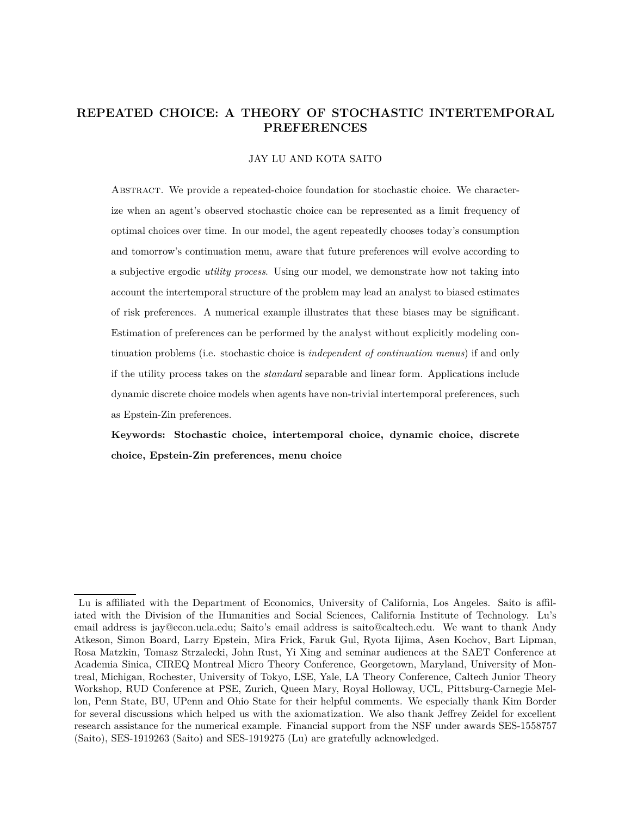# **REPEATED CHOICE: A THEORY OF STOCHASTIC INTERTEMPORAL PREFERENCES**

## JAY LU AND KOTA SAITO

ABSTRACT. We provide a repeated-choice foundation for stochastic choice. We characterize when an agent's observed stochastic choice can be represented as a limit frequency of optimal choices over time. In our model, the agent repeatedly chooses today's consumption and tomorrow's continuation menu, aware that future preferences will evolve according to a subjective ergodic *utility process*. Using our model, we demonstrate how not taking into account the intertemporal structure of the problem may lead an analyst to biased estimates of risk preferences. A numerical example illustrates that these biases may be significant. Estimation of preferences can be performed by the analyst without explicitly modeling continuation problems (i.e. stochastic choice is *independent of continuation menus*) if and only if the utility process takes on the *standard* separable and linear form. Applications include dynamic discrete choice models when agents have non-trivial intertemporal preferences, such as Epstein-Zin preferences.

**Keywords: Stochastic choice, intertemporal choice, dynamic choice, discrete choice, Epstein-Zin preferences, menu choice**

Lu is affiliated with the Department of Economics, University of California, Los Angeles. Saito is affiliated with the Division of the Humanities and Social Sciences, California Institute of Technology. Lu's email address is jay@econ.ucla.edu; Saito's email address is saito@caltech.edu. We want to thank Andy Atkeson, Simon Board, Larry Epstein, Mira Frick, Faruk Gul, Ryota Iijima, Asen Kochov, Bart Lipman, Rosa Matzkin, Tomasz Strzalecki, John Rust, Yi Xing and seminar audiences at the SAET Conference at Academia Sinica, CIREQ Montreal Micro Theory Conference, Georgetown, Maryland, University of Montreal, Michigan, Rochester, University of Tokyo, LSE, Yale, LA Theory Conference, Caltech Junior Theory Workshop, RUD Conference at PSE, Zurich, Queen Mary, Royal Holloway, UCL, Pittsburg-Carnegie Mellon, Penn State, BU, UPenn and Ohio State for their helpful comments. We especially thank Kim Border for several discussions which helped us with the axiomatization. We also thank Jeffrey Zeidel for excellent research assistance for the numerical example. Financial support from the NSF under awards SES-1558757 (Saito), SES-1919263 (Saito) and SES-1919275 (Lu) are gratefully acknowledged.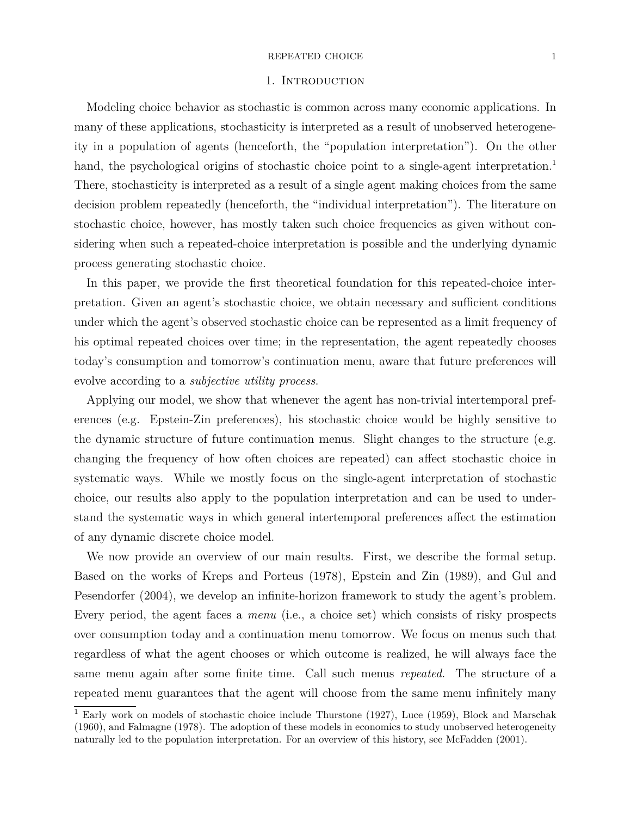### $\begin{tabular}{ll} \bf \textit{REPEATED CHOICE} & \textit{\textbf{1}}\\ \end{tabular}$

## 1. INTRODUCTION

Modeling choice behavior as stochastic is common across many economic applications. In many of these applications, stochasticity is interpreted as a result of unobserved heterogeneity in a population of agents (henceforth, the "population interpretation"). On the other hand, the psychological origins of stochastic choice point to a single-agent interpretation.<sup>1</sup> There, stochasticity is interpreted as a result of a single agent making choices from the same decision problem repeatedly (henceforth, the "individual interpretation"). The literature on stochastic choice, however, has mostly taken such choice frequencies as given without considering when such a repeated-choice interpretation is possible and the underlying dynamic process generating stochastic choice.

In this paper, we provide the first theoretical foundation for this repeated-choice interpretation. Given an agent's stochastic choice, we obtain necessary and sufficient conditions under which the agent's observed stochastic choice can be represented as a limit frequency of his optimal repeated choices over time; in the representation, the agent repeatedly chooses today's consumption and tomorrow's continuation menu, aware that future preferences will evolve according to a *subjective utility process*.

Applying our model, we show that whenever the agent has non-trivial intertemporal preferences (e.g. Epstein-Zin preferences), his stochastic choice would be highly sensitive to the dynamic structure of future continuation menus. Slight changes to the structure (e.g. changing the frequency of how often choices are repeated) can affect stochastic choice in systematic ways. While we mostly focus on the single-agent interpretation of stochastic choice, our results also apply to the population interpretation and can be used to understand the systematic ways in which general intertemporal preferences affect the estimation of any dynamic discrete choice model.

We now provide an overview of our main results. First, we describe the formal setup. Based on the works of Kreps and Porteus (1978), Epstein and Zin (1989), and Gul and Pesendorfer (2004), we develop an infinite-horizon framework to study the agent's problem. Every period, the agent faces a *menu* (i.e., a choice set) which consists of risky prospects over consumption today and a continuation menu tomorrow. We focus on menus such that regardless of what the agent chooses or which outcome is realized, he will always face the same menu again after some finite time. Call such menus *repeated*. The structure of a repeated menu guarantees that the agent will choose from the same menu infinitely many

<sup>&</sup>lt;sup>1</sup> Early work on models of stochastic choice include Thurstone (1927), Luce (1959), Block and Marschak (1960), and Falmagne (1978). The adoption of these models in economics to study unobserved heterogeneity naturally led to the population interpretation. For an overview of this history, see McFadden (2001).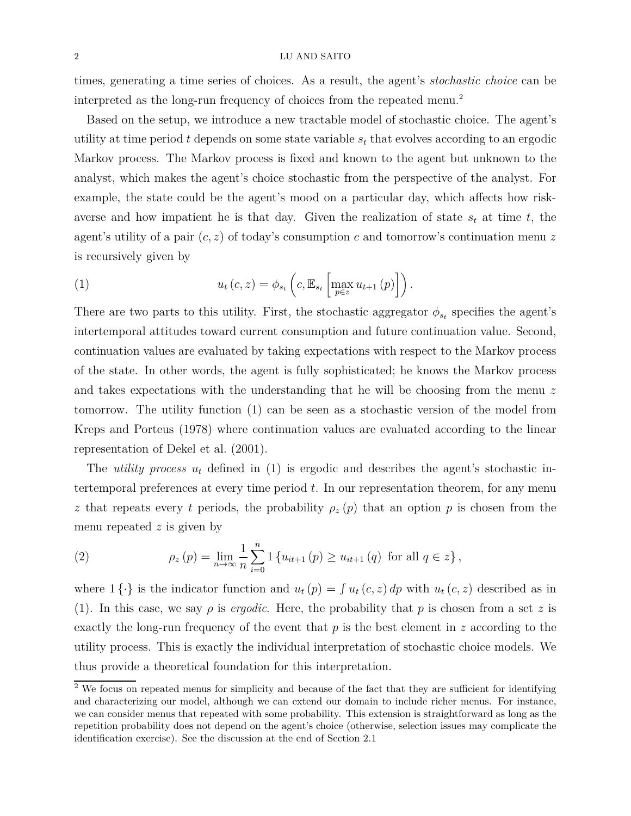times, generating a time series of choices. As a result, the agent's *stochastic choice* can be interpreted as the long-run frequency of choices from the repeated menu.<sup>2</sup>

Based on the setup, we introduce a new tractable model of stochastic choice. The agent's utility at time period *t* depends on some state variable *s<sup>t</sup>* that evolves according to an ergodic Markov process. The Markov process is fixed and known to the agent but unknown to the analyst, which makes the agent's choice stochastic from the perspective of the analyst. For example, the state could be the agent's mood on a particular day, which affects how riskaverse and how impatient he is that day. Given the realization of state  $s_t$  at time  $t$ , the agent's utility of a pair (*c, z*) of today's consumption *c* and tomorrow's continuation menu *z* is recursively given by

(1) 
$$
u_t(c, z) = \phi_{s_t}\left(c, \mathbb{E}_{s_t}\left[\max_{p \in z} u_{t+1}(p)\right]\right).
$$

There are two parts to this utility. First, the stochastic aggregator  $\phi_{s_t}$  specifies the agent's intertemporal attitudes toward current consumption and future continuation value. Second, continuation values are evaluated by taking expectations with respect to the Markov process of the state. In other words, the agent is fully sophisticated; he knows the Markov process and takes expectations with the understanding that he will be choosing from the menu *z* tomorrow. The utility function (1) can be seen as a stochastic version of the model from Kreps and Porteus (1978) where continuation values are evaluated according to the linear representation of Dekel et al. (2001).

The *utility process*  $u_t$  defined in (1) is ergodic and describes the agent's stochastic intertemporal preferences at every time period *t*. In our representation theorem, for any menu *z* that repeats every *t* periods, the probability  $\rho_z(p)$  that an option *p* is chosen from the menu repeated *z* is given by

(2) 
$$
\rho_z(p) = \lim_{n \to \infty} \frac{1}{n} \sum_{i=0}^n 1 \{ u_{it+1}(p) \ge u_{it+1}(q) \text{ for all } q \in z \},
$$

where  $1 \{\cdot\}$  is the indicator function and  $u_t(p) = \int u_t(c, z) dp$  with  $u_t(c, z)$  described as in (1). In this case, we say  $\rho$  is *ergodic*. Here, the probability that  $p$  is chosen from a set  $z$  is exactly the long-run frequency of the event that *p* is the best element in *z* according to the utility process. This is exactly the individual interpretation of stochastic choice models. We thus provide a theoretical foundation for this interpretation.

<sup>&</sup>lt;sup>2</sup> We focus on repeated menus for simplicity and because of the fact that they are sufficient for identifying and characterizing our model, although we can extend our domain to include richer menus. For instance, we can consider menus that repeated with some probability. This extension is straightforward as long as the repetition probability does not depend on the agent's choice (otherwise, selection issues may complicate the identification exercise). See the discussion at the end of Section 2.1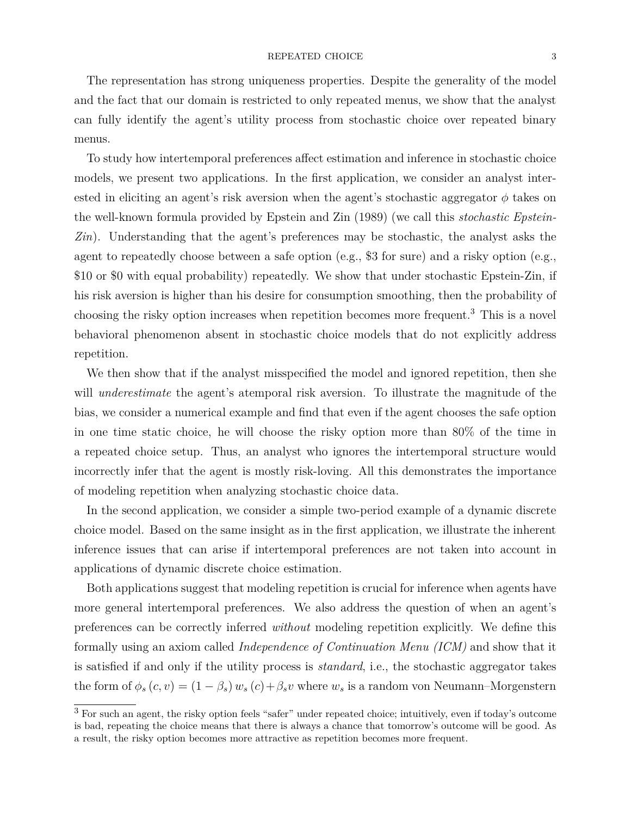The representation has strong uniqueness properties. Despite the generality of the model and the fact that our domain is restricted to only repeated menus, we show that the analyst can fully identify the agent's utility process from stochastic choice over repeated binary menus.

To study how intertemporal preferences affect estimation and inference in stochastic choice models, we present two applications. In the first application, we consider an analyst interested in eliciting an agent's risk aversion when the agent's stochastic aggregator  $\phi$  takes on the well-known formula provided by Epstein and Zin (1989) (we call this *stochastic Epstein-Zin*). Understanding that the agent's preferences may be stochastic, the analyst asks the agent to repeatedly choose between a safe option (e.g., \$3 for sure) and a risky option (e.g., \$10 or \$0 with equal probability) repeatedly. We show that under stochastic Epstein-Zin, if his risk aversion is higher than his desire for consumption smoothing, then the probability of choosing the risky option increases when repetition becomes more frequent.<sup>3</sup> This is a novel behavioral phenomenon absent in stochastic choice models that do not explicitly address repetition.

We then show that if the analyst misspecified the model and ignored repetition, then she will *underestimate* the agent's atemporal risk aversion. To illustrate the magnitude of the bias, we consider a numerical example and find that even if the agent chooses the safe option in one time static choice, he will choose the risky option more than 80% of the time in a repeated choice setup. Thus, an analyst who ignores the intertemporal structure would incorrectly infer that the agent is mostly risk-loving. All this demonstrates the importance of modeling repetition when analyzing stochastic choice data.

In the second application, we consider a simple two-period example of a dynamic discrete choice model. Based on the same insight as in the first application, we illustrate the inherent inference issues that can arise if intertemporal preferences are not taken into account in applications of dynamic discrete choice estimation.

Both applications suggest that modeling repetition is crucial for inference when agents have more general intertemporal preferences. We also address the question of when an agent's preferences can be correctly inferred *without* modeling repetition explicitly. We define this formally using an axiom called *Independence of Continuation Menu (ICM)* and show that it is satisfied if and only if the utility process is *standard*, i.e., the stochastic aggregator takes the form of  $\phi_s(c, v) = (1 - \beta_s) w_s(c) + \beta_s v$  where  $w_s$  is a random von Neumann–Morgenstern

<sup>3</sup> For such an agent, the risky option feels "safer" under repeated choice; intuitively, even if today's outcome is bad, repeating the choice means that there is always a chance that tomorrow's outcome will be good. As a result, the risky option becomes more attractive as repetition becomes more frequent.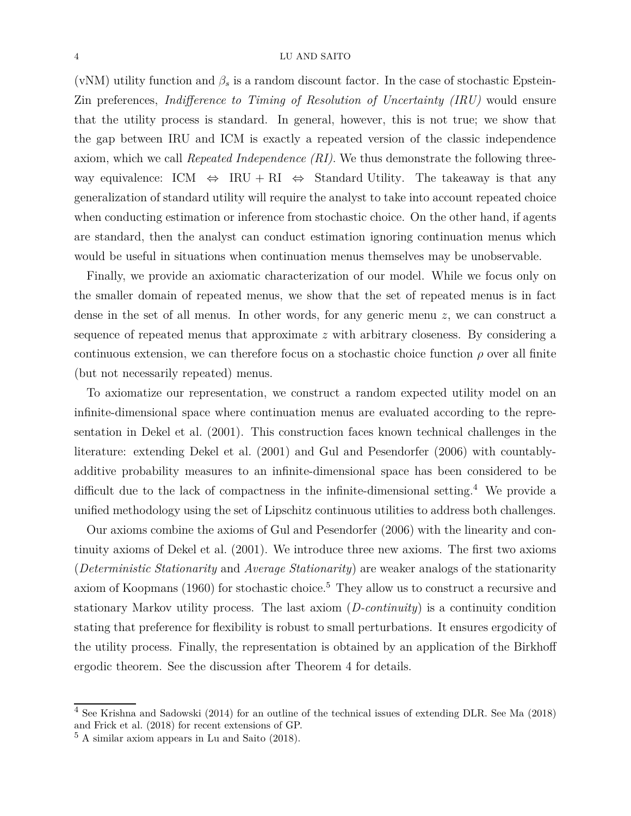(vNM) utility function and  $\beta_s$  is a random discount factor. In the case of stochastic Epstein-Zin preferences, *Indifference to Timing of Resolution of Uncertainty (IRU)* would ensure that the utility process is standard. In general, however, this is not true; we show that the gap between IRU and ICM is exactly a repeated version of the classic independence axiom, which we call *Repeated Independence (RI)*. We thus demonstrate the following threeway equivalence: ICM  $\Leftrightarrow$  IRU + RI  $\Leftrightarrow$  Standard Utility. The takeaway is that any generalization of standard utility will require the analyst to take into account repeated choice when conducting estimation or inference from stochastic choice. On the other hand, if agents are standard, then the analyst can conduct estimation ignoring continuation menus which would be useful in situations when continuation menus themselves may be unobservable.

Finally, we provide an axiomatic characterization of our model. While we focus only on the smaller domain of repeated menus, we show that the set of repeated menus is in fact dense in the set of all menus. In other words, for any generic menu *z*, we can construct a sequence of repeated menus that approximate *z* with arbitrary closeness. By considering a continuous extension, we can therefore focus on a stochastic choice function  $\rho$  over all finite (but not necessarily repeated) menus.

To axiomatize our representation, we construct a random expected utility model on an infinite-dimensional space where continuation menus are evaluated according to the representation in Dekel et al. (2001). This construction faces known technical challenges in the literature: extending Dekel et al. (2001) and Gul and Pesendorfer (2006) with countablyadditive probability measures to an infinite-dimensional space has been considered to be difficult due to the lack of compactness in the infinite-dimensional setting.<sup>4</sup> We provide a unified methodology using the set of Lipschitz continuous utilities to address both challenges.

Our axioms combine the axioms of Gul and Pesendorfer (2006) with the linearity and continuity axioms of Dekel et al. (2001). We introduce three new axioms. The first two axioms (*Deterministic Stationarity* and *Average Stationarity*) are weaker analogs of the stationarity axiom of Koopmans (1960) for stochastic choice.<sup>5</sup> They allow us to construct a recursive and stationary Markov utility process. The last axiom (*D-continuity*) is a continuity condition stating that preference for flexibility is robust to small perturbations. It ensures ergodicity of the utility process. Finally, the representation is obtained by an application of the Birkhoff ergodic theorem. See the discussion after Theorem 4 for details.

<sup>4</sup> See Krishna and Sadowski (2014) for an outline of the technical issues of extending DLR. See Ma (2018) and Frick et al. (2018) for recent extensions of GP.

 $5 \text{ A similar axiom appears in Lu and Saito } (2018)$ .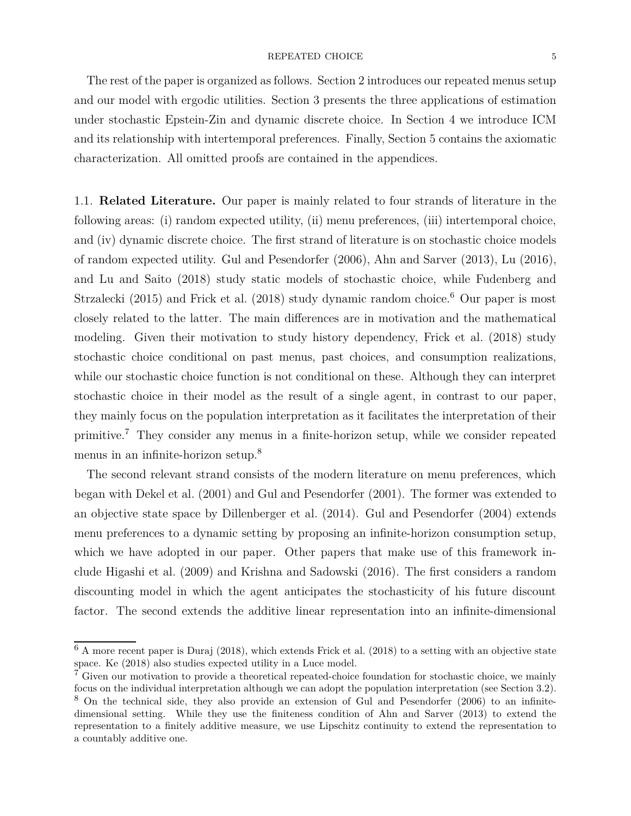## ${\bf \texttt{REPEATED CHOICE}} \qquad \qquad {\bf \texttt{5}}$

The rest of the paper is organized as follows. Section 2 introduces our repeated menus setup and our model with ergodic utilities. Section 3 presents the three applications of estimation under stochastic Epstein-Zin and dynamic discrete choice. In Section 4 we introduce ICM and its relationship with intertemporal preferences. Finally, Section 5 contains the axiomatic characterization. All omitted proofs are contained in the appendices.

1.1. **Related Literature.** Our paper is mainly related to four strands of literature in the following areas: (i) random expected utility, (ii) menu preferences, (iii) intertemporal choice, and (iv) dynamic discrete choice. The first strand of literature is on stochastic choice models of random expected utility. Gul and Pesendorfer (2006), Ahn and Sarver (2013), Lu (2016), and Lu and Saito (2018) study static models of stochastic choice, while Fudenberg and Strzalecki (2015) and Frick et al. (2018) study dynamic random choice.<sup>6</sup> Our paper is most closely related to the latter. The main differences are in motivation and the mathematical modeling. Given their motivation to study history dependency, Frick et al. (2018) study stochastic choice conditional on past menus, past choices, and consumption realizations, while our stochastic choice function is not conditional on these. Although they can interpret stochastic choice in their model as the result of a single agent, in contrast to our paper, they mainly focus on the population interpretation as it facilitates the interpretation of their primitive.<sup>7</sup> They consider any menus in a finite-horizon setup, while we consider repeated menus in an infinite-horizon setup.<sup>8</sup>

The second relevant strand consists of the modern literature on menu preferences, which began with Dekel et al. (2001) and Gul and Pesendorfer (2001). The former was extended to an objective state space by Dillenberger et al. (2014). Gul and Pesendorfer (2004) extends menu preferences to a dynamic setting by proposing an infinite-horizon consumption setup, which we have adopted in our paper. Other papers that make use of this framework include Higashi et al. (2009) and Krishna and Sadowski (2016). The first considers a random discounting model in which the agent anticipates the stochasticity of his future discount factor. The second extends the additive linear representation into an infinite-dimensional

<sup>6</sup> A more recent paper is Duraj (2018), which extends Frick et al. (2018) to a setting with an objective state space. Ke (2018) also studies expected utility in a Luce model.

<sup>&</sup>lt;sup>7</sup> Given our motivation to provide a theoretical repeated-choice foundation for stochastic choice, we mainly focus on the individual interpretation although we can adopt the population interpretation (see Section 3.2). <sup>8</sup> On the technical side, they also provide an extension of Gul and Pesendorfer (2006) to an infinitedimensional setting. While they use the finiteness condition of Ahn and Sarver (2013) to extend the representation to a finitely additive measure, we use Lipschitz continuity to extend the representation to a countably additive one.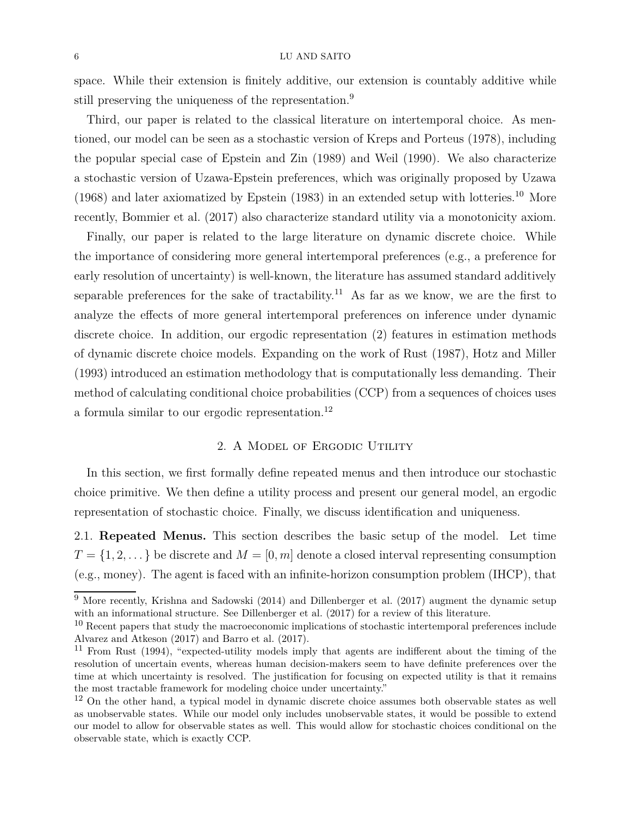space. While their extension is finitely additive, our extension is countably additive while still preserving the uniqueness of the representation.<sup>9</sup>

Third, our paper is related to the classical literature on intertemporal choice. As mentioned, our model can be seen as a stochastic version of Kreps and Porteus (1978), including the popular special case of Epstein and Zin (1989) and Weil (1990). We also characterize a stochastic version of Uzawa-Epstein preferences, which was originally proposed by Uzawa (1968) and later axiomatized by Epstein (1983) in an extended setup with lotteries.<sup>10</sup> More recently, Bommier et al. (2017) also characterize standard utility via a monotonicity axiom.

Finally, our paper is related to the large literature on dynamic discrete choice. While the importance of considering more general intertemporal preferences (e.g., a preference for early resolution of uncertainty) is well-known, the literature has assumed standard additively separable preferences for the sake of tractability.<sup>11</sup> As far as we know, we are the first to analyze the effects of more general intertemporal preferences on inference under dynamic discrete choice. In addition, our ergodic representation (2) features in estimation methods of dynamic discrete choice models. Expanding on the work of Rust (1987), Hotz and Miller (1993) introduced an estimation methodology that is computationally less demanding. Their method of calculating conditional choice probabilities (CCP) from a sequences of choices uses a formula similar to our ergodic representation.<sup>12</sup>

# 2. A Model of Ergodic Utility

In this section, we first formally define repeated menus and then introduce our stochastic choice primitive. We then define a utility process and present our general model, an ergodic representation of stochastic choice. Finally, we discuss identification and uniqueness.

2.1. **Repeated Menus.** This section describes the basic setup of the model. Let time  $T = \{1, 2, \dots\}$  be discrete and  $M = [0, m]$  denote a closed interval representing consumption (e.g., money). The agent is faced with an infinite-horizon consumption problem (IHCP), that

 $9$  More recently, Krishna and Sadowski (2014) and Dillenberger et al. (2017) augment the dynamic setup with an informational structure. See Dillenberger et al. (2017) for a review of this literature.

<sup>&</sup>lt;sup>10</sup> Recent papers that study the macroeconomic implications of stochastic intertemporal preferences include Alvarez and Atkeson (2017) and Barro et al. (2017).

<sup>11</sup> From Rust (1994), "expected-utility models imply that agents are indifferent about the timing of the resolution of uncertain events, whereas human decision-makers seem to have definite preferences over the time at which uncertainty is resolved. The justification for focusing on expected utility is that it remains the most tractable framework for modeling choice under uncertainty."

<sup>&</sup>lt;sup>12</sup> On the other hand, a typical model in dynamic discrete choice assumes both observable states as well as unobservable states. While our model only includes unobservable states, it would be possible to extend our model to allow for observable states as well. This would allow for stochastic choices conditional on the observable state, which is exactly CCP.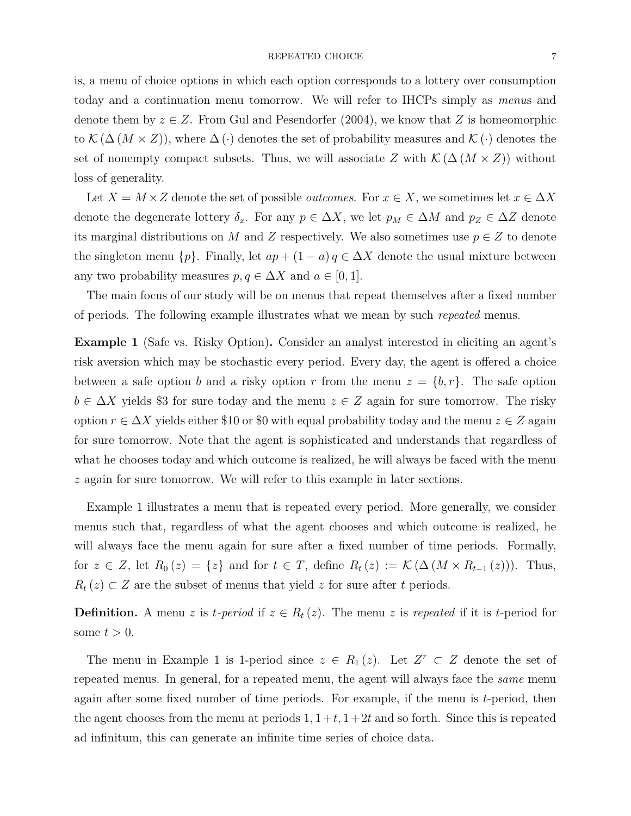### REPEATED CHOICE 7

is, a menu of choice options in which each option corresponds to a lottery over consumption today and a continuation menu tomorrow. We will refer to IHCPs simply as *menu*s and denote them by  $z \in Z$ . From Gul and Pesendorfer (2004), we know that *Z* is homeomorphic to  $\mathcal{K}(\Delta(M \times Z))$ , where  $\Delta(\cdot)$  denotes the set of probability measures and  $\mathcal{K}(\cdot)$  denotes the set of nonempty compact subsets. Thus, we will associate *Z* with  $\mathcal{K}(\Delta(M \times Z))$  without loss of generality.

Let  $X = M \times Z$  denote the set of possible *outcomes*. For  $x \in X$ , we sometimes let  $x \in \Delta X$ denote the degenerate lottery  $\delta_x$ . For any  $p \in \Delta X$ , we let  $p_M \in \Delta M$  and  $p_Z \in \Delta Z$  denote its marginal distributions on *M* and *Z* respectively. We also sometimes use  $p \in Z$  to denote the singleton menu  $\{p\}$ . Finally, let  $ap + (1 - a) q \in \Delta X$  denote the usual mixture between any two probability measures  $p, q \in \Delta X$  and  $a \in [0, 1]$ .

The main focus of our study will be on menus that repeat themselves after a fixed number of periods. The following example illustrates what we mean by such *repeated* menus.

**Example 1** (Safe vs. Risky Option)**.** Consider an analyst interested in eliciting an agent's risk aversion which may be stochastic every period. Every day, the agent is offered a choice between a safe option *b* and a risky option *r* from the menu  $z = \{b, r\}$ . The safe option  $b \in \Delta X$  yields \$3 for sure today and the menu  $z \in Z$  again for sure tomorrow. The risky option  $r \in \Delta X$  yields either \$10 or \$0 with equal probability today and the menu  $z \in Z$  again for sure tomorrow. Note that the agent is sophisticated and understands that regardless of what he chooses today and which outcome is realized, he will always be faced with the menu *z* again for sure tomorrow. We will refer to this example in later sections.

Example 1 illustrates a menu that is repeated every period. More generally, we consider menus such that, regardless of what the agent chooses and which outcome is realized, he will always face the menu again for sure after a fixed number of time periods. Formally, for  $z \in Z$ , let  $R_0(z) = \{z\}$  and for  $t \in T$ , define  $R_t(z) := \mathcal{K}(\Delta(M \times R_{t-1}(z)))$ . Thus,  $R_t(z) \subset Z$  are the subset of menus that yield *z* for sure after *t* periods.

**Definition.** A menu *z* is *t-period* if  $z \in R_t(z)$ . The menu *z* is *repeated* if it is *t*-period for some  $t > 0$ .

The menu in Example 1 is 1-period since  $z \in R_1(z)$ . Let  $Z^r \subset Z$  denote the set of repeated menus. In general, for a repeated menu, the agent will always face the *same* menu again after some fixed number of time periods. For example, if the menu is *t*-period, then the agent chooses from the menu at periods  $1, 1+t, 1+2t$  and so forth. Since this is repeated ad infinitum, this can generate an infinite time series of choice data.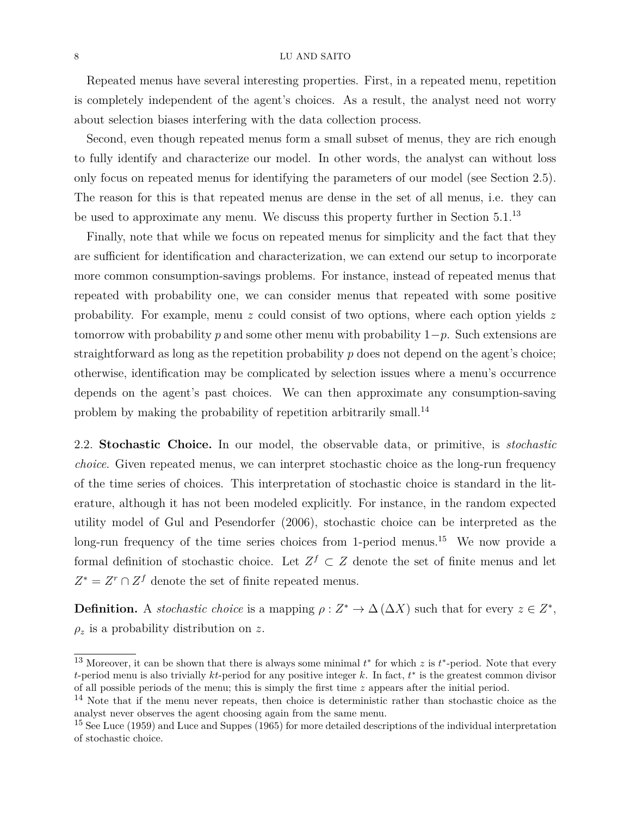Repeated menus have several interesting properties. First, in a repeated menu, repetition is completely independent of the agent's choices. As a result, the analyst need not worry about selection biases interfering with the data collection process.

Second, even though repeated menus form a small subset of menus, they are rich enough to fully identify and characterize our model. In other words, the analyst can without loss only focus on repeated menus for identifying the parameters of our model (see Section 2.5). The reason for this is that repeated menus are dense in the set of all menus, i.e. they can be used to approximate any menu. We discuss this property further in Section 5.1.<sup>13</sup>

Finally, note that while we focus on repeated menus for simplicity and the fact that they are sufficient for identification and characterization, we can extend our setup to incorporate more common consumption-savings problems. For instance, instead of repeated menus that repeated with probability one, we can consider menus that repeated with some positive probability. For example, menu *z* could consist of two options, where each option yields *z* tomorrow with probability *p* and some other menu with probability 1−*p*. Such extensions are straightforward as long as the repetition probability *p* does not depend on the agent's choice; otherwise, identification may be complicated by selection issues where a menu's occurrence depends on the agent's past choices. We can then approximate any consumption-saving problem by making the probability of repetition arbitrarily small.<sup>14</sup>

2.2. **Stochastic Choice.** In our model, the observable data, or primitive, is *stochastic choice*. Given repeated menus, we can interpret stochastic choice as the long-run frequency of the time series of choices. This interpretation of stochastic choice is standard in the literature, although it has not been modeled explicitly. For instance, in the random expected utility model of Gul and Pesendorfer (2006), stochastic choice can be interpreted as the long-run frequency of the time series choices from 1-period menus.<sup>15</sup> We now provide a formal definition of stochastic choice. Let  $Z^f \subset Z$  denote the set of finite menus and let  $Z^* = Z^r \cap Z^f$  denote the set of finite repeated menus.

**Definition.** A *stochastic choice* is a mapping  $\rho: Z^* \to \Delta(\Delta X)$  such that for every  $z \in Z^*$ , *ρ<sup>z</sup>* is a probability distribution on *z*.

<sup>&</sup>lt;sup>13</sup> Moreover, it can be shown that there is always some minimal  $t^*$  for which  $z$  is  $t^*$ -period. Note that every *t*-period menu is also trivially *kt*-period for any positive integer *k*. In fact, *t* ∗ is the greatest common divisor of all possible periods of the menu; this is simply the first time *z* appears after the initial period.

<sup>&</sup>lt;sup>14</sup> Note that if the menu never repeats, then choice is deterministic rather than stochastic choice as the analyst never observes the agent choosing again from the same menu.

<sup>&</sup>lt;sup>15</sup> See Luce (1959) and Luce and Suppes (1965) for more detailed descriptions of the individual interpretation of stochastic choice.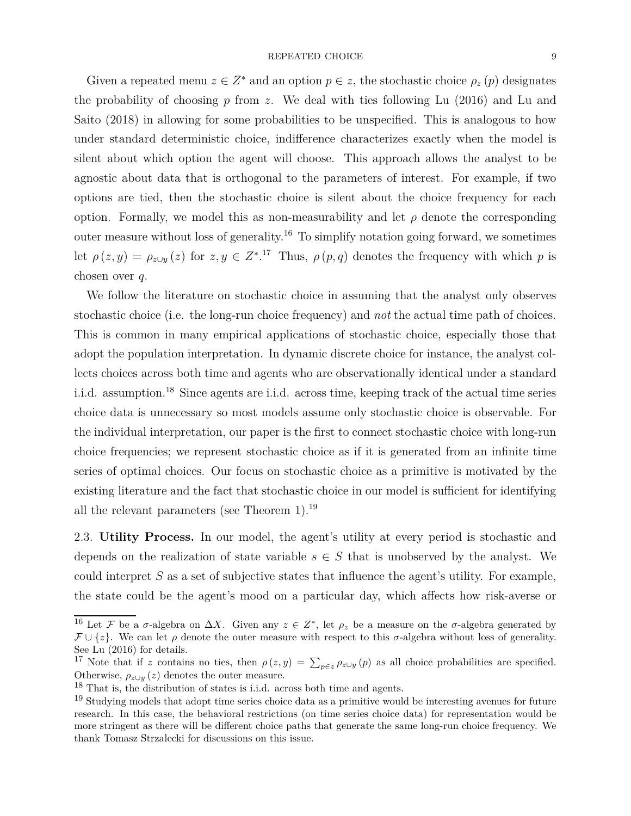Given a repeated menu  $z \in Z^*$  and an option  $p \in z$ , the stochastic choice  $\rho_z(p)$  designates the probability of choosing *p* from *z*. We deal with ties following Lu (2016) and Lu and Saito (2018) in allowing for some probabilities to be unspecified. This is analogous to how under standard deterministic choice, indifference characterizes exactly when the model is silent about which option the agent will choose. This approach allows the analyst to be agnostic about data that is orthogonal to the parameters of interest. For example, if two options are tied, then the stochastic choice is silent about the choice frequency for each option. Formally, we model this as non-measurability and let  $\rho$  denote the corresponding outer measure without loss of generality.<sup>16</sup> To simplify notation going forward, we sometimes let  $\rho(z, y) = \rho_{z \cup y}(z)$  for  $z, y \in \mathbb{Z}^*$ .<sup>17</sup> Thus,  $\rho(p, q)$  denotes the frequency with which *p* is chosen over *q*.

We follow the literature on stochastic choice in assuming that the analyst only observes stochastic choice (i.e. the long-run choice frequency) and *not* the actual time path of choices. This is common in many empirical applications of stochastic choice, especially those that adopt the population interpretation. In dynamic discrete choice for instance, the analyst collects choices across both time and agents who are observationally identical under a standard i.i.d. assumption.<sup>18</sup> Since agents are i.i.d. across time, keeping track of the actual time series choice data is unnecessary so most models assume only stochastic choice is observable. For the individual interpretation, our paper is the first to connect stochastic choice with long-run choice frequencies; we represent stochastic choice as if it is generated from an infinite time series of optimal choices. Our focus on stochastic choice as a primitive is motivated by the existing literature and the fact that stochastic choice in our model is sufficient for identifying all the relevant parameters (see Theorem 1).<sup>19</sup>

2.3. **Utility Process.** In our model, the agent's utility at every period is stochastic and depends on the realization of state variable  $s \in S$  that is unobserved by the analyst. We could interpret *S* as a set of subjective states that influence the agent's utility. For example, the state could be the agent's mood on a particular day, which affects how risk-averse or

<sup>&</sup>lt;sup>16</sup> Let F be a  $\sigma$ -algebra on  $\Delta X$ . Given any  $z \in Z^*$ , let  $\rho_z$  be a measure on the  $\sigma$ -algebra generated by  $\mathcal{F} \cup \{z\}$ . We can let  $\rho$  denote the outer measure with respect to this  $\sigma$ -algebra without loss of generality. See Lu (2016) for details.

<sup>&</sup>lt;sup>17</sup> Note that if *z* contains no ties, then  $\rho(z, y) = \sum_{p \in z} \rho_{z \cup y}(p)$  as all choice probabilities are specified. Otherwise,  $\rho_{z\cup y}(z)$  denotes the outer measure.

<sup>&</sup>lt;sup>18</sup> That is, the distribution of states is i.i.d. across both time and agents.

<sup>&</sup>lt;sup>19</sup> Studying models that adopt time series choice data as a primitive would be interesting avenues for future research. In this case, the behavioral restrictions (on time series choice data) for representation would be more stringent as there will be different choice paths that generate the same long-run choice frequency. We thank Tomasz Strzalecki for discussions on this issue.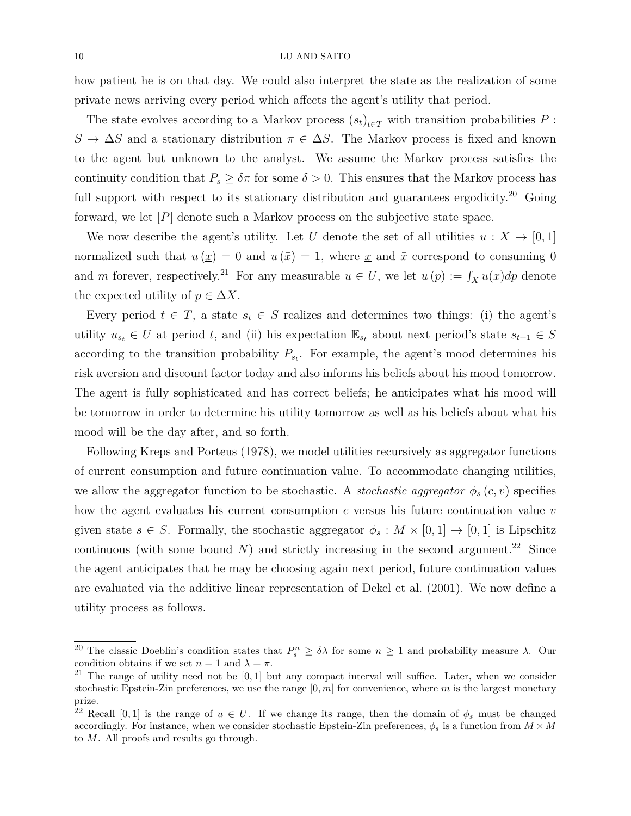how patient he is on that day. We could also interpret the state as the realization of some private news arriving every period which affects the agent's utility that period.

The state evolves according to a Markov process  $(s_t)_{t \in T}$  with transition probabilities  $P$ :  $S \to \Delta S$  and a stationary distribution  $\pi \in \Delta S$ . The Markov process is fixed and known to the agent but unknown to the analyst. We assume the Markov process satisfies the continuity condition that  $P_s \geq \delta \pi$  for some  $\delta > 0$ . This ensures that the Markov process has full support with respect to its stationary distribution and guarantees ergodicity.<sup>20</sup> Going forward, we let  $[P]$  denote such a Markov process on the subjective state space.

We now describe the agent's utility. Let *U* denote the set of all utilities  $u : X \to [0,1]$ normalized such that  $u(\underline{x}) = 0$  and  $u(\overline{x}) = 1$ , where <u>x</u> and  $\overline{x}$  correspond to consuming 0 and *m* forever, respectively.<sup>21</sup> For any measurable  $u \in U$ , we let  $u(p) := \int_X u(x) dp$  denote the expected utility of  $p \in \Delta X$ .

Every period  $t \in T$ , a state  $s_t \in S$  realizes and determines two things: (i) the agent's utility  $u_{s_t} \in U$  at period *t*, and (ii) his expectation  $\mathbb{E}_{s_t}$  about next period's state  $s_{t+1} \in S$ according to the transition probability  $P_{s_t}$ . For example, the agent's mood determines his risk aversion and discount factor today and also informs his beliefs about his mood tomorrow. The agent is fully sophisticated and has correct beliefs; he anticipates what his mood will be tomorrow in order to determine his utility tomorrow as well as his beliefs about what his mood will be the day after, and so forth.

Following Kreps and Porteus (1978), we model utilities recursively as aggregator functions of current consumption and future continuation value. To accommodate changing utilities, we allow the aggregator function to be stochastic. A *stochastic aggregator*  $\phi_s(c, v)$  specifies how the agent evaluates his current consumption *c* versus his future continuation value *v* given state  $s \in S$ . Formally, the stochastic aggregator  $\phi_s : M \times [0,1] \to [0,1]$  is Lipschitz continuous (with some bound  $N$ ) and strictly increasing in the second argument.<sup>22</sup> Since the agent anticipates that he may be choosing again next period, future continuation values are evaluated via the additive linear representation of Dekel et al. (2001). We now define a utility process as follows.

<sup>&</sup>lt;sup>20</sup> The classic Doeblin's condition states that  $P_s^n \geq \delta \lambda$  for some  $n \geq 1$  and probability measure  $\lambda$ . Our condition obtains if we set  $n = 1$  and  $\lambda = \pi$ .

<sup>21</sup> The range of utility need not be [0*,* 1] but any compact interval will suffice. Later, when we consider stochastic Epstein-Zin preferences, we use the range [0*, m*] for convenience, where *m* is the largest monetary prize.

<sup>&</sup>lt;sup>22</sup> Recall [0,1] is the range of  $u \in U$ . If we change its range, then the domain of  $\phi_s$  must be changed accordingly. For instance, when we consider stochastic Epstein-Zin preferences,  $\phi_s$  is a function from  $M \times M$ to *M*. All proofs and results go through.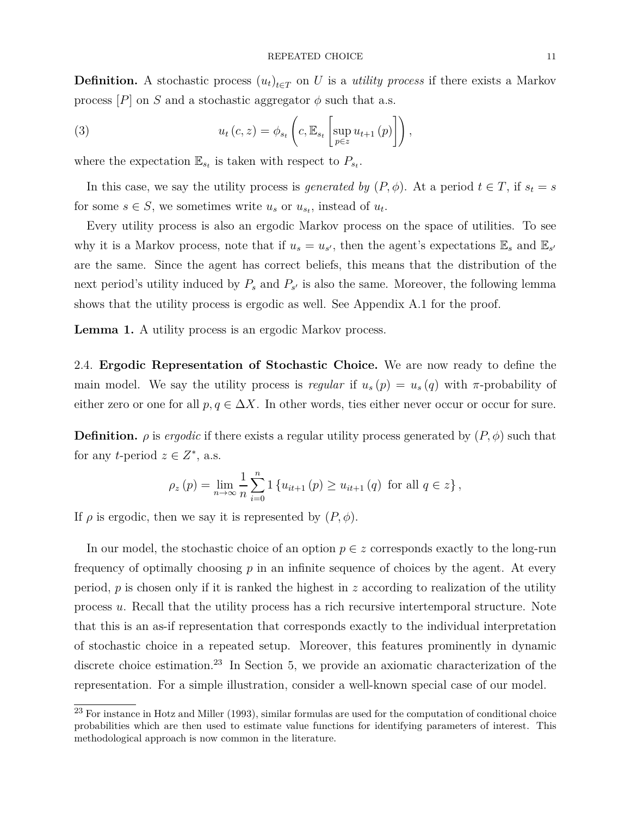**Definition.** A stochastic process  $(u_t)_{t \in T}$  on *U* is a *utility process* if there exists a Markov process  $|P|$  on *S* and a stochastic aggregator  $\phi$  such that a.s.

(3) 
$$
u_t(c, z) = \phi_{s_t}\left(c, \mathbb{E}_{s_t}\left[\sup_{p \in z} u_{t+1}(p)\right]\right),
$$

where the expectation  $\mathbb{E}_{s_t}$  is taken with respect to  $P_{s_t}$ .

In this case, we say the utility process is *generated by*  $(P, \phi)$ . At a period  $t \in T$ , if  $s_t = s$ for some  $s \in S$ , we sometimes write  $u_s$  or  $u_{s_t}$ , instead of  $u_t$ .

Every utility process is also an ergodic Markov process on the space of utilities. To see why it is a Markov process, note that if  $u_s = u_{s'}$ , then the agent's expectations  $\mathbb{E}_s$  and  $\mathbb{E}_{s'}$ are the same. Since the agent has correct beliefs, this means that the distribution of the next period's utility induced by  $P_s$  and  $P_{s'}$  is also the same. Moreover, the following lemma shows that the utility process is ergodic as well. See Appendix A.1 for the proof.

Lemma 1. A utility process is an ergodic Markov process.

2.4. **Ergodic Representation of Stochastic Choice.** We are now ready to define the main model. We say the utility process is *regular* if  $u_s(p) = u_s(q)$  with  $\pi$ -probability of either zero or one for all  $p, q \in \Delta X$ . In other words, ties either never occur or occur for sure.

**Definition.**  $\rho$  is *ergodic* if there exists a regular utility process generated by  $(P, \phi)$  such that for any *t*-period  $z \in Z^*$ , a.s.

$$
\rho_z(p) = \lim_{n \to \infty} \frac{1}{n} \sum_{i=0}^n 1 \left\{ u_{it+1}(p) \ge u_{it+1}(q) \text{ for all } q \in z \right\},\
$$

If  $\rho$  is ergodic, then we say it is represented by  $(P, \phi)$ .

In our model, the stochastic choice of an option  $p \in z$  corresponds exactly to the long-run frequency of optimally choosing *p* in an infinite sequence of choices by the agent. At every period, *p* is chosen only if it is ranked the highest in *z* according to realization of the utility process *u*. Recall that the utility process has a rich recursive intertemporal structure. Note that this is an as-if representation that corresponds exactly to the individual interpretation of stochastic choice in a repeated setup. Moreover, this features prominently in dynamic discrete choice estimation.<sup>23</sup> In Section 5, we provide an axiomatic characterization of the representation. For a simple illustration, consider a well-known special case of our model.

<sup>&</sup>lt;sup>23</sup> For instance in Hotz and Miller (1993), similar formulas are used for the computation of conditional choice probabilities which are then used to estimate value functions for identifying parameters of interest. This methodological approach is now common in the literature.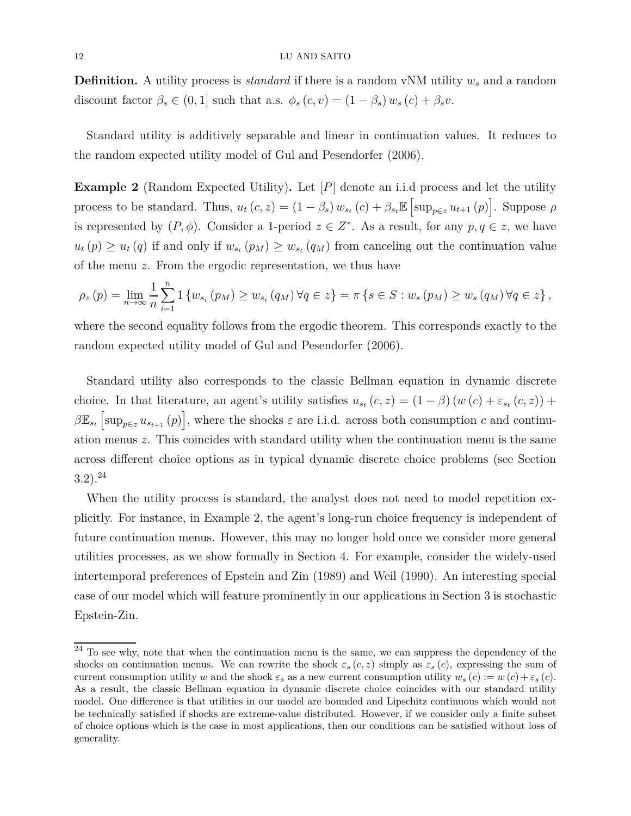**Definition.** A utility process is *standard* if there is a random vNM utility *w<sup>s</sup>* and a random discount factor  $\beta_s \in (0, 1]$  such that a.s.  $\phi_s(c, v) = (1 - \beta_s) w_s(c) + \beta_s v$ .

Standard utility is additively separable and linear in continuation values. It reduces to the random expected utility model of Gul and Pesendorfer (2006).

**Example 2** (Random Expected Utility)**.** Let [*P*] denote an i.i.d process and let the utility process to be standard. Thus,  $u_t(c, z) = (1 - \beta_s) w_{s_t}(c) + \beta_{s_t} \mathbb{E} \left[ \sup_{p \in z} u_{t+1}(p) \right]$ . Suppose  $\rho$ is represented by  $(P, \phi)$ . Consider a 1-period  $z \in Z^*$ . As a result, for any  $p, q \in z$ , we have  $u_t(p) \geq u_t(q)$  if and only if  $w_{s_t}(p_M) \geq w_{s_t}(q_M)$  from canceling out the continuation value of the menu *z*. From the ergodic representation, we thus have

$$
\rho_z(p) = \lim_{n \to \infty} \frac{1}{n} \sum_{i=1}^n 1 \left\{ w_{s_i}(p_M) \ge w_{s_i}(q_M) \, \forall q \in z \right\} = \pi \left\{ s \in S : w_s(p_M) \ge w_s(q_M) \, \forall q \in z \right\},\
$$

where the second equality follows from the ergodic theorem. This corresponds exactly to the random expected utility model of Gul and Pesendorfer (2006).

Standard utility also corresponds to the classic Bellman equation in dynamic discrete choice. In that literature, an agent's utility satisfies  $u_{s_t}(c, z) = (1 - \beta)(w(c) + \varepsilon_{s_t}(c, z)) +$  $\beta \mathbb{E}_{s_t} \left[ \sup_{p \in z} u_{s_{t+1}}(p) \right]$ , where the shocks  $\varepsilon$  are i.i.d. across both consumption *c* and continuation menus *z*. This coincides with standard utility when the continuation menu is the same across different choice options as in typical dynamic discrete choice problems (see Section 3.2).<sup>24</sup>

When the utility process is standard, the analyst does not need to model repetition explicitly. For instance, in Example 2, the agent's long-run choice frequency is independent of future continuation menus. However, this may no longer hold once we consider more general utilities processes, as we show formally in Section 4. For example, consider the widely-used intertemporal preferences of Epstein and Zin (1989) and Weil (1990). An interesting special case of our model which will feature prominently in our applications in Section 3 is stochastic Epstein-Zin.

 $^{24}$  To see why, note that when the continuation menu is the same, we can suppress the dependency of the shocks on continuation menus. We can rewrite the shock  $\varepsilon_s(c, z)$  simply as  $\varepsilon_s(c)$ , expressing the sum of current consumption utility *w* and the shock  $\varepsilon_s$  as a new current consumption utility  $w_s(c) := w(c) + \varepsilon_s(c)$ . As a result, the classic Bellman equation in dynamic discrete choice coincides with our standard utility model. One difference is that utilities in our model are bounded and Lipschitz continuous which would not be technically satisfied if shocks are extreme-value distributed. However, if we consider only a finite subset of choice options which is the case in most applications, then our conditions can be satisfied without loss of generality.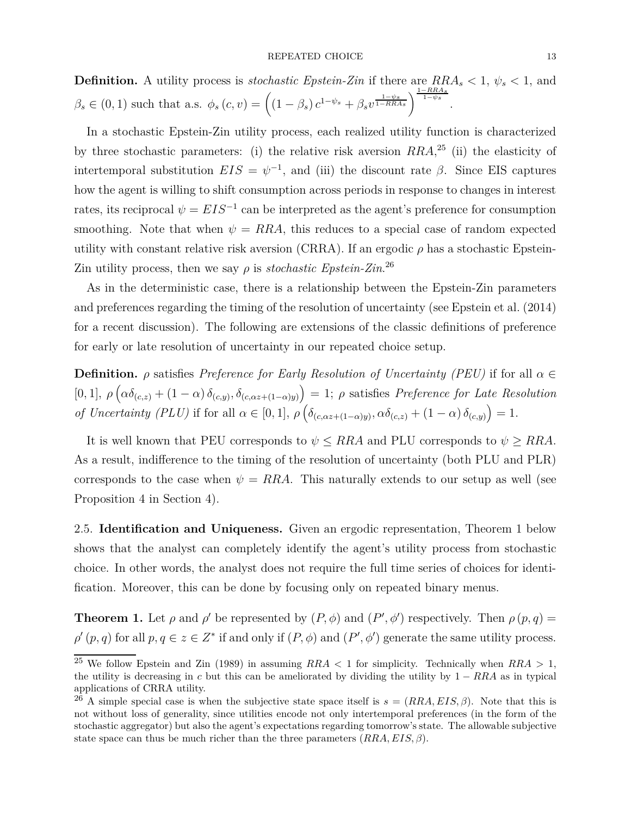**Definition.** A utility process is *stochastic Epstein-Zin* if there are  $RRA_s < 1$ ,  $\psi_s < 1$ , and  $\beta_s \in (0,1)$  such that a.s.  $\phi_s(c, v) = \left( (1 - \beta_s) c^{1 - \psi_s} + \beta_s v^{\frac{1 - \psi_s}{1 - \psi_s}} \right)^{\frac{1 - RR A_s}{1 - \psi_s}}$ .

In a stochastic Epstein-Zin utility process, each realized utility function is characterized by three stochastic parameters: (i) the relative risk aversion *RRA*, <sup>25</sup> (ii) the elasticity of intertemporal substitution  $EIS = \psi^{-1}$ , and (iii) the discount rate  $\beta$ . Since EIS captures how the agent is willing to shift consumption across periods in response to changes in interest rates, its reciprocal  $\psi = EIS^{-1}$  can be interpreted as the agent's preference for consumption smoothing. Note that when  $\psi = RRA$ , this reduces to a special case of random expected utility with constant relative risk aversion (CRRA). If an ergodic  $\rho$  has a stochastic Epstein-Zin utility process, then we say  $\rho$  is *stochastic Epstein-Zin*.<sup>26</sup>

As in the deterministic case, there is a relationship between the Epstein-Zin parameters and preferences regarding the timing of the resolution of uncertainty (see Epstein et al. (2014) for a recent discussion). The following are extensions of the classic definitions of preference for early or late resolution of uncertainty in our repeated choice setup.

**Definition.**  $\rho$  satisfies *Preference for Early Resolution of Uncertainty (PEU)* if for all  $\alpha \in$  $[0,1], \rho\left(\alpha\delta_{(c,z)} + (1-\alpha)\delta_{(c,y)}, \delta_{(c,\alpha z+(1-\alpha)y)}\right) = 1; \rho \text{ satisfies } Preference for Late Resolution$ *of Uncertainty (PLU)* if for all  $\alpha \in [0,1]$ ,  $\rho \left( \delta_{(c,\alpha z+(1-\alpha)y)}, \alpha \delta_{(c,z)} + (1-\alpha) \delta_{(c,y)} \right) = 1$ .

It is well known that PEU corresponds to  $\psi \leq RRA$  and PLU corresponds to  $\psi \geq RRA$ . As a result, indifference to the timing of the resolution of uncertainty (both PLU and PLR) corresponds to the case when  $\psi = RRA$ . This naturally extends to our setup as well (see Proposition 4 in Section 4).

2.5. **Identification and Uniqueness.** Given an ergodic representation, Theorem 1 below shows that the analyst can completely identify the agent's utility process from stochastic choice. In other words, the analyst does not require the full time series of choices for identification. Moreover, this can be done by focusing only on repeated binary menus.

**Theorem 1.** Let  $\rho$  and  $\rho'$  be represented by  $(P, \phi)$  and  $(P', \phi')$  respectively. Then  $\rho(p, q)$  =  $\rho'(p,q)$  for all  $p,q \in z \in Z^*$  if and only if  $(P,\phi)$  and  $(P',\phi')$  generate the same utility process.

<sup>25</sup> We follow Epstein and Zin (1989) in assuming *RRA <* 1 for simplicity. Technically when *RRA >* 1, the utility is decreasing in *c* but this can be ameliorated by dividing the utility by  $1 - RRA$  as in typical applications of CRRA utility.

<sup>&</sup>lt;sup>26</sup> A simple special case is when the subjective state space itself is  $s = (RRA, EIS, \beta)$ . Note that this is not without loss of generality, since utilities encode not only intertemporal preferences (in the form of the stochastic aggregator) but also the agent's expectations regarding tomorrow's state. The allowable subjective state space can thus be much richer than the three parameters (*RRA, EIS, β*).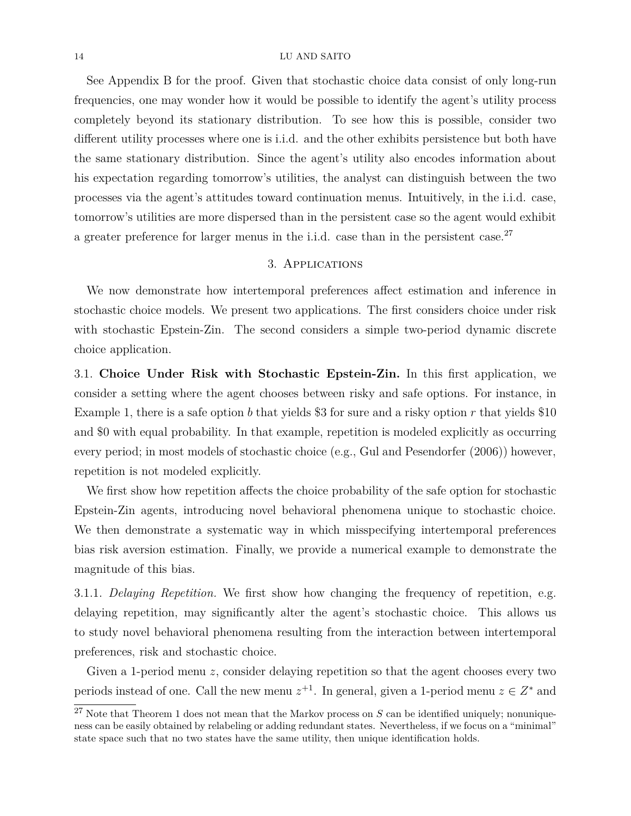See Appendix B for the proof. Given that stochastic choice data consist of only long-run frequencies, one may wonder how it would be possible to identify the agent's utility process completely beyond its stationary distribution. To see how this is possible, consider two different utility processes where one is i.i.d. and the other exhibits persistence but both have the same stationary distribution. Since the agent's utility also encodes information about his expectation regarding tomorrow's utilities, the analyst can distinguish between the two processes via the agent's attitudes toward continuation menus. Intuitively, in the i.i.d. case, tomorrow's utilities are more dispersed than in the persistent case so the agent would exhibit a greater preference for larger menus in the i.i.d. case than in the persistent case. $27$ 

# 3. Applications

We now demonstrate how intertemporal preferences affect estimation and inference in stochastic choice models. We present two applications. The first considers choice under risk with stochastic Epstein-Zin. The second considers a simple two-period dynamic discrete choice application.

3.1. **Choice Under Risk with Stochastic Epstein-Zin.** In this first application, we consider a setting where the agent chooses between risky and safe options. For instance, in Example 1, there is a safe option *b* that yields \$3 for sure and a risky option *r* that yields \$10 and \$0 with equal probability. In that example, repetition is modeled explicitly as occurring every period; in most models of stochastic choice (e.g., Gul and Pesendorfer (2006)) however, repetition is not modeled explicitly.

We first show how repetition affects the choice probability of the safe option for stochastic Epstein-Zin agents, introducing novel behavioral phenomena unique to stochastic choice. We then demonstrate a systematic way in which misspecifying intertemporal preferences bias risk aversion estimation. Finally, we provide a numerical example to demonstrate the magnitude of this bias.

3.1.1. *Delaying Repetition.* We first show how changing the frequency of repetition, e.g. delaying repetition, may significantly alter the agent's stochastic choice. This allows us to study novel behavioral phenomena resulting from the interaction between intertemporal preferences, risk and stochastic choice.

Given a 1-period menu *z*, consider delaying repetition so that the agent chooses every two periods instead of one. Call the new menu  $z^{+1}$ . In general, given a 1-period menu  $z \in Z^*$  and

<sup>&</sup>lt;sup>27</sup> Note that Theorem 1 does not mean that the Markov process on *S* can be identified uniquely; nonuniqueness can be easily obtained by relabeling or adding redundant states. Nevertheless, if we focus on a "minimal" state space such that no two states have the same utility, then unique identification holds.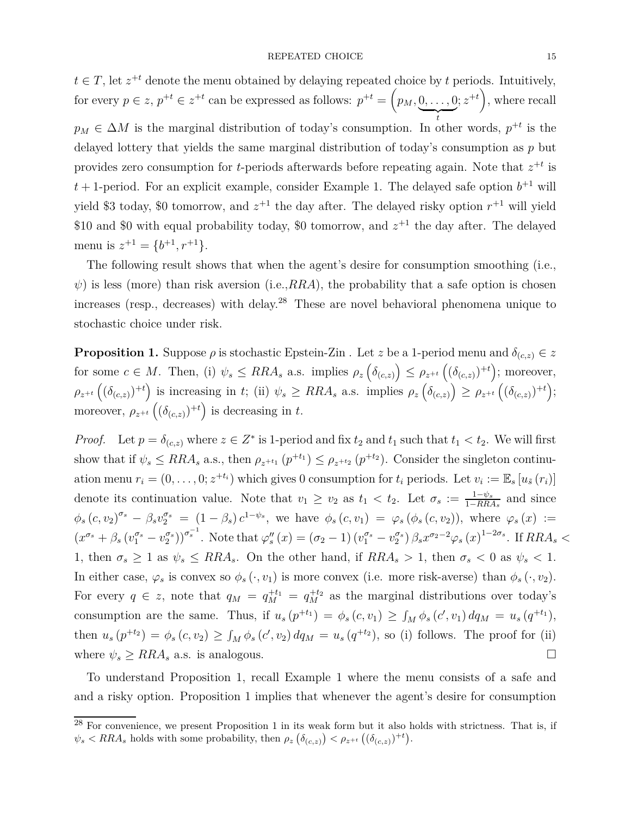$t \in T$ , let  $z^{+t}$  denote the menu obtained by delaying repeated choice by *t* periods. Intuitively, for every  $p \in z$ ,  $p^{+t} \in z^{+t}$  can be expressed as follows:  $p^{+t} = \left(p_M, 0, \ldots, 0\right)$  $\overline{\phantom{a}}_t$ *t*  $(z^{+t})$ , where recall  $p_M \in \Delta M$  is the marginal distribution of today's consumption. In other words,  $p^{+t}$  is the delayed lottery that yields the same marginal distribution of today's consumption as *p* but provides zero consumption for *t*-periods afterwards before repeating again. Note that  $z^{+t}$  is  $t+1$ -period. For an explicit example, consider Example 1. The delayed safe option  $b^{+1}$  will yield \$3 today, \$0 tomorrow, and  $z^{+1}$  the day after. The delayed risky option  $r^{+1}$  will yield \$10 and \$0 with equal probability today, \$0 tomorrow, and  $z^{+1}$  the day after. The delayed menu is  $z^{+1} = \{b^{+1}, r^{+1}\}.$ 

The following result shows that when the agent's desire for consumption smoothing (i.e.,  $\psi$ ) is less (more) than risk aversion (i.e.,*RRA*), the probability that a safe option is chosen increases (resp., decreases) with delay.<sup>28</sup> These are novel behavioral phenomena unique to stochastic choice under risk.

**Proposition 1.** Suppose  $\rho$  is stochastic Epstein-Zin . Let *z* be a 1-period menu and  $\delta_{(c,z)} \in z$ for some  $c \in M$ . Then, (i)  $\psi_s \leq RRA_s$  a.s. implies  $\rho_z \left( \delta_{(c,z)} \right) \leq \rho_{z^{+t}} \left( \left( \delta_{(c,z)} \right)^{+t} \right)$ ; moreover,  $\rho_{z^{+t}}((\delta_{(c,z)})^{+t})$  is increasing in t; (ii)  $\psi_s \geq RRA_s$  a.s. implies  $\rho_z(\delta_{(c,z)}) \geq \rho_{z^{+t}}((\delta_{(c,z)})^{+t});$ moreover,  $\rho_{z^{+t}}\left((\delta_{(c,z)})^{+t}\right)$  is decreasing in *t*.

*Proof.* Let  $p = \delta_{(c,z)}$  where  $z \in Z^*$  is 1-period and fix  $t_2$  and  $t_1$  such that  $t_1 < t_2$ . We will first show that if  $\psi_s \leq RRA_s$  a.s., then  $\rho_{z^{+t_1}}(p^{+t_1}) \leq \rho_{z^{+t_2}}(p^{+t_2})$ . Consider the singleton continuation menu  $r_i = (0, \ldots, 0; z^{+t_i})$  which gives 0 consumption for  $t_i$  periods. Let  $v_i := \mathbb{E}_s [u_{\tilde{s}}(r_i)]$ denote its continuation value. Note that  $v_1 \ge v_2$  as  $t_1 < t_2$ . Let  $\sigma_s := \frac{1-\psi_s}{1-RR}$  $\frac{1-\psi_s}{1-RRA_s}$  and since  $\phi_s(c, v_2)^{\sigma_s} - \beta_s v_2^{\sigma_s} = (1 - \beta_s) c^{1 - \psi_s}$ , we have  $\phi_s(c, v_1) = \varphi_s(\phi_s(c, v_2))$ , where  $\varphi_s(x) :=$  $(x^{\sigma_s}+\beta_s(v_1^{\sigma_s}-v_2^{\sigma_s}))^{\sigma_s^{-1}}$ . Note that  $\varphi_s''(x)=(\sigma_2-1)(v_1^{\sigma_s}-v_2^{\sigma_s})\beta_s x^{\sigma_2-2}\varphi_s(x)^{1-2\sigma_s}$ . If  $RRA_s <$ 1, then  $\sigma_s \geq 1$  as  $\psi_s \leq RRA_s$ . On the other hand, if  $RRA_s > 1$ , then  $\sigma_s < 0$  as  $\psi_s < 1$ . In either case,  $\varphi_s$  is convex so  $\phi_s(\cdot, v_1)$  is more convex (i.e. more risk-averse) than  $\phi_s(\cdot, v_2)$ . For every  $q \in z$ , note that  $q_M = q_M^{+t_1} = q_M^{+t_2}$  as the marginal distributions over today's consumption are the same. Thus, if  $u_s(p^{+t_1}) = \phi_s(c, v_1) \geq \int_M \phi_s(c', v_1) dq_M = u_s(q^{+t_1}),$ then  $u_s(p^{+t_2}) = \phi_s(c, v_2) \ge \int_M \phi_s(c', v_2) dq_M = u_s(q^{+t_2})$ , so (i) follows. The proof for (ii) where  $\psi_s \geq RRA_s$  a.s. is analogous.

To understand Proposition 1, recall Example 1 where the menu consists of a safe and and a risky option. Proposition 1 implies that whenever the agent's desire for consumption

 $^{28}$  For convenience, we present Proposition 1 in its weak form but it also holds with strictness. That is, if  $\psi_s$  < RRA<sub>*s*</sub> holds with some probability, then  $\rho_z \left( \delta_{(c,z)} \right)$  <  $\rho_{z^{+t}} \left( \left( \delta_{(c,z)} \right)^{+t} \right)$ .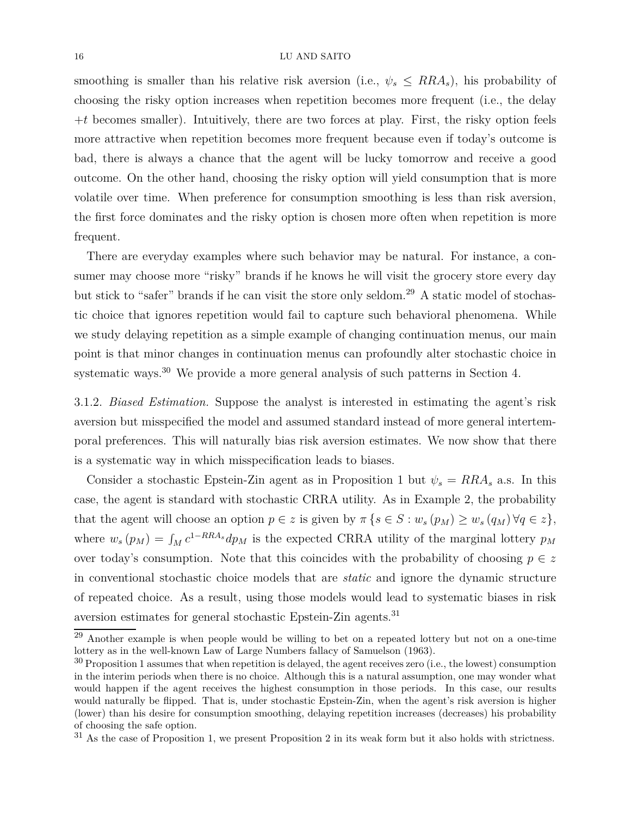smoothing is smaller than his relative risk aversion (i.e.,  $\psi_s \leq R R A_s$ ), his probability of choosing the risky option increases when repetition becomes more frequent (i.e., the delay +*t* becomes smaller). Intuitively, there are two forces at play. First, the risky option feels more attractive when repetition becomes more frequent because even if today's outcome is bad, there is always a chance that the agent will be lucky tomorrow and receive a good outcome. On the other hand, choosing the risky option will yield consumption that is more volatile over time. When preference for consumption smoothing is less than risk aversion, the first force dominates and the risky option is chosen more often when repetition is more frequent.

There are everyday examples where such behavior may be natural. For instance, a consumer may choose more "risky" brands if he knows he will visit the grocery store every day but stick to "safer" brands if he can visit the store only seldom.<sup>29</sup> A static model of stochastic choice that ignores repetition would fail to capture such behavioral phenomena. While we study delaying repetition as a simple example of changing continuation menus, our main point is that minor changes in continuation menus can profoundly alter stochastic choice in systematic ways.<sup>30</sup> We provide a more general analysis of such patterns in Section 4.

3.1.2. *Biased Estimation.* Suppose the analyst is interested in estimating the agent's risk aversion but misspecified the model and assumed standard instead of more general intertemporal preferences. This will naturally bias risk aversion estimates. We now show that there is a systematic way in which misspecification leads to biases.

Consider a stochastic Epstein-Zin agent as in Proposition 1 but  $\psi_s = R R A_s$  a.s. In this case, the agent is standard with stochastic CRRA utility. As in Example 2, the probability that the agent will choose an option  $p \in z$  is given by  $\pi \{s \in S : w_s(p_M) \geq w_s(q_M) \forall q \in z\},\$ where  $w_s(p_M) = \int_M c^{1-RRA_s} dp_M$  is the expected CRRA utility of the marginal lottery  $p_M$ over today's consumption. Note that this coincides with the probability of choosing  $p \in z$ in conventional stochastic choice models that are *static* and ignore the dynamic structure of repeated choice. As a result, using those models would lead to systematic biases in risk aversion estimates for general stochastic Epstein-Zin agents.<sup>31</sup>

 $^{29}$  Another example is when people would be willing to bet on a repeated lottery but not on a one-time lottery as in the well-known Law of Large Numbers fallacy of Samuelson (1963).

<sup>&</sup>lt;sup>30</sup> Proposition 1 assumes that when repetition is delayed, the agent receives zero (i.e., the lowest) consumption in the interim periods when there is no choice. Although this is a natural assumption, one may wonder what would happen if the agent receives the highest consumption in those periods. In this case, our results would naturally be flipped. That is, under stochastic Epstein-Zin, when the agent's risk aversion is higher (lower) than his desire for consumption smoothing, delaying repetition increases (decreases) his probability of choosing the safe option.

<sup>&</sup>lt;sup>31</sup> As the case of Proposition 1, we present Proposition 2 in its weak form but it also holds with strictness.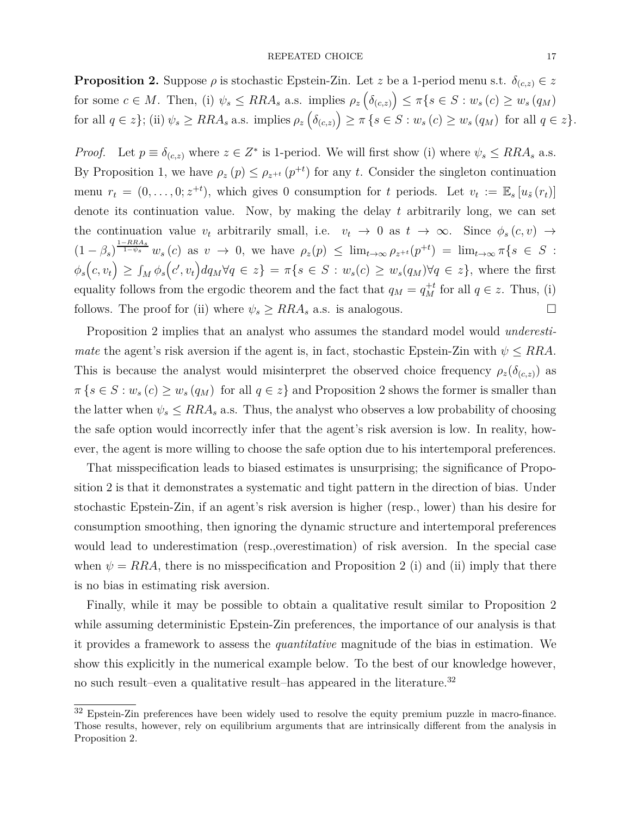**Proposition 2.** Suppose  $\rho$  is stochastic Epstein-Zin. Let *z* be a 1-period menu s.t.  $\delta_{(c,z)} \in z$ for some  $c \in M$ . Then, (i)  $\psi_s \leq R R A_s$  a.s. implies  $\rho_z(\delta_{(c,z)}) \leq \pi \{s \in S : w_s(c) \geq w_s(q_M)\}$ for all  $q \in z$ ; (ii)  $\psi_s \geq RRA_s$  a.s. implies  $\rho_z(\delta_{(c,z)}) \geq \pi \{ s \in S : w_s(c) \geq w_s(q_M) \text{ for all } q \in z \}.$ 

*Proof.* Let  $p \equiv \delta_{(c,z)}$  where  $z \in Z^*$  is 1-period. We will first show (i) where  $\psi_s \leq RRA_s$  a.s. By Proposition 1, we have  $\rho_z(p) \leq \rho_{z^{+t}}(p^{+t})$  for any *t*. Consider the singleton continuation menu  $r_t = (0, \ldots, 0; z^{+t})$ , which gives 0 consumption for *t* periods. Let  $v_t := \mathbb{E}_s[u_{\tilde{s}}(r_t)]$ denote its continuation value. Now, by making the delay *t* arbitrarily long, we can set the continuation value  $v_t$  arbitrarily small, i.e.  $v_t \to 0$  as  $t \to \infty$ . Since  $\phi_s(c, v) \to$  $(1-\beta_s)^{\frac{1-RR A_s}{1-\psi_s}} w_s(c)$  as  $v \to 0$ , we have  $\rho_z(p) \leq \lim_{t\to\infty} \rho_{z+t}(p^{+t}) = \lim_{t\to\infty} \pi\{s \in S$ :  $\phi_s(c, v_t) \geq \int_M \phi_s(c', v_t) dq_M \forall q \in z \} = \pi\{s \in S : w_s(c) \geq w_s(q_M) \forall q \in z\},\$  where the first equality follows from the ergodic theorem and the fact that  $q_M = q_M^{+t}$  for all  $q \in z$ . Thus, (i) follows. The proof for (ii) where  $\psi_s \geq RRA_s$  a.s. is analogous.

Proposition 2 implies that an analyst who assumes the standard model would *underestimate* the agent's risk aversion if the agent is, in fact, stochastic Epstein-Zin with  $\psi \leq RRA$ . This is because the analyst would misinterpret the observed choice frequency  $\rho_z(\delta_{(c,z)})$  as  $\pi \{s \in S : w_s(c) \geq w_s(q_M) \text{ for all } q \in \mathbb{Z}\}\$ and Proposition 2 shows the former is smaller than the latter when  $\psi_s \leq RRA_s$  a.s. Thus, the analyst who observes a low probability of choosing the safe option would incorrectly infer that the agent's risk aversion is low. In reality, however, the agent is more willing to choose the safe option due to his intertemporal preferences.

That misspecification leads to biased estimates is unsurprising; the significance of Proposition 2 is that it demonstrates a systematic and tight pattern in the direction of bias. Under stochastic Epstein-Zin, if an agent's risk aversion is higher (resp., lower) than his desire for consumption smoothing, then ignoring the dynamic structure and intertemporal preferences would lead to underestimation (resp.,overestimation) of risk aversion. In the special case when  $\psi = RRA$ , there is no misspecification and Proposition 2 (i) and (ii) imply that there is no bias in estimating risk aversion.

Finally, while it may be possible to obtain a qualitative result similar to Proposition 2 while assuming deterministic Epstein-Zin preferences, the importance of our analysis is that it provides a framework to assess the *quantitative* magnitude of the bias in estimation. We show this explicitly in the numerical example below. To the best of our knowledge however, no such result–even a qualitative result–has appeared in the literature.<sup>32</sup>

<sup>&</sup>lt;sup>32</sup> Epstein-Zin preferences have been widely used to resolve the equity premium puzzle in macro-finance. Those results, however, rely on equilibrium arguments that are intrinsically different from the analysis in Proposition 2.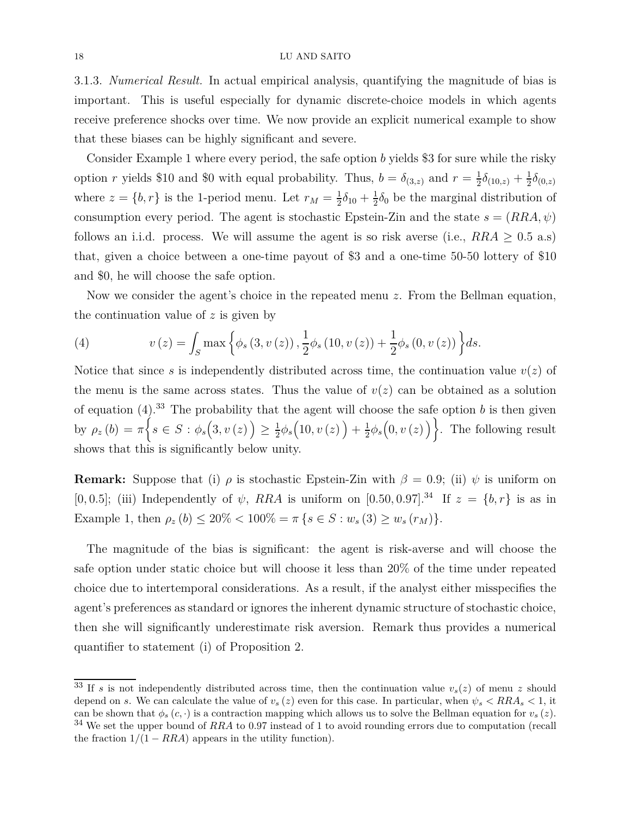3.1.3. *Numerical Result.* In actual empirical analysis, quantifying the magnitude of bias is important. This is useful especially for dynamic discrete-choice models in which agents receive preference shocks over time. We now provide an explicit numerical example to show that these biases can be highly significant and severe.

Consider Example 1 where every period, the safe option *b* yields \$3 for sure while the risky option *r* yields \$10 and \$0 with equal probability. Thus,  $b = \delta_{(3,z)}$  and  $r = \frac{1}{2}$  $\frac{1}{2}\delta_{(10,z)} + \frac{1}{2}$  $\frac{1}{2}\delta_{(0,z)}$ where  $z = \{b, r\}$  is the 1-period menu. Let  $r_M = \frac{1}{2}$  $\frac{1}{2}\delta_{10} + \frac{1}{2}$  $\frac{1}{2}\delta_0$  be the marginal distribution of consumption every period. The agent is stochastic Epstein-Zin and the state  $s = (RRA, \psi)$ follows an i.i.d. process. We will assume the agent is so risk averse (i.e.,  $RRA \geq 0.5$  a.s) that, given a choice between a one-time payout of \$3 and a one-time 50-50 lottery of \$10 and \$0, he will choose the safe option.

Now we consider the agent's choice in the repeated menu *z*. From the Bellman equation, the continuation value of *z* is given by

(4) 
$$
v(z) = \int_{S} \max \left\{ \phi_{s} (3, v(z)) , \frac{1}{2} \phi_{s} (10, v(z)) + \frac{1}{2} \phi_{s} (0, v(z)) \right\} ds.
$$

Notice that since *s* is independently distributed across time, the continuation value  $v(z)$  of the menu is the same across states. Thus the value of  $v(z)$  can be obtained as a solution of equation  $(4)$ .<sup>33</sup> The probability that the agent will choose the safe option *b* is then given by  $\rho_z(b) = \pi \Big\{ s \in S : \phi_s(3, v(z)) \geq \frac{1}{2}$  $\frac{1}{2}\phi_s\Big(10,v\left(z\right)\Big)+\frac{1}{2}$  $\frac{1}{2}\phi_s(0, v(z))\bigg\}$ . The following result shows that this is significantly below unity.

**Remark:** Suppose that (i)  $\rho$  is stochastic Epstein-Zin with  $\beta = 0.9$ ; (ii)  $\psi$  is uniform on [0*,* 0*.5*]; (iii) Independently of  $\psi$ , *RRA* is uniform on [0*.*50*,* 0*.*97].<sup>34</sup> If  $z = \{b, r\}$  is as in Example 1, then  $\rho_z(b) \leq 20\% < 100\% = \pi \{s \in S : w_s(3) \geq w_s(r_M)\}.$ 

The magnitude of the bias is significant: the agent is risk-averse and will choose the safe option under static choice but will choose it less than 20% of the time under repeated choice due to intertemporal considerations. As a result, if the analyst either misspecifies the agent's preferences as standard or ignores the inherent dynamic structure of stochastic choice, then she will significantly underestimate risk aversion. Remark thus provides a numerical quantifier to statement (i) of Proposition 2.

<sup>&</sup>lt;sup>33</sup> If *s* is not independently distributed across time, then the continuation value  $v_s(z)$  of menu *z* should depend on *s*. We can calculate the value of  $v_s(z)$  even for this case. In particular, when  $\psi_s \leq RRA_s \leq 1$ , it can be shown that  $\phi_s(c, \cdot)$  is a contraction mapping which allows us to solve the Bellman equation for  $v_s(z)$ . <sup>34</sup> We set the upper bound of *RRA* to 0*.*97 instead of 1 to avoid rounding errors due to computation (recall the fraction  $1/(1 - RRA)$  appears in the utility function).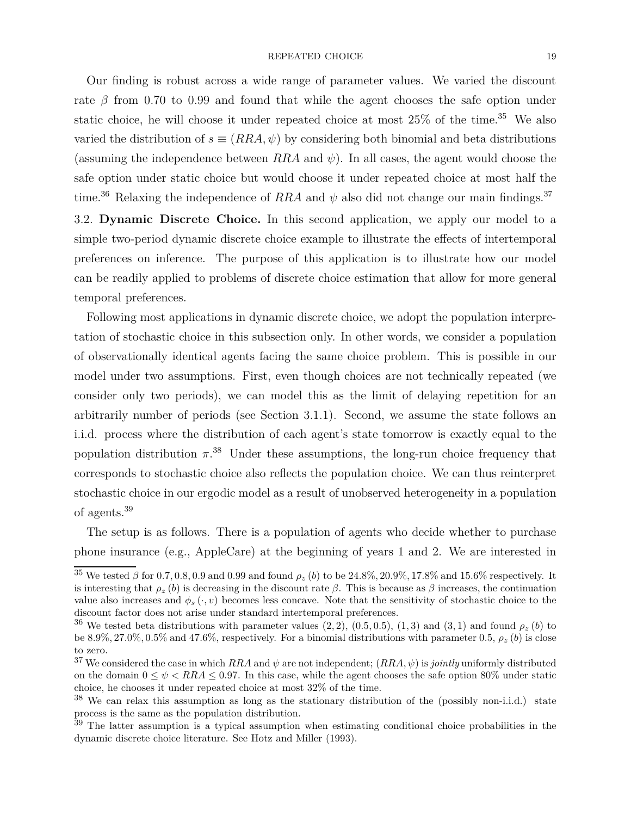### REPEATED CHOICE 19

Our finding is robust across a wide range of parameter values. We varied the discount rate  $\beta$  from 0.70 to 0.99 and found that while the agent chooses the safe option under static choice, he will choose it under repeated choice at most  $25\%$  of the time.<sup>35</sup> We also varied the distribution of  $s \equiv (RRA, \psi)$  by considering both binomial and beta distributions (assuming the independence between  $RRA$  and  $\psi$ ). In all cases, the agent would choose the safe option under static choice but would choose it under repeated choice at most half the time.<sup>36</sup> Relaxing the independence of *RRA* and  $\psi$  also did not change our main findings.<sup>37</sup>

3.2. **Dynamic Discrete Choice.** In this second application, we apply our model to a simple two-period dynamic discrete choice example to illustrate the effects of intertemporal preferences on inference. The purpose of this application is to illustrate how our model can be readily applied to problems of discrete choice estimation that allow for more general temporal preferences.

Following most applications in dynamic discrete choice, we adopt the population interpretation of stochastic choice in this subsection only. In other words, we consider a population of observationally identical agents facing the same choice problem. This is possible in our model under two assumptions. First, even though choices are not technically repeated (we consider only two periods), we can model this as the limit of delaying repetition for an arbitrarily number of periods (see Section 3.1.1). Second, we assume the state follows an i.i.d. process where the distribution of each agent's state tomorrow is exactly equal to the population distribution  $\pi$ <sup>38</sup> Under these assumptions, the long-run choice frequency that corresponds to stochastic choice also reflects the population choice. We can thus reinterpret stochastic choice in our ergodic model as a result of unobserved heterogeneity in a population of agents.<sup>39</sup>

The setup is as follows. There is a population of agents who decide whether to purchase phone insurance (e.g., AppleCare) at the beginning of years 1 and 2. We are interested in

<sup>&</sup>lt;sup>35</sup> We tested  $\beta$  for 0.7, 0.8, 0.9 and 0.99 and found  $\rho_z$  (*b*) to be 24.8%, 20.9%, 17.8% and 15.6% respectively. It is interesting that  $\rho_z(b)$  is decreasing in the discount rate  $\beta$ . This is because as  $\beta$  increases, the continuation value also increases and  $\phi_s(\cdot, v)$  becomes less concave. Note that the sensitivity of stochastic choice to the discount factor does not arise under standard intertemporal preferences.

<sup>&</sup>lt;sup>36</sup> We tested beta distributions with parameter values  $(2, 2)$ ,  $(0.5, 0.5)$ ,  $(1, 3)$  and  $(3, 1)$  and found  $\rho_z(b)$  to be 8.9%, 27.0%, 0.5% and 47.6%, respectively. For a binomial distributions with parameter 0.5,  $\rho_z(b)$  is close to zero.

<sup>&</sup>lt;sup>37</sup> We considered the case in which  $RRA$  and  $\psi$  are not independent;  $(RRA, \psi)$  is *jointly* uniformly distributed on the domain  $0 \leq \psi < RRA \leq 0.97$ . In this case, while the agent chooses the safe option 80% under static choice, he chooses it under repeated choice at most 32% of the time.

 $38$  We can relax this assumption as long as the stationary distribution of the (possibly non-i.i.d.) state process is the same as the population distribution.

 $39$  The latter assumption is a typical assumption when estimating conditional choice probabilities in the dynamic discrete choice literature. See Hotz and Miller (1993).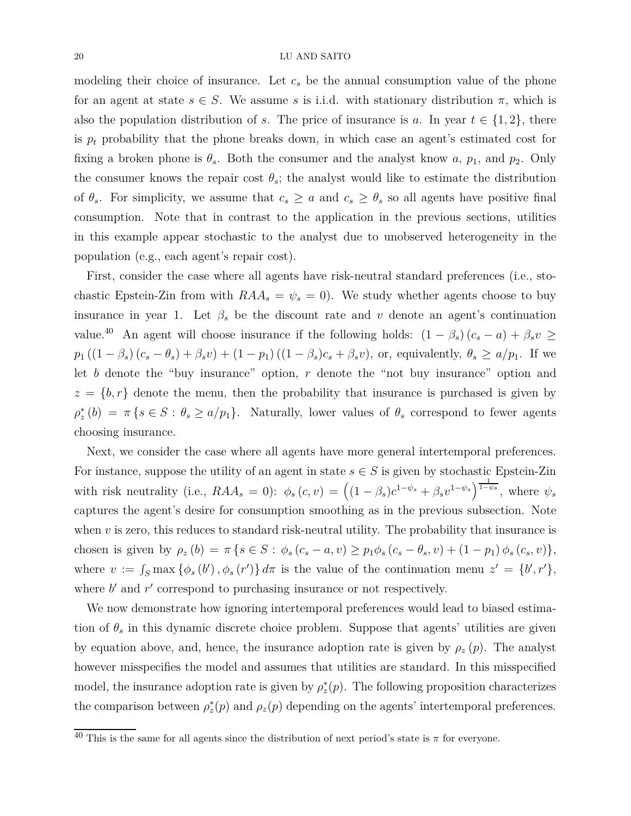modeling their choice of insurance. Let  $c<sub>s</sub>$  be the annual consumption value of the phone for an agent at state  $s \in S$ . We assume *s* is i.i.d. with stationary distribution  $\pi$ , which is also the population distribution of *s*. The price of insurance is *a*. In year  $t \in \{1, 2\}$ , there is  $p_t$  probability that the phone breaks down, in which case an agent's estimated cost for fixing a broken phone is  $\theta_s$ . Both the consumer and the analyst know *a*,  $p_1$ , and  $p_2$ . Only the consumer knows the repair cost  $\theta_s$ ; the analyst would like to estimate the distribution of  $\theta_s$ . For simplicity, we assume that  $c_s \geq a$  and  $c_s \geq \theta_s$  so all agents have positive final consumption. Note that in contrast to the application in the previous sections, utilities in this example appear stochastic to the analyst due to unobserved heterogeneity in the population (e.g., each agent's repair cost).

First, consider the case where all agents have risk-neutral standard preferences (i.e., stochastic Epstein-Zin from with  $RAA_s = \psi_s = 0$ . We study whether agents choose to buy insurance in year 1. Let  $\beta_s$  be the discount rate and *v* denote an agent's continuation value.<sup>40</sup> An agent will choose insurance if the following holds:  $(1 - \beta_s)(c_s - a) + \beta_s v \ge$  $p_1((1-\beta_s)(c_s-\theta_s)+\beta_s v)+(1-p_1)((1-\beta_s)c_s+\beta_s v)$ , or, equivalently,  $\theta_s\geq a/p_1$ . If we let *b* denote the "buy insurance" option, *r* denote the "not buy insurance" option and  $z = \{b, r\}$  denote the menu, then the probability that insurance is purchased is given by  $\rho_z^*(b) = \pi \{ s \in S : \theta_s \ge a/p_1 \}.$  Naturally, lower values of  $\theta_s$  correspond to fewer agents choosing insurance.

Next, we consider the case where all agents have more general intertemporal preferences. For instance, suppose the utility of an agent in state  $s \in S$  is given by stochastic Epstein-Zin with risk neutrality (i.e.,  $RAA_s = 0$ ):  $\phi_s(c, v) = ((1 - \beta_s)c^{1 - \psi_s} + \beta_s v^{1 - \psi_s})^{\frac{1}{1 - \psi_s}}$ , where  $\psi_s$ captures the agent's desire for consumption smoothing as in the previous subsection. Note when  $\nu$  is zero, this reduces to standard risk-neutral utility. The probability that insurance is chosen is given by  $\rho_z(b) = \pi \{ s \in S : \phi_s(c_s - a, v) \geq p_1 \phi_s(c_s - \theta_s, v) + (1 - p_1) \phi_s(c_s, v) \},$ where  $v := \int_S \max \{\phi_s(b'), \phi_s(r')\} d\pi$  is the value of the continuation menu  $z' = \{b', r'\},$ where  $b'$  and  $r'$  correspond to purchasing insurance or not respectively.

We now demonstrate how ignoring intertemporal preferences would lead to biased estimation of  $\theta_s$  in this dynamic discrete choice problem. Suppose that agents' utilities are given by equation above, and, hence, the insurance adoption rate is given by  $\rho_z(p)$ . The analyst however misspecifies the model and assumes that utilities are standard. In this misspecified model, the insurance adoption rate is given by  $\rho_z^*(p)$ . The following proposition characterizes the comparison between  $\rho_z^*(p)$  and  $\rho_z(p)$  depending on the agents' intertemporal preferences.

 $\overline{40}$  This is the same for all agents since the distribution of next period's state is  $\pi$  for everyone.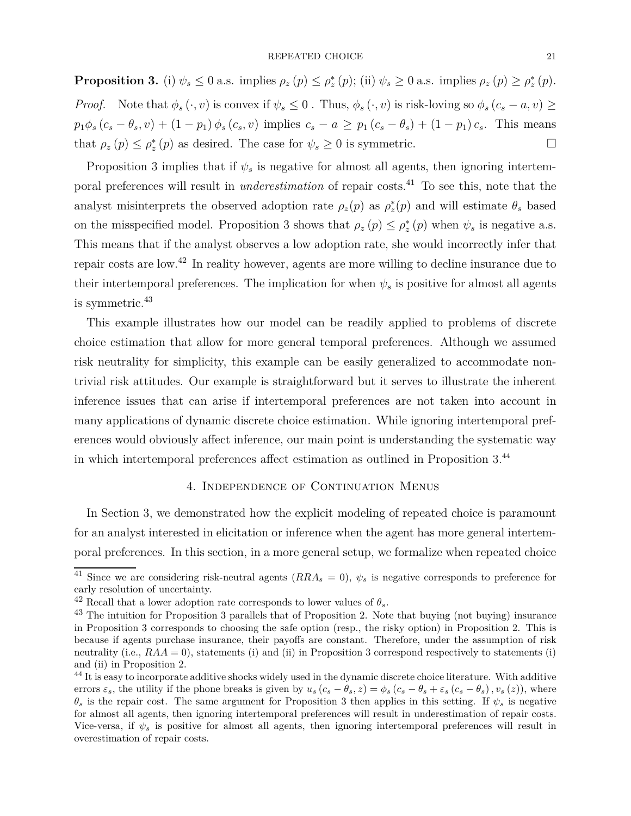**Proposition 3.** (i)  $\psi_s \leq 0$  a.s. implies  $\rho_z(p) \leq \rho_z^*(p)$ ; (ii)  $\psi_s \geq 0$  a.s. implies  $\rho_z(p) \geq \rho_z^*(p)$ . *Proof.* Note that  $\phi_s(\cdot, v)$  is convex if  $\psi_s \leq 0$ . Thus,  $\phi_s(\cdot, v)$  is risk-loving so  $\phi_s(c_s - a, v) \geq$  $p_1\phi_s(c_s - \theta_s, v) + (1 - p_1)\phi_s(c_s, v)$  implies  $c_s - a \geq p_1(c_s - \theta_s) + (1 - p_1)c_s$ . This means that  $\rho_z(p) \leq \rho_z^*(p)$  as desired. The case for  $\psi_s \geq 0$  is symmetric.

Proposition 3 implies that if  $\psi_s$  is negative for almost all agents, then ignoring intertemporal preferences will result in *underestimation* of repair costs.<sup>41</sup> To see this, note that the analyst misinterprets the observed adoption rate  $\rho_z(p)$  as  $\rho_z^*(p)$  and will estimate  $\theta_s$  based on the misspecified model. Proposition 3 shows that  $\rho_z(p) \leq \rho_z^*(p)$  when  $\psi_s$  is negative a.s. This means that if the analyst observes a low adoption rate, she would incorrectly infer that repair costs are low.<sup>42</sup> In reality however, agents are more willing to decline insurance due to their intertemporal preferences. The implication for when  $\psi_s$  is positive for almost all agents is symmetric.<sup>43</sup>

This example illustrates how our model can be readily applied to problems of discrete choice estimation that allow for more general temporal preferences. Although we assumed risk neutrality for simplicity, this example can be easily generalized to accommodate nontrivial risk attitudes. Our example is straightforward but it serves to illustrate the inherent inference issues that can arise if intertemporal preferences are not taken into account in many applications of dynamic discrete choice estimation. While ignoring intertemporal preferences would obviously affect inference, our main point is understanding the systematic way in which intertemporal preferences affect estimation as outlined in Proposition 3.<sup>44</sup>

## 4. Independence of Continuation Menus

In Section 3, we demonstrated how the explicit modeling of repeated choice is paramount for an analyst interested in elicitation or inference when the agent has more general intertemporal preferences. In this section, in a more general setup, we formalize when repeated choice

 $\overline{41}$  Since we are considering risk-neutral agents  $(RRA<sub>s</sub> = 0)$ ,  $\psi<sub>s</sub>$  is negative corresponds to preference for early resolution of uncertainty.

 $42$  Recall that a lower adoption rate corresponds to lower values of  $\theta_s$ .

<sup>&</sup>lt;sup>43</sup> The intuition for Proposition 3 parallels that of Proposition 2. Note that buying (not buying) insurance in Proposition 3 corresponds to choosing the safe option (resp., the risky option) in Proposition 2. This is because if agents purchase insurance, their payoffs are constant. Therefore, under the assumption of risk neutrality (i.e.,  $RAA = 0$ ), statements (i) and (ii) in Proposition 3 correspond respectively to statements (i) and (ii) in Proposition 2.

<sup>&</sup>lt;sup>44</sup> It is easy to incorporate additive shocks widely used in the dynamic discrete choice literature. With additive errors  $\varepsilon_s$ , the utility if the phone breaks is given by  $u_s(c_s - \theta_s, z) = \phi_s(c_s - \theta_s + \varepsilon_s(c_s - \theta_s), v_s(z))$ , where *θ<sup>s</sup>* is the repair cost. The same argument for Proposition 3 then applies in this setting. If *ψ<sup>s</sup>* is negative for almost all agents, then ignoring intertemporal preferences will result in underestimation of repair costs. Vice-versa, if  $\psi_s$  is positive for almost all agents, then ignoring intertemporal preferences will result in overestimation of repair costs.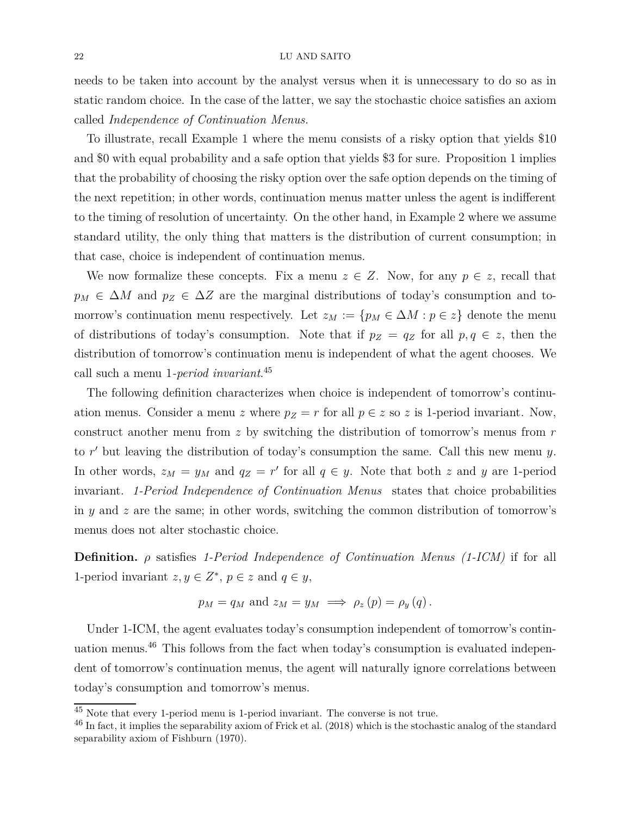needs to be taken into account by the analyst versus when it is unnecessary to do so as in static random choice. In the case of the latter, we say the stochastic choice satisfies an axiom called *Independence of Continuation Menus.*

To illustrate, recall Example 1 where the menu consists of a risky option that yields \$10 and \$0 with equal probability and a safe option that yields \$3 for sure. Proposition 1 implies that the probability of choosing the risky option over the safe option depends on the timing of the next repetition; in other words, continuation menus matter unless the agent is indifferent to the timing of resolution of uncertainty. On the other hand, in Example 2 where we assume standard utility, the only thing that matters is the distribution of current consumption; in that case, choice is independent of continuation menus.

We now formalize these concepts. Fix a menu  $z \in Z$ . Now, for any  $p \in z$ , recall that  $p_M \in \Delta M$  and  $p_Z \in \Delta Z$  are the marginal distributions of today's consumption and tomorrow's continuation menu respectively. Let  $z_M := \{p_M \in \Delta M : p \in z\}$  denote the menu of distributions of today's consumption. Note that if  $p_Z = q_Z$  for all  $p, q \in z$ , then the distribution of tomorrow's continuation menu is independent of what the agent chooses. We call such a menu 1*-period invariant*. 45

The following definition characterizes when choice is independent of tomorrow's continuation menus. Consider a menu *z* where  $p_Z = r$  for all  $p \in z$  so *z* is 1-period invariant. Now, construct another menu from *z* by switching the distribution of tomorrow's menus from *r* to *r* ′ but leaving the distribution of today's consumption the same. Call this new menu *y*. In other words,  $z_M = y_M$  and  $q_Z = r'$  for all  $q \in y$ . Note that both *z* and *y* are 1-period invariant. *1-Period Independence of Continuation Menus* states that choice probabilities in *y* and *z* are the same; in other words, switching the common distribution of tomorrow's menus does not alter stochastic choice.

**Definition.** *ρ* satisfies *1-Period Independence of Continuation Menus (1-ICM)* if for all 1-period invariant  $z, y \in \mathbb{Z}^*, p \in z$  and  $q \in y$ ,

$$
p_M = q_M
$$
 and  $z_M = y_M \implies \rho_z(p) = \rho_y(q)$ .

Under 1-ICM, the agent evaluates today's consumption independent of tomorrow's continuation menus.<sup>46</sup> This follows from the fact when today's consumption is evaluated independent of tomorrow's continuation menus, the agent will naturally ignore correlations between today's consumption and tomorrow's menus.

<sup>45</sup> Note that every 1-period menu is 1-period invariant. The converse is not true.

 $46$  In fact, it implies the separability axiom of Frick et al. (2018) which is the stochastic analog of the standard separability axiom of Fishburn (1970).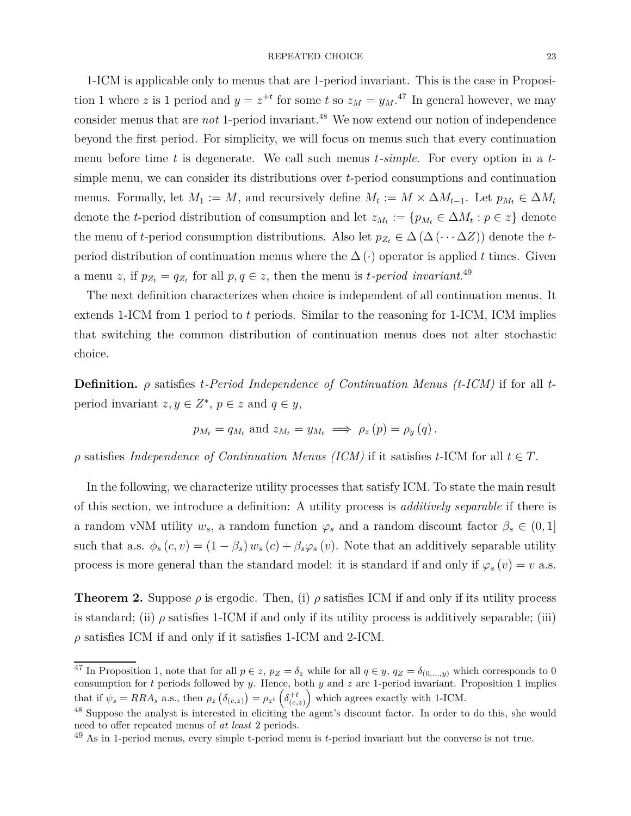1-ICM is applicable only to menus that are 1-period invariant. This is the case in Proposition 1 where *z* is 1 period and  $y = z^{+t}$  for some *t* so  $z_M = y_M$ .<sup>47</sup> In general however, we may consider menus that are *not* 1-period invariant.<sup>48</sup> We now extend our notion of independence beyond the first period. For simplicity, we will focus on menus such that every continuation menu before time *t* is degenerate. We call such menus *t-simple*. For every option in a *t*simple menu, we can consider its distributions over *t*-period consumptions and continuation menus. Formally, let  $M_1 := M$ , and recursively define  $M_t := M \times \Delta M_{t-1}$ . Let  $p_{M_t} \in \Delta M_t$ denote the *t*-period distribution of consumption and let  $z_{M_t} := \{p_{M_t} \in \Delta M_t : p \in z\}$  denote the menu of *t*-period consumption distributions. Also let  $p_{Z_t} \in \Delta(\Delta(\cdots \Delta Z))$  denote the *t*period distribution of continuation menus where the  $\Delta(\cdot)$  operator is applied *t* times. Given a menu *z*, if  $p_{Z_t} = q_{Z_t}$  for all  $p, q \in \mathbb{Z}$ , then the menu is *t*-period invariant.<sup>49</sup>

The next definition characterizes when choice is independent of all continuation menus. It extends 1-ICM from 1 period to *t* periods. Similar to the reasoning for 1-ICM, ICM implies that switching the common distribution of continuation menus does not alter stochastic choice.

**Definition.** *ρ* satisfies *t-Period Independence of Continuation Menus (t-ICM)* if for all *t*period invariant  $z, y \in \mathbb{Z}^*, p \in z$  and  $q \in y$ ,

$$
p_{M_t} = q_{M_t}
$$
 and  $z_{M_t} = y_{M_t} \implies \rho_z(p) = \rho_y(q)$ .

 $\rho$  satisfies *Independence of Continuation Menus (ICM)* if it satisfies *t*-ICM for all  $t \in T$ .

In the following, we characterize utility processes that satisfy ICM. To state the main result of this section, we introduce a definition: A utility process is *additively separable* if there is a random vNM utility  $w_s$ , a random function  $\varphi_s$  and a random discount factor  $\beta_s \in (0,1]$ such that a.s.  $\phi_s(c, v) = (1 - \beta_s) w_s(c) + \beta_s \varphi_s(v)$ . Note that an additively separable utility process is more general than the standard model: it is standard if and only if  $\varphi_s(v) = v$  a.s.

**Theorem 2.** Suppose  $\rho$  is ergodic. Then, (i)  $\rho$  satisfies ICM if and only if its utility process is standard; (ii)  $\rho$  satisfies 1-ICM if and only if its utility process is additively separable; (iii)  $\rho$  satisfies ICM if and only if it satisfies 1-ICM and 2-ICM.

<sup>&</sup>lt;sup>47</sup> In Proposition 1, note that for all  $p \in z$ ,  $p_Z = \delta_z$  while for all  $q \in y$ ,  $q_Z = \delta_{(0,\ldots,y)}$  which corresponds to 0 consumption for *t* periods followed by *y*. Hence, both *y* and *z* are 1-period invariant. Proposition 1 implies that if  $\psi_s = RRA_s$  a.s., then  $\rho_z \left( \delta_{(c,z)} \right) = \rho_{z^t} \left( \delta_{(c,z)}^{+t} \right)$  which agrees exactly with 1-ICM.

<sup>48</sup> Suppose the analyst is interested in eliciting the agent's discount factor. In order to do this, she would need to offer repeated menus of *at least* 2 periods.

<sup>49</sup> As in 1-period menus, every simple t-period menu is *t*-period invariant but the converse is not true.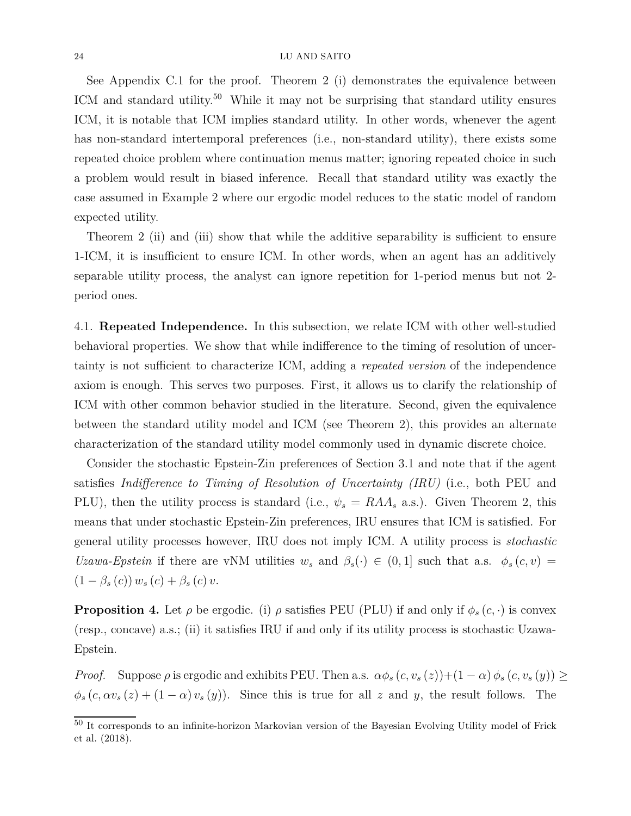See Appendix C.1 for the proof. Theorem 2 (i) demonstrates the equivalence between ICM and standard utility.<sup>50</sup> While it may not be surprising that standard utility ensures ICM, it is notable that ICM implies standard utility. In other words, whenever the agent has non-standard intertemporal preferences (i.e., non-standard utility), there exists some repeated choice problem where continuation menus matter; ignoring repeated choice in such a problem would result in biased inference. Recall that standard utility was exactly the case assumed in Example 2 where our ergodic model reduces to the static model of random expected utility.

Theorem 2 (ii) and (iii) show that while the additive separability is sufficient to ensure 1-ICM, it is insufficient to ensure ICM. In other words, when an agent has an additively separable utility process, the analyst can ignore repetition for 1-period menus but not 2 period ones.

4.1. **Repeated Independence.** In this subsection, we relate ICM with other well-studied behavioral properties. We show that while indifference to the timing of resolution of uncertainty is not sufficient to characterize ICM, adding a *repeated version* of the independence axiom is enough. This serves two purposes. First, it allows us to clarify the relationship of ICM with other common behavior studied in the literature. Second, given the equivalence between the standard utility model and ICM (see Theorem 2), this provides an alternate characterization of the standard utility model commonly used in dynamic discrete choice.

Consider the stochastic Epstein-Zin preferences of Section 3.1 and note that if the agent satisfies *Indifference to Timing of Resolution of Uncertainty (IRU)* (i.e., both PEU and PLU), then the utility process is standard (i.e.,  $\psi_s = R A A_s$  a.s.). Given Theorem 2, this means that under stochastic Epstein-Zin preferences, IRU ensures that ICM is satisfied. For general utility processes however, IRU does not imply ICM. A utility process is *stochastic Uzawa-Epstein* if there are vNM utilities  $w_s$  and  $\beta_s(\cdot) \in (0,1]$  such that a.s.  $\phi_s(c, v)$  =  $(1 - \beta_s(c)) w_s(c) + \beta_s(c) v.$ 

**Proposition 4.** Let  $\rho$  be ergodic. (i)  $\rho$  satisfies PEU (PLU) if and only if  $\phi_s(c, \cdot)$  is convex (resp., concave) a.s.; (ii) it satisfies IRU if and only if its utility process is stochastic Uzawa-Epstein.

*Proof.* Suppose  $\rho$  is ergodic and exhibits PEU. Then a.s.  $\alpha \phi_s(c, v_s(z)) + (1 - \alpha) \phi_s(c, v_s(y)) \ge$  $\phi_s(c, \alpha v_s(z) + (1 - \alpha) v_s(y))$ . Since this is true for all *z* and *y*, the result follows. The

<sup>50</sup> It corresponds to an infinite-horizon Markovian version of the Bayesian Evolving Utility model of Frick et al. (2018).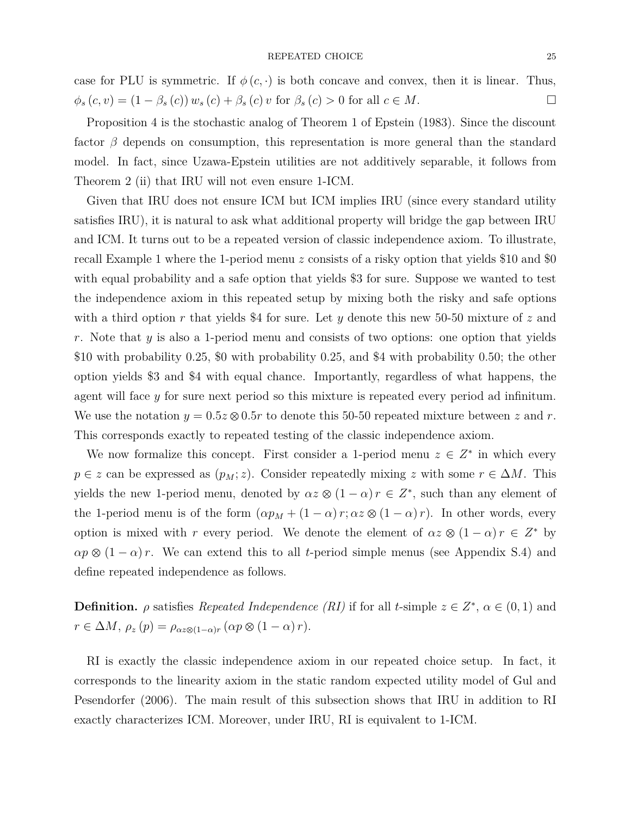### REPEATED CHOICE 25

case for PLU is symmetric. If  $\phi(c, \cdot)$  is both concave and convex, then it is linear. Thus,  $\phi_s(c, v) = (1 - \beta_s(c)) w_s(c) + \beta_s(c) v$  for  $\beta_s(c) > 0$  for all  $c \in M$ .

Proposition 4 is the stochastic analog of Theorem 1 of Epstein (1983). Since the discount factor *β* depends on consumption, this representation is more general than the standard model. In fact, since Uzawa-Epstein utilities are not additively separable, it follows from Theorem 2 (ii) that IRU will not even ensure 1-ICM.

Given that IRU does not ensure ICM but ICM implies IRU (since every standard utility satisfies IRU), it is natural to ask what additional property will bridge the gap between IRU and ICM. It turns out to be a repeated version of classic independence axiom. To illustrate, recall Example 1 where the 1-period menu *z* consists of a risky option that yields \$10 and \$0 with equal probability and a safe option that yields \$3 for sure. Suppose we wanted to test the independence axiom in this repeated setup by mixing both the risky and safe options with a third option *r* that yields \$4 for sure. Let *y* denote this new 50-50 mixture of *z* and *r*. Note that *y* is also a 1-period menu and consists of two options: one option that yields \$10 with probability 0*.*25, \$0 with probability 0*.*25, and \$4 with probability 0*.*50; the other option yields \$3 and \$4 with equal chance. Importantly, regardless of what happens, the agent will face *y* for sure next period so this mixture is repeated every period ad infinitum. We use the notation  $y = 0.5z \otimes 0.5r$  to denote this 50-50 repeated mixture between z and r. This corresponds exactly to repeated testing of the classic independence axiom.

We now formalize this concept. First consider a 1-period menu  $z \in Z^*$  in which every  $p \in z$  can be expressed as  $(p_M; z)$ . Consider repeatedly mixing *z* with some  $r \in \Delta M$ . This yields the new 1-period menu, denoted by  $\alpha z \otimes (1 - \alpha) r \in Z^*$ , such than any element of the 1-period menu is of the form  $(\alpha p_M + (1 - \alpha) r; \alpha z \otimes (1 - \alpha) r)$ . In other words, every option is mixed with *r* every period. We denote the element of  $\alpha z \otimes (1 - \alpha) r \in Z^*$  by  $\alpha p \otimes (1 - \alpha) r$ . We can extend this to all *t*-period simple menus (see Appendix S.4) and define repeated independence as follows.

**Definition.**  $\rho$  satisfies *Repeated Independence (RI)* if for all *t*-simple  $z \in Z^*$ ,  $\alpha \in (0,1)$  and  $r \in \Delta M$ ,  $\rho_z(p) = \rho_{\alpha z \otimes (1-\alpha)r} (\alpha p \otimes (1-\alpha)r)$ .

RI is exactly the classic independence axiom in our repeated choice setup. In fact, it corresponds to the linearity axiom in the static random expected utility model of Gul and Pesendorfer (2006). The main result of this subsection shows that IRU in addition to RI exactly characterizes ICM. Moreover, under IRU, RI is equivalent to 1-ICM.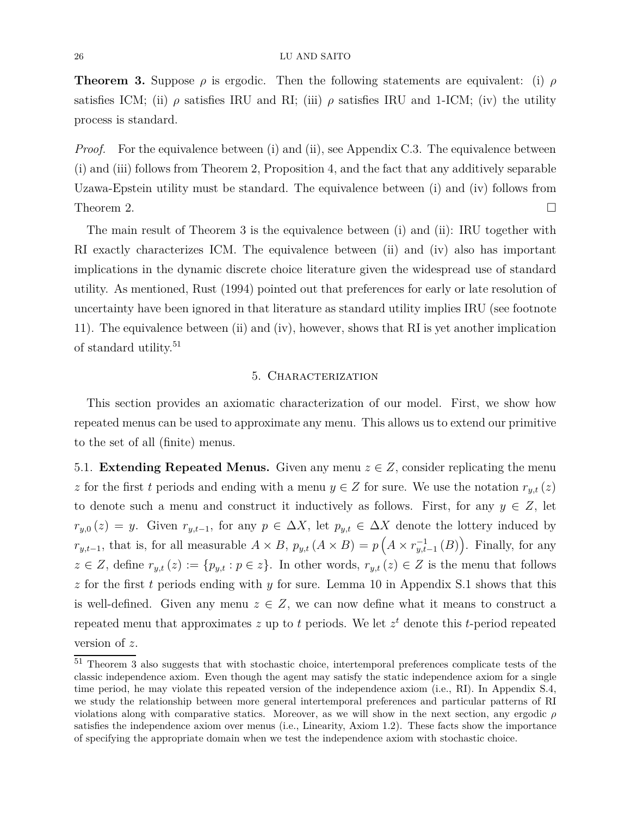**Theorem 3.** Suppose  $\rho$  is ergodic. Then the following statements are equivalent: (i)  $\rho$ satisfies ICM; (ii)  $\rho$  satisfies IRU and RI; (iii)  $\rho$  satisfies IRU and 1-ICM; (iv) the utility process is standard.

*Proof.* For the equivalence between (i) and (ii), see Appendix C.3. The equivalence between (i) and (iii) follows from Theorem 2, Proposition 4, and the fact that any additively separable Uzawa-Epstein utility must be standard. The equivalence between (i) and (iv) follows from Theorem 2.  $\Box$ 

The main result of Theorem 3 is the equivalence between (i) and (ii): IRU together with RI exactly characterizes ICM. The equivalence between (ii) and (iv) also has important implications in the dynamic discrete choice literature given the widespread use of standard utility. As mentioned, Rust (1994) pointed out that preferences for early or late resolution of uncertainty have been ignored in that literature as standard utility implies IRU (see footnote 11). The equivalence between (ii) and (iv), however, shows that RI is yet another implication of standard utility.<sup>51</sup>

# 5. Characterization

This section provides an axiomatic characterization of our model. First, we show how repeated menus can be used to approximate any menu. This allows us to extend our primitive to the set of all (finite) menus.

5.1. **Extending Repeated Menus.** Given any menu  $z \in Z$ , consider replicating the menu *z* for the first *t* periods and ending with a menu  $y \in Z$  for sure. We use the notation  $r_{y,t}(z)$ to denote such a menu and construct it inductively as follows. First, for any  $y \in Z$ , let  $r_{y,0}(z) = y$ . Given  $r_{y,t-1}$ , for any  $p \in \Delta X$ , let  $p_{y,t} \in \Delta X$  denote the lottery induced by *r*<sub>*y*,*t*−1</sub>, that is, for all measurable  $A \times B$ ,  $p_{y,t}$  ( $A \times B$ ) =  $p(A \times r_{y,t-1}^{-1}(B))$ . Finally, for any  $z \in Z$ , define  $r_{y,t}(z) := \{p_{y,t} : p \in z\}$ . In other words,  $r_{y,t}(z) \in Z$  is the menu that follows *z* for the first *t* periods ending with *y* for sure. Lemma 10 in Appendix S.1 shows that this is well-defined. Given any menu  $z \in Z$ , we can now define what it means to construct a repeated menu that approximates *z* up to *t* periods. We let *z <sup>t</sup>* denote this *t*-period repeated version of *z*.

<sup>51</sup> Theorem 3 also suggests that with stochastic choice, intertemporal preferences complicate tests of the classic independence axiom. Even though the agent may satisfy the static independence axiom for a single time period, he may violate this repeated version of the independence axiom (i.e., RI). In Appendix S.4, we study the relationship between more general intertemporal preferences and particular patterns of RI violations along with comparative statics. Moreover, as we will show in the next section, any ergodic *ρ* satisfies the independence axiom over menus (i.e., Linearity, Axiom 1.2). These facts show the importance of specifying the appropriate domain when we test the independence axiom with stochastic choice.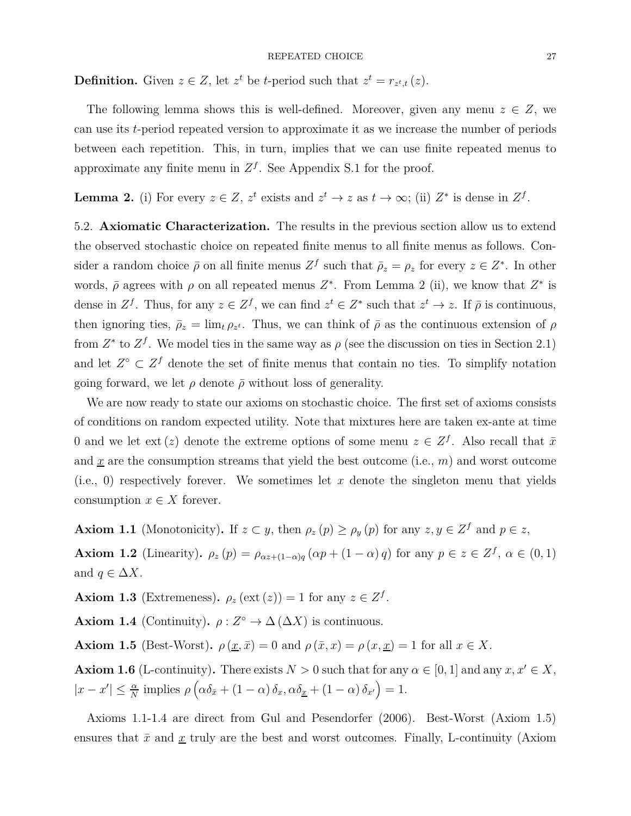**Definition.** Given  $z \in Z$ , let  $z^t$  be *t*-period such that  $z^t = r_{z^t,t}(z)$ .

The following lemma shows this is well-defined. Moreover, given any menu  $z \in Z$ , we can use its *t*-period repeated version to approximate it as we increase the number of periods between each repetition. This, in turn, implies that we can use finite repeated menus to approximate any finite menu in  $Z<sup>f</sup>$ . See Appendix S.1 for the proof.

**Lemma 2.** (i) For every  $z \in Z$ ,  $z^t$  exists and  $z^t \to z$  as  $t \to \infty$ ; (ii)  $Z^*$  is dense in  $Z^f$ .

5.2. **Axiomatic Characterization.** The results in the previous section allow us to extend the observed stochastic choice on repeated finite menus to all finite menus as follows. Consider a random choice  $\bar{\rho}$  on all finite menus  $Z^f$  such that  $\bar{\rho}_z = \rho_z$  for every  $z \in Z^*$ . In other words,  $\bar{\rho}$  agrees with  $\rho$  on all repeated menus  $Z^*$ . From Lemma 2 (ii), we know that  $Z^*$  is dense in  $Z^f$ . Thus, for any  $z \in Z^f$ , we can find  $z^t \in Z^*$  such that  $z^t \to z$ . If  $\overline{\rho}$  is continuous, then ignoring ties,  $\bar{\rho}_z = \lim_t \rho_{z^t}$ . Thus, we can think of  $\bar{\rho}$  as the continuous extension of  $\rho$ from  $Z^*$  to  $Z^f$ . We model ties in the same way as  $\rho$  (see the discussion on ties in Section 2.1) and let  $Z^{\circ} \subset Z^f$  denote the set of finite menus that contain no ties. To simplify notation going forward, we let  $\rho$  denote  $\bar{\rho}$  without loss of generality.

We are now ready to state our axioms on stochastic choice. The first set of axioms consists of conditions on random expected utility. Note that mixtures here are taken ex-ante at time 0 and we let ext (*z*) denote the extreme options of some menu  $z \in \mathbb{Z}^f$ . Also recall that  $\bar{x}$ and  $\underline{x}$  are the consumption streams that yield the best outcome (i.e.,  $m$ ) and worst outcome (i.e., 0) respectively forever. We sometimes let *x* denote the singleton menu that yields consumption  $x \in X$  forever.

**Axiom 1.1** (Monotonicity). If  $z \subset y$ , then  $\rho_z(p) \ge \rho_y(p)$  for any  $z, y \in Z^f$  and  $p \in z$ ,

**Axiom 1.2** (Linearity).  $\rho_z(p) = \rho_{\alpha z + (1-\alpha)q}(\alpha p + (1-\alpha)q)$  for any  $p \in z \in \mathbb{Z}^f$ ,  $\alpha \in (0,1)$ and  $q \in \Delta X$ .

**Axiom 1.3** (Extremeness).  $\rho_z$  (ext (*z*)) = 1 for any  $z \in Z^f$ .

**Axiom 1.4** (Continuity).  $\rho: Z^{\circ} \to \Delta(\Delta X)$  is continuous.

**Axiom 1.5** (Best-Worst).  $\rho(\underline{x}, \overline{x}) = 0$  and  $\rho(\overline{x}, x) = \rho(x, \underline{x}) = 1$  for all  $x \in X$ .

**Axiom 1.6** (L-continuity). There exists  $N > 0$  such that for any  $\alpha \in [0, 1]$  and any  $x, x' \in X$ ,  $|x - x'| \leq \frac{\alpha}{N}$  implies  $\rho\left(\alpha \delta_{\bar{x}} + (1 - \alpha) \delta_x, \alpha \delta_{\underline{x}} + (1 - \alpha) \delta_{x'}\right) = 1.$ 

Axioms 1.1-1.4 are direct from Gul and Pesendorfer (2006). Best-Worst (Axiom 1.5) ensures that  $\bar{x}$  and  $\underline{x}$  truly are the best and worst outcomes. Finally, L-continuity (Axiom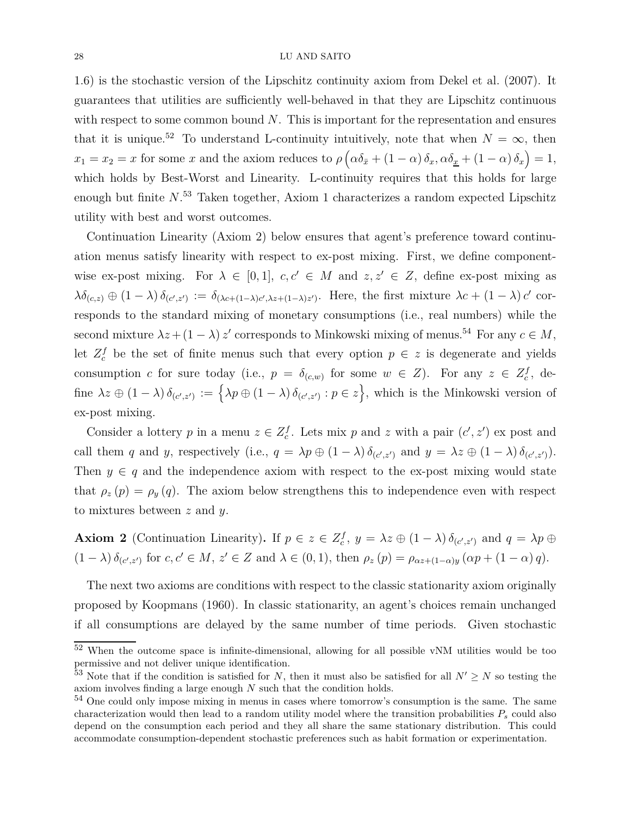1.6) is the stochastic version of the Lipschitz continuity axiom from Dekel et al. (2007). It guarantees that utilities are sufficiently well-behaved in that they are Lipschitz continuous with respect to some common bound *N*. This is important for the representation and ensures that it is unique.<sup>52</sup> To understand L-continuity intuitively, note that when  $N = \infty$ , then  $x_1 = x_2 = x$  for some *x* and the axiom reduces to  $\rho \left( \alpha \delta_{\bar{x}} + (1 - \alpha) \delta_x, \alpha \delta_{\underline{x}} + (1 - \alpha) \delta_x \right) = 1$ , which holds by Best-Worst and Linearity. L-continuity requires that this holds for large enough but finite *N*. <sup>53</sup> Taken together, Axiom 1 characterizes a random expected Lipschitz utility with best and worst outcomes.

Continuation Linearity (Axiom 2) below ensures that agent's preference toward continuation menus satisfy linearity with respect to ex-post mixing. First, we define componentwise ex-post mixing. For  $\lambda \in [0,1]$ ,  $c, c' \in M$  and  $z, z' \in Z$ , define ex-post mixing as  $\lambda \delta_{(c,z)} \oplus (1-\lambda) \delta_{(c',z')} := \delta_{(\lambda c+(1-\lambda)c',\lambda z+(1-\lambda)z')}$ . Here, the first mixture  $\lambda c + (1-\lambda) c'$  corresponds to the standard mixing of monetary consumptions (i.e., real numbers) while the second mixture  $\lambda z + (1 - \lambda) z'$  corresponds to Minkowski mixing of menus.<sup>54</sup> For any  $c \in M$ , let  $Z_c^f$  be the set of finite menus such that every option  $p \in z$  is degenerate and yields consumption *c* for sure today (i.e.,  $p = \delta_{(c,w)}$  for some  $w \in Z$ ). For any  $z \in Z_c^f$ , define  $\lambda z \oplus (1-\lambda) \delta_{(c',z')} := \{\lambda p \oplus (1-\lambda) \delta_{(c',z')} : p \in z\},\$  which is the Minkowski version of ex-post mixing.

Consider a lottery *p* in a menu  $z \in Z_c^f$ . Lets mix *p* and *z* with a pair  $(c', z')$  ex post and call them *q* and *y*, respectively (i.e.,  $q = \lambda p \oplus (1 - \lambda) \delta_{(c',z')}$  and  $y = \lambda z \oplus (1 - \lambda) \delta_{(c',z')}$ ). Then  $y \in q$  and the independence axiom with respect to the ex-post mixing would state that  $\rho_z(p) = \rho_y(q)$ . The axiom below strengthens this to independence even with respect to mixtures between *z* and *y*.

**Axiom 2** (Continuation Linearity). If  $p \in z \in \mathbb{Z}_c^f$ ,  $y = \lambda z \oplus (1 - \lambda) \delta_{(c', z')}$  and  $q = \lambda p \oplus z$  $(1 - \lambda) \delta_{(c',z')}$  for  $c, c' \in M$ ,  $z' \in Z$  and  $\lambda \in (0,1)$ , then  $\rho_z(p) = \rho_{\alpha z + (1-\alpha)y} (\alpha p + (1-\alpha) q)$ .

The next two axioms are conditions with respect to the classic stationarity axiom originally proposed by Koopmans (1960). In classic stationarity, an agent's choices remain unchanged if all consumptions are delayed by the same number of time periods. Given stochastic

<sup>52</sup> When the outcome space is infinite-dimensional, allowing for all possible vNM utilities would be too permissive and not deliver unique identification.

<sup>&</sup>lt;sup>53</sup> Note that if the condition is satisfied for *N*, then it must also be satisfied for all  $N' \geq N$  so testing the axiom involves finding a large enough *N* such that the condition holds.

 $54$  One could only impose mixing in menus in cases where tomorrow's consumption is the same. The same characterization would then lead to a random utility model where the transition probabilities *P<sup>s</sup>* could also depend on the consumption each period and they all share the same stationary distribution. This could accommodate consumption-dependent stochastic preferences such as habit formation or experimentation.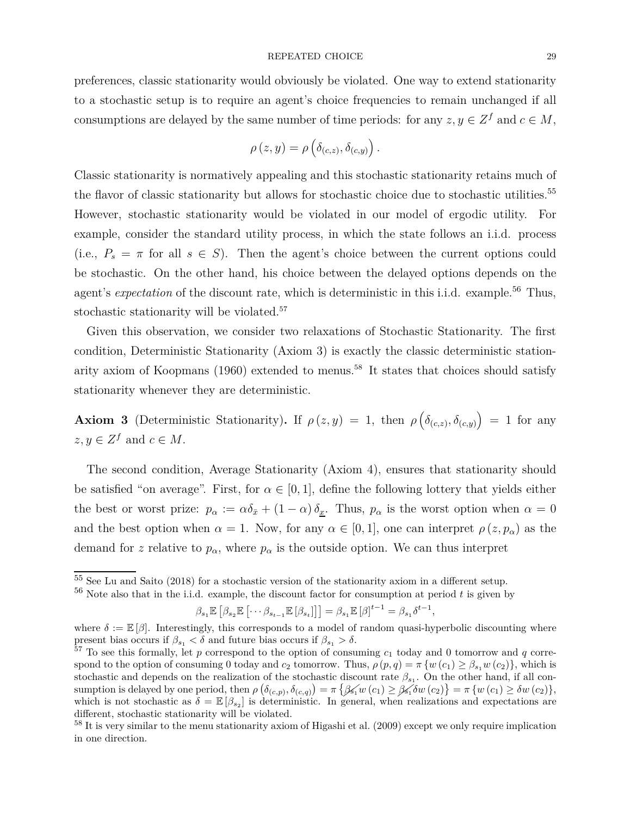preferences, classic stationarity would obviously be violated. One way to extend stationarity to a stochastic setup is to require an agent's choice frequencies to remain unchanged if all consumptions are delayed by the same number of time periods: for any  $z, y \in \mathbb{Z}^f$  and  $c \in M$ ,

$$
\rho(z,y) = \rho\left(\delta_{(c,z)}, \delta_{(c,y)}\right).
$$

Classic stationarity is normatively appealing and this stochastic stationarity retains much of the flavor of classic stationarity but allows for stochastic choice due to stochastic utilities.<sup>55</sup> However, stochastic stationarity would be violated in our model of ergodic utility. For example, consider the standard utility process, in which the state follows an i.i.d. process (i.e.,  $P_s = \pi$  for all  $s \in S$ ). Then the agent's choice between the current options could be stochastic. On the other hand, his choice between the delayed options depends on the agent's *expectation* of the discount rate, which is deterministic in this i.i.d. example.<sup>56</sup> Thus, stochastic stationarity will be violated.<sup>57</sup>

Given this observation, we consider two relaxations of Stochastic Stationarity. The first condition, Deterministic Stationarity (Axiom 3) is exactly the classic deterministic stationarity axiom of Koopmans  $(1960)$  extended to menus.<sup>58</sup> It states that choices should satisfy stationarity whenever they are deterministic.

**Axiom 3** (Deterministic Stationarity). If  $\rho(z, y) = 1$ , then  $\rho(\delta_{(c,z)}, \delta_{(c,y)}) = 1$  for any  $z, y \in \mathbb{Z}^f$  and  $c \in M$ .

The second condition, Average Stationarity (Axiom 4), ensures that stationarity should be satisfied "on average". First, for  $\alpha \in [0, 1]$ , define the following lottery that yields either the best or worst prize:  $p_{\alpha} := \alpha \delta_{\bar{x}} + (1 - \alpha) \delta_{\underline{x}}$ . Thus,  $p_{\alpha}$  is the worst option when  $\alpha = 0$ and the best option when  $\alpha = 1$ . Now, for any  $\alpha \in [0,1]$ , one can interpret  $\rho(z, p_{\alpha})$  as the demand for *z* relative to  $p_{\alpha}$ , where  $p_{\alpha}$  is the outside option. We can thus interpret

$$
\beta_{s_1}\mathbb{E}\left[\beta_{s_2}\mathbb{E}\left[\cdots \beta_{s_{t-1}}\mathbb{E}\left[\beta_{s_t}\right]\right]\right]=\beta_{s_1}\mathbb{E}\left[\beta\right]^{t-1}=\beta_{s_1}\delta^{t-1},
$$

<sup>&</sup>lt;sup>55</sup> See Lu and Saito (2018) for a stochastic version of the stationarity axiom in a different setup.

<sup>56</sup> Note also that in the i.i.d. example, the discount factor for consumption at period *t* is given by

where  $\delta := \mathbb{E}[\beta]$ . Interestingly, this corresponds to a model of random quasi-hyperbolic discounting where present bias occurs if  $\beta_{s_1} < \delta$  and future bias occurs if  $\beta_{s_1} > \delta$ .

 $57$  To see this formally, let p correspond to the option of consuming  $c_1$  today and 0 tomorrow and q correspond to the option of consuming 0 today and  $c_2$  tomorrow. Thus,  $\rho(p,q) = \pi \{w(c_1) \geq \beta_{s_1} w(c_2)\}\,$ , which is stochastic and depends on the realization of the stochastic discount rate  $\beta_{s_1}$ . On the other hand, if all consumption is delayed by one period, then  $\rho\left(\delta_{(c,p)}, \delta_{(c,q)}\right) = \pi \left\{ \mathcal{G}_1(w(c_1) \geq \mathcal{G}_1(\delta w(c_2)) \right\} = \pi \left\{ w(c_1) \geq \delta w(c_2) \right\},\$ which is not stochastic as  $\delta = \mathbb{E} [\beta_{s_2}]$  is deterministic. In general, when realizations and expectations are different, stochastic stationarity will be violated.

<sup>&</sup>lt;sup>58</sup> It is very similar to the menu stationarity axiom of Higashi et al. (2009) except we only require implication in one direction.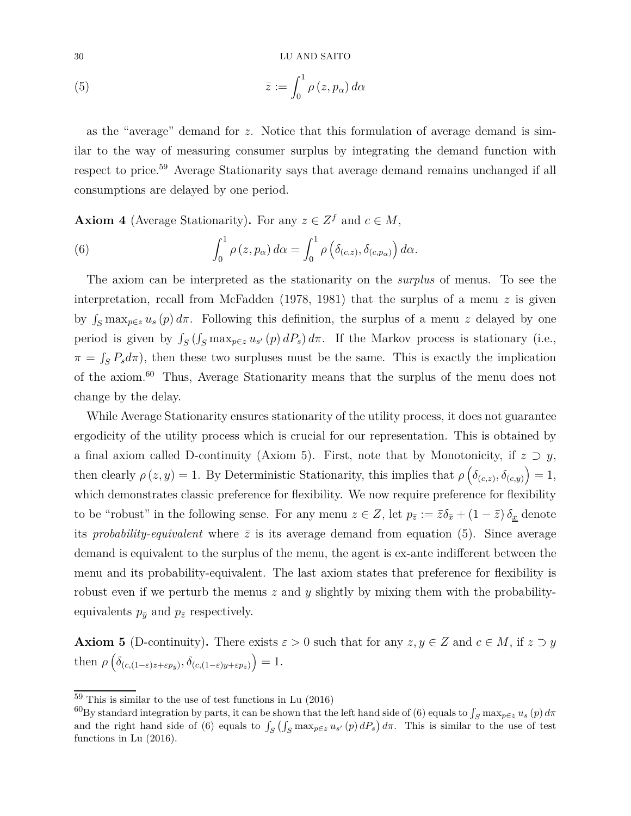(5) 
$$
\bar{z} := \int_0^1 \rho(z, p_\alpha) d\alpha
$$

as the "average" demand for *z*. Notice that this formulation of average demand is similar to the way of measuring consumer surplus by integrating the demand function with respect to price.<sup>59</sup> Average Stationarity says that average demand remains unchanged if all consumptions are delayed by one period.

**Axiom 4** (Average Stationarity). For any  $z \in Z^f$  and  $c \in M$ ,

(6) 
$$
\int_0^1 \rho(z, p_\alpha) d\alpha = \int_0^1 \rho\left(\delta_{(c,z)}, \delta_{(c,p_\alpha)}\right) d\alpha.
$$

The axiom can be interpreted as the stationarity on the *surplus* of menus. To see the interpretation, recall from McFadden (1978, 1981) that the surplus of a menu *z* is given by  $\int_S \max_{p \in \mathcal{Z}} u_s(p) d\pi$ . Following this definition, the surplus of a menu *z* delayed by one period is given by  $\int_S (\int_S \max_{p \in \mathbb{Z}} u_{s'}(p) dP_s) d\pi$ . If the Markov process is stationary (i.e.,  $\pi = \int_{S} P_s d\pi$ , then these two surpluses must be the same. This is exactly the implication of the axiom.<sup>60</sup> Thus, Average Stationarity means that the surplus of the menu does not change by the delay.

While Average Stationarity ensures stationarity of the utility process, it does not guarantee ergodicity of the utility process which is crucial for our representation. This is obtained by a final axiom called D-continuity (Axiom 5). First, note that by Monotonicity, if  $z \supset y$ , then clearly  $\rho(z, y) = 1$ . By Deterministic Stationarity, this implies that  $\rho\left(\delta_{(c,z)}, \delta_{(c,y)}\right) = 1$ , which demonstrates classic preference for flexibility. We now require preference for flexibility to be "robust" in the following sense. For any menu  $z \in Z$ , let  $p_{\bar{z}} := \bar{z}\delta_{\bar{x}} + (1 - \bar{z})\delta_{\underline{x}}$  denote its *probability-equivalent* where  $\bar{z}$  is its average demand from equation (5). Since average demand is equivalent to the surplus of the menu, the agent is ex-ante indifferent between the menu and its probability-equivalent. The last axiom states that preference for flexibility is robust even if we perturb the menus *z* and *y* slightly by mixing them with the probabilityequivalents  $p_{\bar{y}}$  and  $p_{\bar{z}}$  respectively.

**Axiom 5** (D-continuity). There exists  $\varepsilon > 0$  such that for any  $z, y \in Z$  and  $c \in M$ , if  $z \supset y$ then  $\rho\left(\delta_{(c,(1-\varepsilon)z+\varepsilon p_{\bar{y}})}, \delta_{(c,(1-\varepsilon)y+\varepsilon p_{\bar{z}})}\right) = 1.$ 

 $\frac{59}{100}$  This is similar to the use of test functions in Lu (2016)

 $^{60}$ By standard integration by parts, it can be shown that the left hand side of (6) equals to  $\int_S \max_{p \in z} u_s(p) d\pi$ and the right hand side of (6) equals to  $\int_S (\int_S \max_{p \in z} u_{s'}(p) dP_s) d\pi$ . This is similar to the use of test functions in Lu (2016).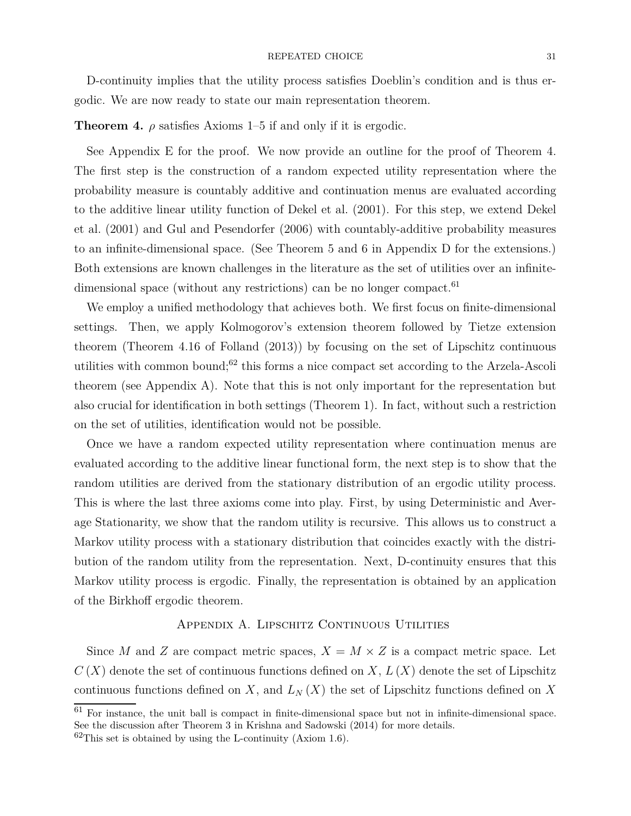### $\begin{tabular}{c} \bf \textit{REPEATED CHOICE} \\ \end{tabular}$

D-continuity implies that the utility process satisfies Doeblin's condition and is thus ergodic. We are now ready to state our main representation theorem.

# **Theorem 4.**  $\rho$  satisfies Axioms 1–5 if and only if it is ergodic.

See Appendix E for the proof. We now provide an outline for the proof of Theorem 4. The first step is the construction of a random expected utility representation where the probability measure is countably additive and continuation menus are evaluated according to the additive linear utility function of Dekel et al. (2001). For this step, we extend Dekel et al. (2001) and Gul and Pesendorfer (2006) with countably-additive probability measures to an infinite-dimensional space. (See Theorem 5 and 6 in Appendix D for the extensions.) Both extensions are known challenges in the literature as the set of utilities over an infinitedimensional space (without any restrictions) can be no longer compact.<sup>61</sup>

We employ a unified methodology that achieves both. We first focus on finite-dimensional settings. Then, we apply Kolmogorov's extension theorem followed by Tietze extension theorem (Theorem 4.16 of Folland (2013)) by focusing on the set of Lipschitz continuous utilities with common bound;<sup>62</sup> this forms a nice compact set according to the Arzela-Ascoli theorem (see Appendix A). Note that this is not only important for the representation but also crucial for identification in both settings (Theorem 1). In fact, without such a restriction on the set of utilities, identification would not be possible.

Once we have a random expected utility representation where continuation menus are evaluated according to the additive linear functional form, the next step is to show that the random utilities are derived from the stationary distribution of an ergodic utility process. This is where the last three axioms come into play. First, by using Deterministic and Average Stationarity, we show that the random utility is recursive. This allows us to construct a Markov utility process with a stationary distribution that coincides exactly with the distribution of the random utility from the representation. Next, D-continuity ensures that this Markov utility process is ergodic. Finally, the representation is obtained by an application of the Birkhoff ergodic theorem.

# APPENDIX A. LIPSCHITZ CONTINUOUS UTILITIES

Since *M* and *Z* are compact metric spaces,  $X = M \times Z$  is a compact metric space. Let  $C(X)$  denote the set of continuous functions defined on X,  $L(X)$  denote the set of Lipschitz continuous functions defined on *X*, and  $L<sub>N</sub>(X)$  the set of Lipschitz functions defined on *X* 

 $61$  For instance, the unit ball is compact in finite-dimensional space but not in infinite-dimensional space. See the discussion after Theorem 3 in Krishna and Sadowski (2014) for more details.

 $62$ This set is obtained by using the L-continuity (Axiom 1.6).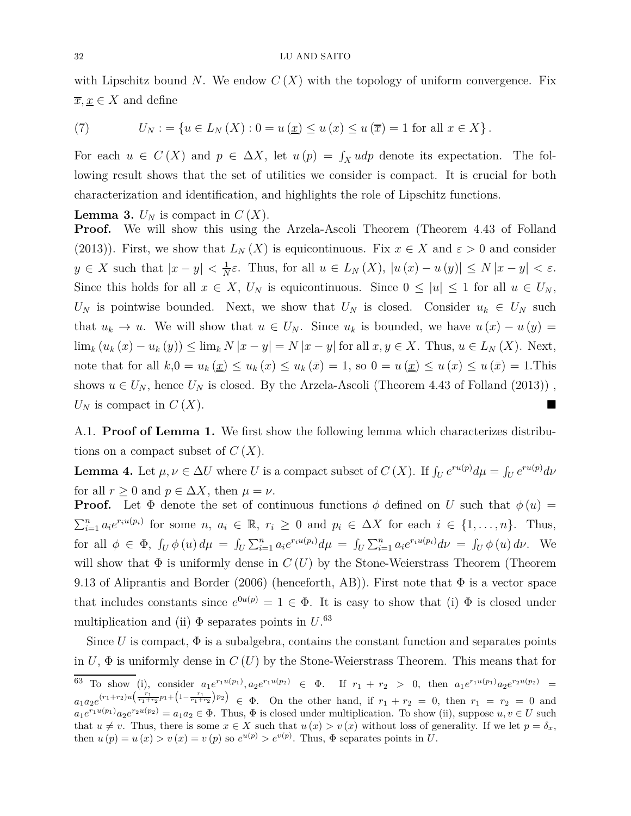with Lipschitz bound *N*. We endow  $C(X)$  with the topology of uniform convergence. Fix  $\overline{x}, \underline{x} \in X$  and define

(7) 
$$
U_N := \{ u \in L_N(X) : 0 = u(\underline{x}) \le u(\overline{x}) = 1 \text{ for all } x \in X \}.
$$

For each  $u \in C(X)$  and  $p \in \Delta X$ , let  $u(p) = \int_X u dp$  denote its expectation. The following result shows that the set of utilities we consider is compact. It is crucial for both characterization and identification, and highlights the role of Lipschitz functions.

**Lemma 3.**  $U_N$  is compact in  $C(X)$ .

**Proof.** We will show this using the Arzela-Ascoli Theorem (Theorem 4.43 of Folland (2013)). First, we show that  $L_N(X)$  is equicontinuous. Fix  $x \in X$  and  $\varepsilon > 0$  and consider  $y \in X$  such that  $|x-y| < \frac{1}{N}$ *N ε*. Thus, for all *u* ∈ *L<sup>N</sup>* (*X*), |*u* (*x*) − *u* (*y*)| ≤ *N* |*x* − *y*| *< ε*. Since this holds for all  $x \in X$ ,  $U_N$  is equicontinuous. Since  $0 \leq |u| \leq 1$  for all  $u \in U_N$ , *U<sub>N</sub>* is pointwise bounded. Next, we show that  $U_N$  is closed. Consider  $u_k \in U_N$  such that  $u_k \to u$ . We will show that  $u \in U_N$ . Since  $u_k$  is bounded, we have  $u(x) - u(y) =$  $\lim_{k} (u_k(x) - u_k(y)) \leq \lim_{k} N |x - y| = N |x - y|$  for all  $x, y \in X$ . Thus,  $u \in L_N(X)$ . Next, note that for all  $k,0 = u_k(\underline{x}) \le u_k(\overline{x}) \le u_k(\overline{x}) = 1$ , so  $0 = u(\underline{x}) \le u(\overline{x}) \le u(\overline{x}) = 1$ . This shows  $u \in U_N$ , hence  $U_N$  is closed. By the Arzela-Ascoli (Theorem 4.43 of Folland (2013)),  $U_N$  is compact in  $C(X)$ .

A.1. **Proof of Lemma 1.** We first show the following lemma which characterizes distributions on a compact subset of *C* (*X*).

**Lemma 4.** Let  $\mu, \nu \in \Delta U$  where *U* is a compact subset of *C* (*X*). If  $\int_U e^{ru(p)} d\mu = \int_U e^{ru(p)} d\nu$ for all  $r \geq 0$  and  $p \in \Delta X$ , then  $\mu = \nu$ .

**Proof.** Let  $\Phi$  denote the set of continuous functions  $\phi$  defined on *U* such that  $\phi(u)$  =  $\sum_{i=1}^n a_i e^{r_i u(p_i)}$  for some  $n, a_i \in \mathbb{R}, r_i \ge 0$  and  $p_i \in \Delta X$  for each  $i \in \{1, ..., n\}$ . Thus, for all  $\phi \in \Phi$ ,  $\int_U \phi(u) d\mu = \int_U \sum_{i=1}^n a_i e^{r_i u(p_i)} d\mu = \int_U \sum_{i=1}^n a_i e^{r_i u(p_i)} d\nu = \int_U \phi(u) d\nu$ . We will show that  $\Phi$  is uniformly dense in  $C(U)$  by the Stone-Weierstrass Theorem (Theorem 9.13 of Aliprantis and Border (2006) (henceforth, AB)). First note that  $\Phi$  is a vector space that includes constants since  $e^{0u(p)} = 1 \in \Phi$ . It is easy to show that (i)  $\Phi$  is closed under multiplication and (ii)  $\Phi$  separates points in  $U$ .<sup>63</sup>

Since  $U$  is compact,  $\Phi$  is a subalgebra, contains the constant function and separates points in  $U$ ,  $\Phi$  is uniformly dense in  $C(U)$  by the Stone-Weierstrass Theorem. This means that for 63 To show (i), consider  $a_1e^{r_1u(p_1)}, a_2e^{r_1u(p_2)} \in \Phi$ . If  $r_1 + r_2 > 0$ , then  $a_1e^{r_1u(p_1)}a_2e^{r_2u(p_2)} =$  $a_1a_2e^{(r_1+r_2)u(\frac{r_1}{r_1+r_2}p_1+\left(1-\frac{r_1}{r_1+r_2}\right)p_2)} \in \Phi$ . On the other hand, if  $r_1+r_2=0$ , then  $r_1=r_2=0$  and  $a_1e^{r_1u(p_1)}a_2e^{r_2u(p_2)} = a_1a_2 \in \Phi$ . Thus,  $\Phi$  is closed under multiplication. To show (ii), suppose  $u, v \in U$  such that  $u \neq v$ . Thus, there is some  $x \in X$  such that  $u(x) > v(x)$  without loss of generality. If we let  $p = \delta_x$ , then  $u(p) = u(x) > v(x) = v(p)$  so  $e^{u(p)} > e^{v(p)}$ . Thus,  $\Phi$  separates points in *U*.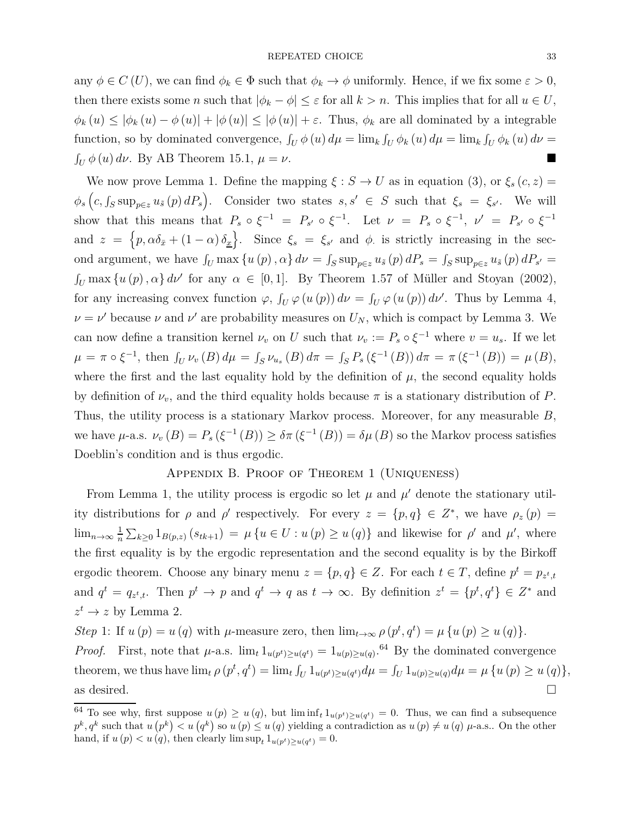any  $\phi \in C(U)$ , we can find  $\phi_k \in \Phi$  such that  $\phi_k \to \phi$  uniformly. Hence, if we fix some  $\varepsilon > 0$ , then there exists some *n* such that  $|\phi_k - \phi| \leq \varepsilon$  for all  $k > n$ . This implies that for all  $u \in U$ ,  $\phi_k(u) \leq |\phi_k(u) - \phi(u)| + |\phi(u)| \leq |\phi(u)| + \varepsilon$ . Thus,  $\phi_k$  are all dominated by a integrable function, so by dominated convergence,  $\int_U \phi(u) d\mu = \lim_k \int_U \phi_k(u) d\mu = \lim_k \int_U \phi_k(u) d\nu =$  $\int_U \phi(u) \, d\nu$ . By AB Theorem 15.1,  $\mu = \nu$ .

We now prove Lemma 1. Define the mapping  $\xi : S \to U$  as in equation (3), or  $\xi_s(c, z) =$  $\phi_s\left(c, \int_S \sup_{p \in \mathcal{Z}} u_{\tilde{s}}(p) dP_s\right)$ . Consider two states  $s, s' \in S$  such that  $\xi_s = \xi_{s'}$ . We will show that this means that  $P_s \circ \xi^{-1} = P_{s'} \circ \xi^{-1}$ . Let  $\nu = P_s \circ \xi^{-1}$ ,  $\nu' = P_{s'} \circ \xi^{-1}$ and  $z = \{p, \alpha \delta_{\bar{x}} + (1 - \alpha) \delta_{\underline{x}}\}$ . Since  $\xi_s = \xi_{s'}$  and  $\phi$  is strictly increasing in the second argument, we have  $\int_U \max\{u(p), \alpha\} d\nu = \int_S \sup_{p \in \mathcal{Z}} u_{\tilde{s}}(p) dP_s = \int_S \sup_{p \in \mathcal{Z}} u_{\tilde{s}}(p) dP_{s'} =$  $\int_U \max\{u(p), \alpha\} d\nu'$  for any  $\alpha \in [0, 1]$ . By Theorem 1.57 of Müller and Stoyan (2002), for any increasing convex function  $\varphi$ ,  $\int_U \varphi(u(p)) d\nu = \int_U \varphi(u(p)) d\nu'$ . Thus by Lemma 4,  $\nu = \nu'$  because  $\nu$  and  $\nu'$  are probability measures on  $U_N$ , which is compact by Lemma 3. We can now define a transition kernel  $\nu_v$  on *U* such that  $\nu_v := P_s \circ \xi^{-1}$  where  $v = u_s$ . If we let  $\mu = \pi \circ \xi^{-1}$ , then  $\int_U \nu_v(B) d\mu = \int_S \nu_{u_s}(B) d\pi = \int_S P_s(\xi^{-1}(B)) d\pi = \pi(\xi^{-1}(B)) = \mu(B)$ , where the first and the last equality hold by the definition of  $\mu$ , the second equality holds by definition of  $\nu_v$ , and the third equality holds because  $\pi$  is a stationary distribution of *P*. Thus, the utility process is a stationary Markov process. Moreover, for any measurable *B*, we have  $\mu$ -a.s.  $\nu_v(B) = P_s(\xi^{-1}(B)) \ge \delta \pi(\xi^{-1}(B)) = \delta \mu(B)$  so the Markov process satisfies Doeblin's condition and is thus ergodic.

## Appendix B. Proof of Theorem 1 (Uniqueness)

From Lemma 1, the utility process is ergodic so let  $\mu$  and  $\mu'$  denote the stationary utility distributions for  $\rho$  and  $\rho'$  respectively. For every  $z = \{p, q\} \in Z^*$ , we have  $\rho_z(p) =$  $\lim_{n\to\infty}\frac{1}{n}$  $\frac{1}{n} \sum_{k \geq 0} 1_{B(p,z)} (s_{tk+1}) = \mu \{ u \in U : u(p) \geq u(q) \}$  and likewise for *ρ*' and *μ*', where the first equality is by the ergodic representation and the second equality is by the Birkoff ergodic theorem. Choose any binary menu  $z = \{p, q\} \in Z$ . For each  $t \in T$ , define  $p^t = p_{z^t,t}$ and  $q^t = q_{z^t,t}$ . Then  $p^t \to p$  and  $q^t \to q$  as  $t \to \infty$ . By definition  $z^t = \{p^t, q^t\} \in Z^*$  and  $z^t \to z$  by Lemma 2.

*Step* 1: If  $u(p) = u(q)$  with  $\mu$ -measure zero, then  $\lim_{t \to \infty} \rho(p^t, q^t) = \mu\{u(p) \ge u(q)\}.$ 

*Proof.* First, note that  $\mu$ -a.s.  $\lim_{t} 1_{u(p^t) \ge u(q^t)} = 1_{u(p) \ge u(q)}$ .<sup>64</sup> By the dominated convergence theorem, we thus have  $\lim_{t \to 0} \rho(p^t, q^t) = \lim_{t \to 0} \int_{U} 1_{u(p^t) \ge u(q^t)} d\mu = \int_{U} 1_{u(p) \ge u(q)} d\mu = \mu \{u(p) \ge u(q)\},$ as desired.  $\Box$ 

 $^{64}$  To see why, first suppose  $u(p) \geq u(q)$ , but  $\liminf_t 1_{u(p^t) \geq u(q^t)} = 0$ . Thus, we can find a subsequence  $p^k, q^k$  such that  $u(p^k) < u(q^k)$  so  $u(p) \le u(q)$  yielding a contradiction as  $u(p) \ne u(q)$   $\mu$ -a.s.. On the other hand, if  $u(p) < u(q)$ , then clearly  $\limsup_t 1_{u(p^t) \ge u(q^t)} = 0$ .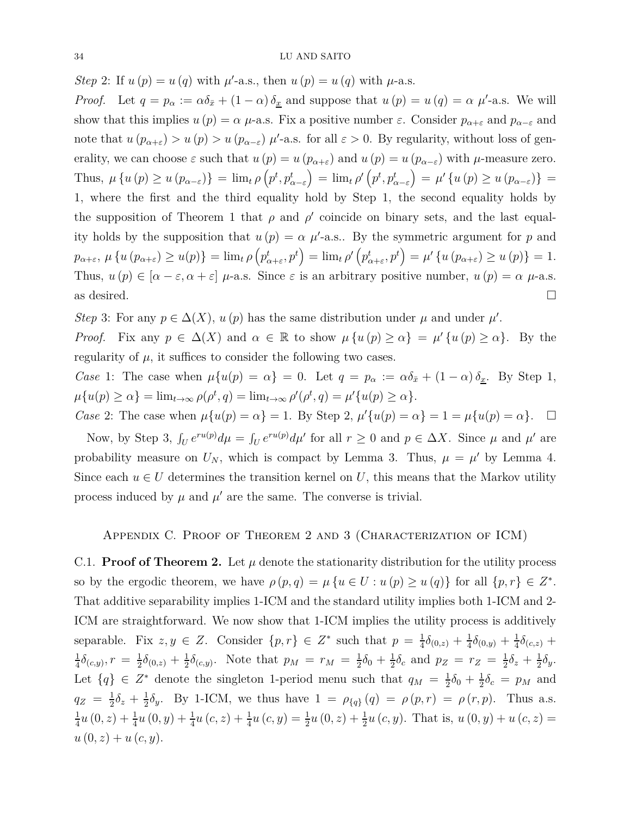*Step* 2: If  $u(p) = u(q)$  with  $\mu'$ -a.s., then  $u(p) = u(q)$  with  $\mu$ -a.s.

*Proof.* Let  $q = p_\alpha := \alpha \delta_{\bar{x}} + (1 - \alpha) \delta_{\bar{x}}$  and suppose that  $u(p) = u(q) = \alpha \mu'$ -a.s. We will show that this implies  $u(p) = \alpha \mu$ -a.s. Fix a positive number  $\varepsilon$ . Consider  $p_{\alpha+\varepsilon}$  and  $p_{\alpha-\varepsilon}$  and note that  $u(p_{\alpha+\varepsilon}) > u(p) > u(p_{\alpha-\varepsilon})$   $\mu'$ -a.s. for all  $\varepsilon > 0$ . By regularity, without loss of generality, we can choose  $\varepsilon$  such that  $u(p) = u(p_{\alpha+\varepsilon})$  and  $u(p) = u(p_{\alpha-\varepsilon})$  with  $\mu$ -measure zero. Thus,  $\mu\left\{u\left(p\right)\geq u\left(p_{\alpha-\varepsilon}\right)\right\} = \lim_{t \to 0} \left(p^t, p^t_{\alpha-\varepsilon}\right) = \lim_{t \to 0} \left(p^t, p^t_{\alpha-\varepsilon}\right) = \mu'\left\{u\left(p\right)\geq u\left(p_{\alpha-\varepsilon}\right)\right\} =$ 1, where the first and the third equality hold by Step 1, the second equality holds by the supposition of Theorem 1 that  $\rho$  and  $\rho'$  coincide on binary sets, and the last equality holds by the supposition that  $u(p) = \alpha \mu'$ -a.s.. By the symmetric argument for *p* and  $p_{\alpha+\varepsilon}, \, \mu\left\{u\left(p_{\alpha+\varepsilon}\right)\geq u(p)\right\}=\lim_{t \to 0}\left(p^t_{\alpha+\varepsilon},p^t\right)=\lim_{t \to 0}\rho'\left(p^t_{\alpha+\varepsilon},p^t\right)=\mu'\left\{u\left(p_{\alpha+\varepsilon}\right)\geq u\left(p\right)\right\}=1.$ Thus,  $u(p) \in [\alpha - \varepsilon, \alpha + \varepsilon]$  *μ*-a.s. Since  $\varepsilon$  is an arbitrary positive number,  $u(p) = \alpha \mu$ -a.s. as desired.  $\Box$ 

*Step* 3: For any  $p \in \Delta(X)$ ,  $u(p)$  has the same distribution under  $\mu$  and under  $\mu'$ .

*Proof.* Fix any  $p \in \Delta(X)$  and  $\alpha \in \mathbb{R}$  to show  $\mu \{u(p) \geq \alpha\} = \mu' \{u(p) \geq \alpha\}$ . By the regularity of  $\mu$ , it suffices to consider the following two cases.

*Case* 1: The case when  $\mu\{u(p) = \alpha\} = 0$ . Let  $q = p_\alpha := \alpha \delta_{\bar{x}} + (1 - \alpha) \delta_{\bar{x}}$ . By Step 1,  $\mu\{u(p) \ge \alpha\} = \lim_{t \to \infty} \rho(\rho^t, q) = \lim_{t \to \infty} \rho'(\rho^t, q) = \mu'\{u(p) \ge \alpha\}.$ 

*Case* 2: The case when  $\mu\{u(p) = \alpha\} = 1$ . By Step 2,  $\mu'\{u(p) = \alpha\} = 1 = \mu\{u(p) = \alpha\}$ .  $\Box$ 

Now, by Step 3,  $\int_U e^{ru(p)} d\mu = \int_U e^{ru(p)} d\mu'$  for all  $r \ge 0$  and  $p \in \Delta X$ . Since  $\mu$  and  $\mu'$  are probability measure on  $U_N$ , which is compact by Lemma 3. Thus,  $\mu = \mu'$  by Lemma 4. Since each  $u \in U$  determines the transition kernel on U, this means that the Markov utility process induced by  $\mu$  and  $\mu'$  are the same. The converse is trivial.

## Appendix C. Proof of Theorem 2 and 3 (Characterization of ICM)

C.1. **Proof of Theorem 2.** Let  $\mu$  denote the stationarity distribution for the utility process so by the ergodic theorem, we have  $\rho(p,q) = \mu \{ u \in U : u(p) \ge u(q) \}$  for all  $\{p,r\} \in Z^*$ . That additive separability implies 1-ICM and the standard utility implies both 1-ICM and 2- ICM are straightforward. We now show that 1-ICM implies the utility process is additively separable. Fix  $z, y \in Z$ . Consider  $\{p, r\} \in Z^*$  such that  $p = \frac{1}{4}$  $\frac{1}{4}\delta_{(0,z)}+\frac{1}{4}$  $\frac{1}{4}\delta_{(0,y)}+\frac{1}{4}$  $\frac{1}{4}\delta_{(c,z)} +$ 1  $\frac{1}{4}\delta_{(c,y)}, r = \frac{1}{2}$  $\frac{1}{2}\delta_{(0,z)}+\frac{1}{2}$  $\frac{1}{2}\delta_{(c,y)}$ . Note that  $p_M = r_M = \frac{1}{2}$  $\frac{1}{2}\delta_0 + \frac{1}{2}$  $\frac{1}{2}\delta_c$  and  $p_Z = r_Z = \frac{1}{2}$  $\frac{1}{2}\delta_z + \frac{1}{2}$  $rac{1}{2}\delta_y$ . Let  $\{q\} \in \mathbb{Z}^*$  denote the singleton 1-period menu such that  $q_M = \frac{1}{2}$  $rac{1}{2}\delta_0 + \frac{1}{2}$  $\frac{1}{2}\delta_c = p_M$  and  $q_Z = \frac{1}{2}$  $\frac{1}{2}\delta_z + \frac{1}{2}$  $\frac{1}{2}\delta_y$ . By 1-ICM, we thus have  $1 = \rho_{\{q\}}(q) = \rho(p,r) = \rho(r,p)$ . Thus a.s. 1  $\frac{1}{4}u(0, z) + \frac{1}{4}u(0, y) + \frac{1}{4}u(c, z) + \frac{1}{4}u(c, y) = \frac{1}{2}u(0, z) + \frac{1}{2}u(c, y)$ . That is,  $u(0, y) + u(c, z) =$  $u(0, z) + u(c, y)$ .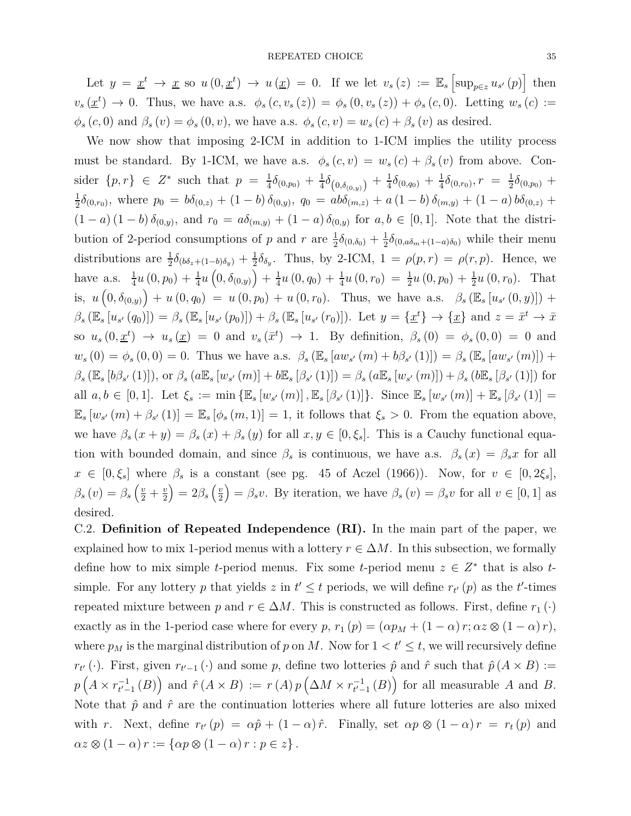Let  $y = \underline{x}^t \to \underline{x}$  so  $u(0, \underline{x}^t) \to u(\underline{x}) = 0$ . If we let  $v_s(z) := \mathbb{E}_s \left[ \sup_{p \in z} u_{s'}(p) \right]$  then  $v_s(\underline{x}^t) \rightarrow 0$ . Thus, we have a.s.  $\phi_s(c, v_s(z)) = \phi_s(0, v_s(z)) + \phi_s(c, 0)$ . Letting  $w_s(c) :=$  $\phi_s(c, 0)$  and  $\beta_s(v) = \phi_s(0, v)$ , we have a.s.  $\phi_s(c, v) = w_s(c) + \beta_s(v)$  as desired.

We now show that imposing 2-ICM in addition to 1-ICM implies the utility process must be standard. By 1-ICM, we have a.s.  $\phi_s(c, v) = w_s(c) + \beta_s(v)$  from above. Consider  $\{p,r\} \in \mathbb{Z}^*$  such that  $p = \frac{1}{4}$  $\frac{1}{4}\delta_{(0,p_0)} + \frac{1}{4}$  $\frac{1}{4}\delta_{\left(0,\delta_{(0,y)}\right)}+\frac{1}{4}$  $\frac{1}{4}\delta_{(0,q_0)}+\frac{1}{4}$  $\frac{1}{4}\delta_{(0,r_0)}, r = \frac{1}{2}$  $\frac{1}{2}\delta_{(0,p_0)}$  + 1  $\frac{1}{2}\delta_{(0,r_0)}$ , where  $p_0 = b\delta_{(0,z)} + (1-b)\delta_{(0,y)}$ ,  $q_0 = ab\delta_{(m,z)} + a(1-b)\delta_{(m,y)} + (1-a)b\delta_{(0,z)} +$  $(1 - a) (1 - b) \delta_{(0,y)}$ , and  $r_0 = a \delta_{(m,y)} + (1 - a) \delta_{(0,y)}$  for  $a, b \in [0,1]$ . Note that the distribution of 2-period consumptions of *p* and *r* are  $\frac{1}{2}\delta_{(0,\delta_0)} + \frac{1}{2}$  $\frac{1}{2}\delta_{(0, a\delta_m + (1-a)\delta_0)}$  while their menu distributions are  $\frac{1}{2}\delta_{(b\delta_z+(1-b)\delta_y)} + \frac{1}{2}$  $\frac{1}{2}\delta_{\delta_y}$ . Thus, by 2-ICM,  $1 = \rho(p,r) = \rho(r,p)$ . Hence, we have a.s.  $\frac{1}{4}u(0, p_0) + \frac{1}{4}u(0, \delta_{(0,y)}) + \frac{1}{4}$  $\frac{1}{4}u(0, q_0) + \frac{1}{4}u(0, r_0) = \frac{1}{2}u(0, p_0) + \frac{1}{2}u(0, r_0)$ . That is,  $u(0, \delta_{(0,y)}) + u(0, q_0) = u(0, p_0) + u(0, r_0)$ . Thus, we have a.s.  $\beta_s(\mathbb{E}_s[u_{s'}(0, y)]) +$  $\beta_s(\mathbb{E}_s[u_{s'}(q_0)]) = \beta_s(\mathbb{E}_s[u_{s'}(p_0)]) + \beta_s(\mathbb{E}_s[u_{s'}(r_0)]).$  Let  $y = {\underline{x}^t} \to {\underline{x}}$  and  $z = \overline{x}^t \to \overline{x}$ so  $u_s(0, \underline{x}^t) \rightarrow u_s(\underline{x}) = 0$  and  $v_s(\overline{x}^t) \rightarrow 1$ . By definition,  $\beta_s(0) = \phi_s(0,0) = 0$  and  $w_s(0) = \phi_s(0,0) = 0$ . Thus we have a.s.  $\beta_s (\mathbb{E}_s [aw_{s'}(m) + b\beta_{s'}(1)]) = \beta_s (\mathbb{E}_s [aw_{s'}(m)]) +$  $\beta_s(\mathbb{E}_s [b\beta_{s'}(1)]), \text{ or } \beta_s(a\mathbb{E}_s [w_{s'}(m)] + b\mathbb{E}_s [\beta_{s'}(1)]) = \beta_s(a\mathbb{E}_s [w_{s'}(m)]) + \beta_s(b\mathbb{E}_s [\beta_{s'}(1)])$  for all  $a, b \in [0, 1]$ . Let  $\xi_s := \min \{ \mathbb{E}_s [w_{s'}(m)], \mathbb{E}_s [\beta_{s'}(1)] \}$ . Since  $\mathbb{E}_s [w_{s'}(m)] + \mathbb{E}_s [\beta_{s'}(1)] =$  $\mathbb{E}_s [w_{s'}(m) + \beta_{s'}(1)] = \mathbb{E}_s [\phi_s(m,1)] = 1$ , it follows that  $\xi_s > 0$ . From the equation above, we have  $\beta_s(x+y) = \beta_s(x) + \beta_s(y)$  for all  $x, y \in [0, \xi_s]$ . This is a Cauchy functional equation with bounded domain, and since  $\beta_s$  is continuous, we have a.s.  $\beta_s(x) = \beta_s x$  for all  $x \in [0, \xi_s]$  where  $\beta_s$  is a constant (see pg. 45 of Aczel (1966)). Now, for  $v \in [0, 2\xi_s]$ ,  $\beta_s(v) = \beta_s\left(\frac{v}{2} + \frac{v}{2}\right)$ 2  $= 2\beta_s \left(\frac{v}{2}\right)$ 2  $\hat{\beta}_s(v) = \beta_s v$ . By iteration, we have  $\beta_s(v) = \beta_s v$  for all  $v \in [0, 1]$  as desired.

C.2. **Definition of Repeated Independence (RI).** In the main part of the paper, we explained how to mix 1-period menus with a lottery  $r \in \Delta M$ . In this subsection, we formally define how to mix simple *t*-period menus. Fix some *t*-period menu  $z \in Z^*$  that is also *t*simple. For any lottery p that yields z in  $t' \leq t$  periods, we will define  $r_{t'}(p)$  as the  $t'$ -times repeated mixture between *p* and  $r \in \Delta M$ . This is constructed as follows. First, define  $r_1(\cdot)$ exactly as in the 1-period case where for every  $p, r_1(p) = (\alpha p_M + (1 - \alpha) r; \alpha z \otimes (1 - \alpha) r)$ , where  $p_M$  is the marginal distribution of p on M. Now for  $1 < t' \leq t$ , we will recursively define  $r_{t'}$  (·). First, given  $r_{t'-1}$  (·) and some *p*, define two lotteries  $\hat{p}$  and  $\hat{r}$  such that  $\hat{p}(A \times B) :=$  $p\left(A \times r_{t-1}^{-1}(B)\right)$  and  $\hat{r}(A \times B) := r(A)p\left(\Delta M \times r_{t-1}^{-1}(B)\right)$  for all measurable *A* and *B*. Note that  $\hat{p}$  and  $\hat{r}$  are the continuation lotteries where all future lotteries are also mixed with *r*. Next, define  $r_{t'}(p) = \alpha \hat{p} + (1 - \alpha) \hat{r}$ . Finally, set  $\alpha p \otimes (1 - \alpha) r = r_t(p)$  and  $\alpha z \otimes (1 - \alpha) r := \{ \alpha p \otimes (1 - \alpha) r : p \in z \}.$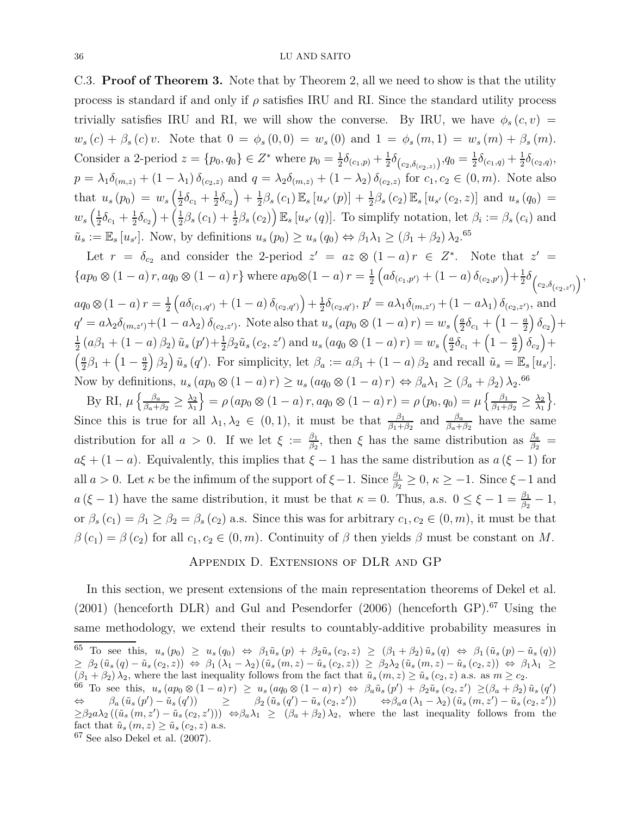C.3. **Proof of Theorem 3.** Note that by Theorem 2, all we need to show is that the utility process is standard if and only if  $\rho$  satisfies IRU and RI. Since the standard utility process trivially satisfies IRU and RI, we will show the converse. By IRU, we have  $\phi_s(c, v)$  =  $w_s(c) + \beta_s(c)v$ . Note that  $0 = \phi_s(0,0) = w_s(0)$  and  $1 = \phi_s(m,1) = w_s(m) + \beta_s(m)$ . Consider a 2-period  $z = \{p_0, q_0\} \in \mathbb{Z}^*$  where  $p_0 = \frac{1}{2}$  $\frac{1}{2}\delta_{(c_1,p)} + \frac{1}{2}$  $\frac{1}{2}\delta_{\left(c_{2},\delta_{(c_{2},z)}\right)},q_{0}=\frac{1}{2}$  $\frac{1}{2}\delta_{(c_1,q)} + \frac{1}{2}$  $\frac{1}{2}\delta_{(c_2,q)},$  $p = \lambda_1 \delta_{(m,z)} + (1 - \lambda_1) \delta_{(c_2,z)}$  and  $q = \lambda_2 \delta_{(m,z)} + (1 - \lambda_2) \delta_{(c_2,z)}$  for  $c_1, c_2 \in (0, m)$ . Note also that  $u_s(p_0) = w_s\left(\frac{1}{2}\right)$  $\frac{1}{2}\delta_{c_1} + \frac{1}{2}$  $\frac{1}{2}\delta_{c_2}\Big)+\frac{1}{2}$  $\frac{1}{2}\beta_s(c_1) \mathbb{E}_s [u_{s'}(p)] + \frac{1}{2}\beta_s(c_2) \mathbb{E}_s [u_{s'}(c_2, z)]$  and  $u_s(q_0) =$  $w_s\left(\frac{1}{2}\right)$  $\frac{1}{2}\delta_{c_1} + \frac{1}{2}$  $\frac{1}{2}\delta_{c_2}\Big)+\Big(\frac{1}{2}$  $\frac{1}{2}\beta_s(c_1) + \frac{1}{2}\beta_s(c_2)$   $\mathbb{E}_s[u_{s'}(q)]$ . To simplify notation, let  $\beta_i := \beta_s(c_i)$  and  $\tilde{u}_s := \mathbb{E}_s [u_{s'}].$  Now, by definitions  $u_s(p_0) \ge u_s(q_0) \Leftrightarrow \beta_1 \lambda_1 \ge (\beta_1 + \beta_2) \lambda_2$ .<sup>65</sup>

Let  $r = \delta_{c_2}$  and consider the 2-period  $z' = az \otimes (1-a)r \in Z^*$ . Note that  $z' = z$  $\{ap_0 \otimes (1-a) r, aq_0 \otimes (1-a) r\}$  where  $ap_0 \otimes (1-a) r = \frac{1}{2}$ 2  $\left(a\delta_{(c_1,p')}+(1-a)\delta_{(c_2,p')}\right)+\frac{1}{2}$  $\frac{1}{2}\delta_{\left(c_{2},\delta_{\left(c_{2},z'\right)}\right)},$  $aq_0 \otimes (1-a) r = \frac{1}{2}$ 2  $\left(a\delta_{(c_1,q')}+(1-a)\,\delta_{(c_2,q')}\right)+\frac{1}{2}$  $\frac{1}{2}\delta_{(c_2,q')}, p' = a\lambda_1\delta_{(m,z')} + (1 - a\lambda_1)\delta_{(c_2,z')},$  and  $q' = a\lambda_2\delta_{(m,z')} + (1 - a\lambda_2)\delta_{(c_2,z')}$ . Note also that  $u_s(a p_0 \otimes (1 - a) r) = w_s\left(\frac{a}{2}\right)$  $\frac{a}{2}\delta_{c_1} + \left(1 - \frac{a}{2}\right)$ 2  $\delta_{c_2}$ )+ 1  $\frac{1}{2}$   $(a\beta_1 + (1 - a)\beta_2) \tilde{u}_s(p') + \frac{1}{2}\beta_2 \tilde{u}_s(c_2, z')$  and  $u_s(aq_0 \otimes (1 - a)\,r) = w_s\left(\frac{a}{2}\right)$  $\frac{a}{2}\delta_{c_1} + \left(1 - \frac{a}{2}\right)$ 2  $\delta_{c_2}$ )+ *a*  $\frac{a}{2}\beta_1 + \left(1 - \frac{a}{2}\right)$ 2  $\left(\frac{\beta_2}{\beta_4}\right)$   $\tilde{u}_s(q')$ . For simplicity, let  $\beta_a := a\beta_1 + (1 - a)\beta_2$  and recall  $\tilde{u}_s = \mathbb{E}_s[u_{s'}].$ Now by definitions,  $u_s(ap_0\otimes(1-a)r) \ge u_s(aq_0\otimes(1-a)r) \Leftrightarrow \beta_a\lambda_1 \ge (\beta_a+\beta_2)\lambda_2$ .<sup>66</sup>

By RI,  $\mu \left\{ \frac{\beta_a}{\beta_{a+1}} \right\}$  $\frac{\beta_a}{\beta_a+\beta_2} \geq \frac{\lambda_2}{\lambda_1}$ *λ*1  $\left\{\n= \rho \left( ap_0 \otimes (1-a) r, aq_0 \otimes (1-a) r \right) = \rho \left( p_0, q_0 \right) = \mu \left\{\frac{\beta_1}{\beta_1 + \beta_2} \right\}$  $\frac{\beta_1}{\beta_1+\beta_2} \geq \frac{\lambda_2}{\lambda_1}$ *λ*1  $\bigg\}$ . Since this is true for all  $\lambda_1, \lambda_2 \in (0,1)$ , it must be that  $\frac{\beta_1}{\beta_1 + \beta_2}$  and  $\frac{\beta_a}{\beta_a + \beta_2}$  have the same distribution for all  $a > 0$ . If we let  $\xi := \frac{\beta_1}{\beta_0}$ *β*<sub>2</sub>, then *ξ* has the same distribution as  $\frac{\beta_a}{\beta_2}$  =  $a\xi + (1 - a)$ . Equivalently, this implies that  $\xi - 1$  has the same distribution as  $a(\xi - 1)$  for all  $a > 0$ . Let  $\kappa$  be the infimum of the support of  $\xi - 1$ . Since  $\frac{\beta_1}{\beta_2} \ge 0$ ,  $\kappa \ge -1$ . Since  $\xi - 1$  and *a* ( $\xi$  − 1) have the same distribution, it must be that  $\kappa = 0$ . Thus, a.s.  $0 \le \xi - 1 = \frac{\beta_1}{\beta_2} - 1$ , or  $\beta_s(c_1) = \beta_1 \geq \beta_2 = \beta_s(c_2)$  a.s. Since this was for arbitrary  $c_1, c_2 \in (0, m)$ , it must be that  $\beta(c_1) = \beta(c_2)$  for all  $c_1, c_2 \in (0, m)$ . Continuity of  $\beta$  then yields  $\beta$  must be constant on *M*.

## Appendix D. Extensions of DLR and GP

In this section, we present extensions of the main representation theorems of Dekel et al. (2001) (henceforth DLR) and Gul and Pesendorfer (2006) (henceforth GP). $^{67}$  Using the same methodology, we extend their results to countably-additive probability measures in <sup>65</sup> To see this,  $u_s(p_0) \geq u_s(q_0) \Leftrightarrow \beta_1 \tilde{u}_s(p) + \beta_2 \tilde{u}_s(c_2, z) \geq (\beta_1 + \beta_2) \tilde{u}_s(q) \Leftrightarrow \beta_1 (\tilde{u}_s(p) - \tilde{u}_s(q))$  $\geq \beta_2(\tilde{u}_s(q)-\tilde{u}_s(c_2,z)) \Leftrightarrow \beta_1(\lambda_1-\lambda_2)(\tilde{u}_s(m,z)-\tilde{u}_s(c_2,z)) \geq \beta_2\lambda_2(\tilde{u}_s(m,z)-\tilde{u}_s(c_2,z)) \Leftrightarrow \beta_1\lambda_1 \geq$  $(\beta_1 + \beta_2) \lambda_2$ , where the last inequality follows from the fact that  $\tilde{u}_s(m, z) \geq \tilde{u}_s(c_2, z)$  a.s. as  $m \geq c_2$ . <sup>66</sup> To see this,  $u_s(ap_0\otimes(1-a)r) \ge u_s(aq_0\otimes(1-a)r) \Leftrightarrow \beta_a\tilde{u}_s(p') + \beta_2\tilde{u}_s(c_2,z') \ge (\beta_a+\beta_2)\tilde{u}_s(q')$  $\Leftrightarrow \qquad \beta_a (\tilde{u}_s (p') - \tilde{u}_s (q')) \qquad \ge \q \qquad \beta_2 (\tilde{u}_s (q') - \tilde{u}_s (c_2, z')) \qquad \Leftrightarrow \beta_a a (\lambda_1 - \lambda_2) (\tilde{u}_s (m, z') - \tilde{u}_s (c_2, z'))$  $\geq \beta_2 a \lambda_2 \left( (\tilde{u}_s(m, z') - \tilde{u}_s(c_2, z')) \right) \Leftrightarrow \beta_a \lambda_1 \geq (\beta_a + \beta_2) \lambda_2$ , where the last inequality follows from the fact that  $\tilde{u}_s(m, z) \ge \tilde{u}_s(c_2, z)$  a.s.

 $67$  See also Dekel et al.  $(2007)$ .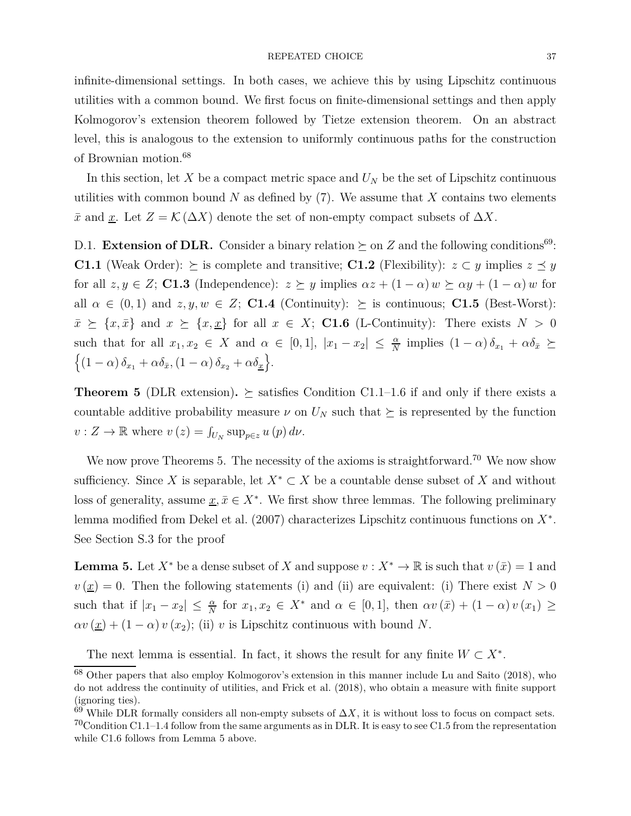infinite-dimensional settings. In both cases, we achieve this by using Lipschitz continuous utilities with a common bound. We first focus on finite-dimensional settings and then apply Kolmogorov's extension theorem followed by Tietze extension theorem. On an abstract level, this is analogous to the extension to uniformly continuous paths for the construction of Brownian motion.<sup>68</sup>

In this section, let  $X$  be a compact metric space and  $U_N$  be the set of Lipschitz continuous utilities with common bound  $N$  as defined by  $(7)$ . We assume that  $X$  contains two elements  $\bar{x}$  and <u>x</u>. Let  $Z = \mathcal{K}(\Delta X)$  denote the set of non-empty compact subsets of  $\Delta X$ .

D.1. **Extension of DLR.** Consider a binary relation  $\succeq$  on *Z* and the following conditions<sup>69</sup>: **C1.1** (Weak Order):  $\geq$  is complete and transitive; **C1.2** (Flexibility): *z* ⊂ *y* implies *z*  $\leq$  *y* for all  $z, y \in Z$ ; **C1.3** (Independence):  $z \succeq y$  implies  $\alpha z + (1 - \alpha) w \succeq \alpha y + (1 - \alpha) w$  for all  $\alpha \in (0,1)$  and  $z, y, w \in Z$ ; **C1.4** (Continuity):  $\succeq$  is continuous; **C1.5** (Best-Worst):  $\bar{x} \succeq \{x, \bar{x}\}$  and  $x \succeq \{x, \underline{x}\}$  for all  $x \in X$ ; **C1.6** (L-Continuity): There exists  $N > 0$ such that for all  $x_1, x_2 \in X$  and  $\alpha \in [0, 1]$ ,  $|x_1 - x_2| \leq \frac{\alpha}{N}$  implies  $(1 - \alpha) \delta_{x_1} + \alpha \delta_{\bar{x}} \succeq$  $\left\{ (1-\alpha)\,\delta_{x_1} + \alpha\delta_{\bar{x}}, (1-\alpha)\,\delta_{x_2} + \alpha\delta_{\underline{x}} \right\}.$ 

**Theorem 5** (DLR extension).  $\succeq$  satisfies Condition C1.1–1.6 if and only if there exists a countable additive probability measure  $\nu$  on  $U_N$  such that  $\succeq$  is represented by the function  $v: Z \to \mathbb{R}$  where  $v(z) = \int_{U_N} \sup_{p \in z} u(p) d\nu$ .

We now prove Theorems 5. The necessity of the axioms is straightforward.<sup>70</sup> We now show sufficiency. Since *X* is separable, let  $X^* \subset X$  be a countable dense subset of *X* and without loss of generality, assume  $\underline{x}, \overline{x} \in X^*$ . We first show three lemmas. The following preliminary lemma modified from Dekel et al. (2007) characterizes Lipschitz continuous functions on *X*<sup>∗</sup> . See Section S.3 for the proof

**Lemma 5.** Let  $X^*$  be a dense subset of *X* and suppose  $v: X^* \to \mathbb{R}$  is such that  $v(\bar{x}) = 1$  and  $v(\underline{x}) = 0$ . Then the following statements (i) and (ii) are equivalent: (i) There exist  $N > 0$ such that if  $|x_1 - x_2| \leq \frac{\alpha}{N}$  for  $x_1, x_2 \in X^*$  and  $\alpha \in [0, 1]$ , then  $\alpha v(\bar{x}) + (1 - \alpha) v(x_1) \geq$  $\alpha v(\underline{x}) + (1 - \alpha) v(x_2)$ ; (ii) *v* is Lipschitz continuous with bound *N*.

The next lemma is essential. In fact, it shows the result for any finite  $W \subset X^*$ .

<sup>68</sup> Other papers that also employ Kolmogorov's extension in this manner include Lu and Saito (2018), who do not address the continuity of utilities, and Frick et al. (2018), who obtain a measure with finite support (ignoring ties).

 $69$  While DLR formally considers all non-empty subsets of  $\Delta X$ , it is without loss to focus on compact sets.  $70$ Condition C1.1–1.4 follow from the same arguments as in DLR. It is easy to see C1.5 from the representation while C1.6 follows from Lemma 5 above.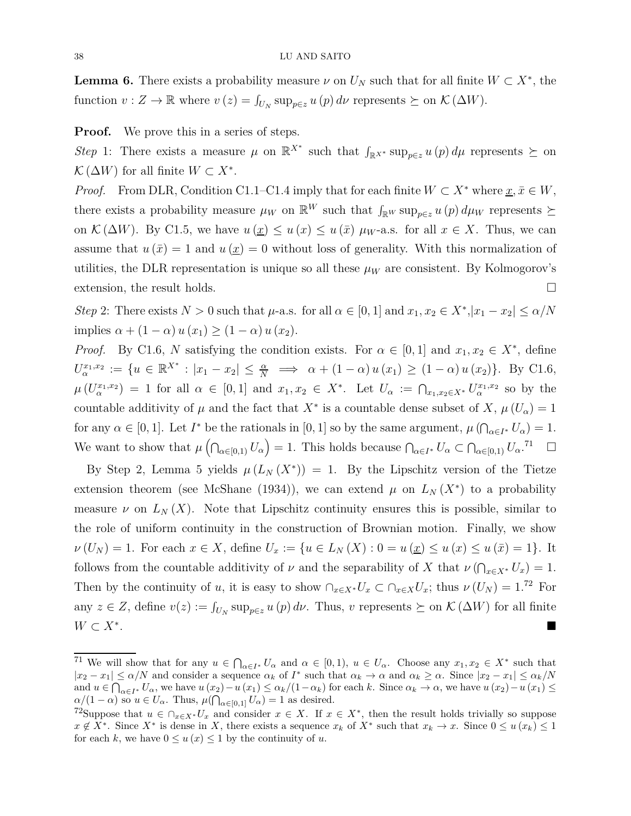**Lemma 6.** There exists a probability measure  $\nu$  on  $U_N$  such that for all finite  $W \subset X^*$ , the function  $v: Z \to \mathbb{R}$  where  $v(z) = \int_{U_N} \sup_{p \in z} u(p) d\nu$  represents  $\succeq$  on  $\mathcal{K}(\Delta W)$ .

**Proof.** We prove this in a series of steps.

Step 1: There exists a measure  $\mu$  on  $\mathbb{R}^{X^*}$  such that  $\int_{\mathbb{R}^{X^*}} \sup_{p \in \mathbb{R}^X} u(p) d\mu$  represents  $\succeq$  on  $\mathcal{K}(\Delta W)$  for all finite  $W \subset X^*$ .

*Proof.* From DLR, Condition C1.1–C1.4 imply that for each finite  $W \subset X^*$  where  $\underline{x}, \overline{x} \in W$ , there exists a probability measure  $\mu_W$  on  $\mathbb{R}^W$  such that  $\int_{\mathbb{R}^W}$  sup<sub>p $\in \mathbb{Z}$ </sub> *u* (*p*)  $d\mu_W$  represents  $\succeq$ on  $\mathcal{K}(\Delta W)$ . By C1.5, we have  $u(\underline{x}) \leq u(\overline{x}) \leq u(\overline{x}) \mu_W$ -a.s. for all  $x \in X$ . Thus, we can assume that  $u(\bar{x}) = 1$  and  $u(\bar{x}) = 0$  without loss of generality. With this normalization of utilities, the DLR representation is unique so all these  $\mu_W$  are consistent. By Kolmogorov's extension, the result holds.

*Step* 2: There exists  $N > 0$  such that  $\mu$ -a.s. for all  $\alpha \in [0, 1]$  and  $x_1, x_2 \in X^*$ ,  $|x_1 - x_2| \leq \alpha/N$ implies  $\alpha + (1 - \alpha) u(x_1) \geq (1 - \alpha) u(x_2)$ .

*Proof.* By C1.6, *N* satisfying the condition exists. For  $\alpha \in [0,1]$  and  $x_1, x_2 \in X^*$ , define  $U_{\alpha}^{x_1,x_2} := \{ u \in \mathbb{R}^{X^*} : |x_1 - x_2| \leq \frac{\alpha}{N} \implies \alpha + (1 - \alpha) u(x_1) \geq (1 - \alpha) u(x_2) \}.$  By C1.6,  $\mu(U_{\alpha}^{x_1,x_2}) = 1$  for all  $\alpha \in [0,1]$  and  $x_1,x_2 \in X^*$ . Let  $U_{\alpha} := \bigcap_{x_1,x_2 \in X^*} U_{\alpha}^{x_1,x_2}$  so by the countable additivity of  $\mu$  and the fact that  $X^*$  is a countable dense subset of  $X, \mu$  ( $U_{\alpha}$ ) = 1 for any  $\alpha \in [0, 1]$ . Let  $I^*$  be the rationals in  $[0, 1]$  so by the same argument,  $\mu(\bigcap_{\alpha \in I^*} U_\alpha) = 1$ . We want to show that  $\mu\left(\bigcap_{\alpha\in[0,1)}U_{\alpha}\right)=1$ . This holds because  $\bigcap_{\alpha\in I^*}U_{\alpha}\subset\bigcap_{\alpha\in[0,1)}U_{\alpha}$ .<sup>71</sup>  $\Box$ 

By Step 2, Lemma 5 yields  $\mu(L_N(X^*)) = 1$ . By the Lipschitz version of the Tietze extension theorem (see McShane (1934)), we can extend  $\mu$  on  $L_N(X^*)$  to a probability measure  $\nu$  on  $L_N(X)$ . Note that Lipschitz continuity ensures this is possible, similar to the role of uniform continuity in the construction of Brownian motion. Finally, we show  $\nu(U_N) = 1$ . For each  $x \in X$ , define  $U_x := \{u \in L_N(X) : 0 = u(x) \le u(x) \le u(x) = 1\}$ . It follows from the countable additivity of *ν* and the separability of *X* that  $\nu$  ( $\bigcap_{x \in X^*} U_x$ ) = 1. Then by the continuity of *u*, it is easy to show  $\bigcap_{x \in X^*} U_x \subset \bigcap_{x \in X} U_x$ ; thus  $\nu(U_N) = 1$ .<sup>72</sup> For any  $z \in Z$ , define  $v(z) := \int_{U_N} \sup_{p \in z} u(p) d\nu$ . Thus,  $v$  represents  $\succeq$  on  $\mathcal{K}(\Delta W)$  for all finite *W* ⊂  $X^*$ . .

<sup>&</sup>lt;sup>71</sup> We will show that for any  $u \in \bigcap_{\alpha \in I^*} U_\alpha$  and  $\alpha \in [0,1)$ ,  $u \in U_\alpha$ . Choose any  $x_1, x_2 \in X^*$  such that  $|x_2 - x_1| \le \alpha/N$  and consider a sequence  $\alpha_k$  of  $I^*$  such that  $\alpha_k \to \alpha$  and  $\alpha_k \ge \alpha$ . Since  $|x_2 - x_1| \le \alpha_k/N$ and  $u \in \bigcap_{\alpha \in I^*} U_\alpha$ , we have  $u(x_2) - u(x_1) \leq \alpha_k/(1 - \alpha_k)$  for each k. Since  $\alpha_k \to \alpha$ , we have  $u(x_2) - u(x_1) \leq$  $\alpha/(1-\alpha)$  so  $u \in U_\alpha$ . Thus,  $\mu(\bigcap_{\alpha \in [0,1]} U_\alpha) = 1$  as desired.

<sup>&</sup>lt;sup>72</sup>Suppose that  $u \in \bigcap_{x \in X^*} U_x$  and consider  $x \in X$ . If  $x \in X^*$ , then the result holds trivially so suppose  $x \notin X^*$ . Since  $X^*$  is dense in *X*, there exists a sequence  $x_k$  of  $X^*$  such that  $x_k \to x$ . Since  $0 \le u(x_k) \le 1$ for each *k*, we have  $0 \le u(x) \le 1$  by the continuity of *u*.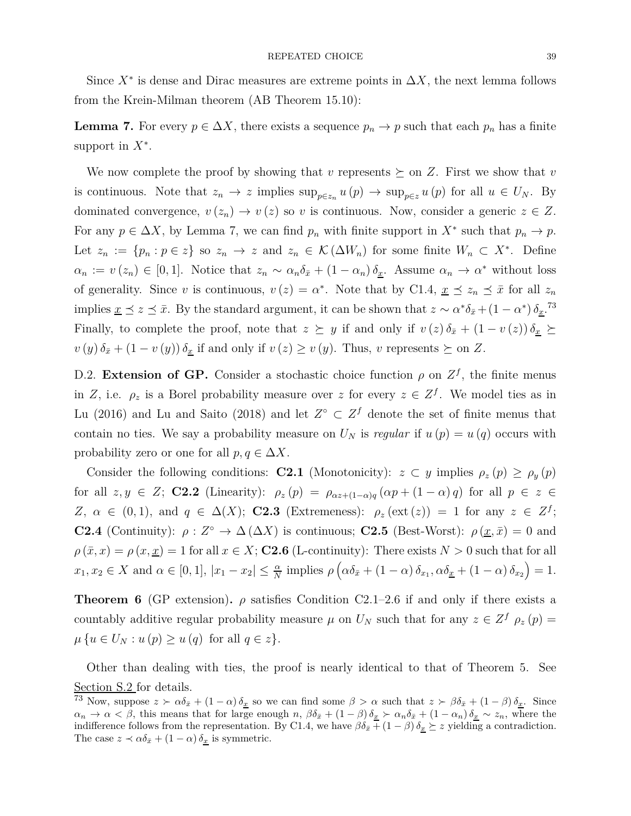Since  $X^*$  is dense and Dirac measures are extreme points in  $\Delta X$ , the next lemma follows from the Krein-Milman theorem (AB Theorem 15.10):

**Lemma 7.** For every  $p \in \Delta X$ , there exists a sequence  $p_n \to p$  such that each  $p_n$  has a finite support in *X*<sup>∗</sup> .

We now complete the proof by showing that  $v$  represents  $\succeq$  on  $Z$ . First we show that  $v$ is continuous. Note that  $z_n \to z$  implies  $\sup_{p \in z_n} u(p) \to \sup_{p \in z} u(p)$  for all  $u \in U_N$ . By dominated convergence,  $v(z_n) \to v(z)$  so *v* is continuous. Now, consider a generic  $z \in Z$ . For any  $p \in \Delta X$ , by Lemma 7, we can find  $p_n$  with finite support in  $X^*$  such that  $p_n \to p$ . Let  $z_n := \{p_n : p \in z\}$  so  $z_n \to z$  and  $z_n \in \mathcal{K}(\Delta W_n)$  for some finite  $W_n \subset X^*$ . Define  $\alpha_n := v(z_n) \in [0,1].$  Notice that  $z_n \sim \alpha_n \delta_{\bar{x}} + (1 - \alpha_n) \delta_{\bar{x}}$ . Assume  $\alpha_n \to \alpha^*$  without loss of generality. Since *v* is continuous,  $v(z) = \alpha^*$ . Note that by C1.4,  $\underline{x} \preceq z_n \preceq \overline{x}$  for all  $z_n$ implies  $\underline{x} \preceq z \preceq \overline{x}$ . By the standard argument, it can be shown that  $z \sim \alpha^* \delta_{\overline{x}} + (1 - \alpha^*) \delta_{\underline{x}}$ .<sup>73</sup> Finally, to complete the proof, note that  $z \succeq y$  if and only if  $v(z) \delta_{\bar{x}} + (1 - v(z)) \delta_{\underline{x}} \succeq$  $v(y)\delta_{\bar{x}} + (1 - v(y))\delta_{\underline{x}}$  if and only if  $v(z) \ge v(y)$ . Thus, *v* represents  $\succeq$  on *Z*.

D.2. **Extension of GP.** Consider a stochastic choice function  $\rho$  on  $Z<sup>f</sup>$ , the finite menus in *Z*, i.e.  $\rho_z$  is a Borel probability measure over *z* for every  $z \in Z^f$ . We model ties as in Lu (2016) and Lu and Saito (2018) and let  $Z^{\circ} \subset Z^f$  denote the set of finite menus that contain no ties. We say a probability measure on  $U_N$  is *regular* if  $u(p) = u(q)$  occurs with probability zero or one for all  $p, q \in \Delta X$ .

Consider the following conditions: **C2.1** (Monotonicity):  $z \subset y$  implies  $\rho_z(p) \ge \rho_y(p)$ for all *z, y* ∈ *Z*; **C2.2** (Linearity): *ρ<sup>z</sup>* (*p*) = *ραz*+(1−*α*)*<sup>q</sup>* (*αp* + (1 − *α*) *q*) for all *p* ∈ *z* ∈ *Z*,  $\alpha \in (0,1)$ , and  $q \in \Delta(X)$ ; **C2.3** (Extremeness):  $\rho_z(\text{ext}(z)) = 1$  for any  $z \in Z^f$ ; **C2.4** (Continuity):  $\rho : Z^{\circ} \to \Delta(\Delta X)$  is continuous; **C2.5** (Best-Worst):  $\rho(\underline{x}, \overline{x}) = 0$  and  $\rho(\bar{x}, x) = \rho(x, \underline{x}) = 1$  for all  $x \in X$ ; **C2.6** (L-continuity): There exists  $N > 0$  such that for all  $x_1, x_2 \in X$  and  $\alpha \in [0, 1]$ ,  $|x_1 - x_2| \leq \frac{\alpha}{N}$  implies  $\rho\left(\alpha \delta_{\bar{x}} + (1 - \alpha) \delta_{x_1}, \alpha \delta_{\underline{x}} + (1 - \alpha) \delta_{x_2}\right) = 1$ .

**Theorem 6** (GP extension).  $\rho$  satisfies Condition C2.1–2.6 if and only if there exists a countably additive regular probability measure  $\mu$  on  $U_N$  such that for any  $z \in Z^f$   $\rho_z(p) =$  $\mu \{u \in U_N : u(p) \geq u(q) \text{ for all } q \in \mathbb{Z}\}.$ 

Other than dealing with ties, the proof is nearly identical to that of Theorem 5. See Section S.2 for details.

<sup>73</sup> Now, suppose  $z > \alpha \delta_{\bar{x}} + (1 - \alpha) \delta_{\bar{x}}$  so we can find some  $\beta > \alpha$  such that  $z > \beta \delta_{\bar{x}} + (1 - \beta) \delta_{\bar{x}}$ . Since  $\alpha_n \to \alpha < \beta$ , this means that for large enough  $n, \beta \delta_{\bar{x}} + (1 - \beta) \delta_{\bar{x}} > \alpha_n \delta_{\bar{x}} + (1 - \alpha_n) \delta_{\bar{x}} \sim z_n$ , where the indifference follows from the representation. By C1.4, we have  $\beta \delta_{\bar{x}} + (1 - \beta) \delta_{\bar{x}} \succeq z$  yielding a contradiction. The case  $z \prec \alpha \delta_{\bar{x}} + (1 - \alpha) \delta_{\underline{x}}$  is symmetric.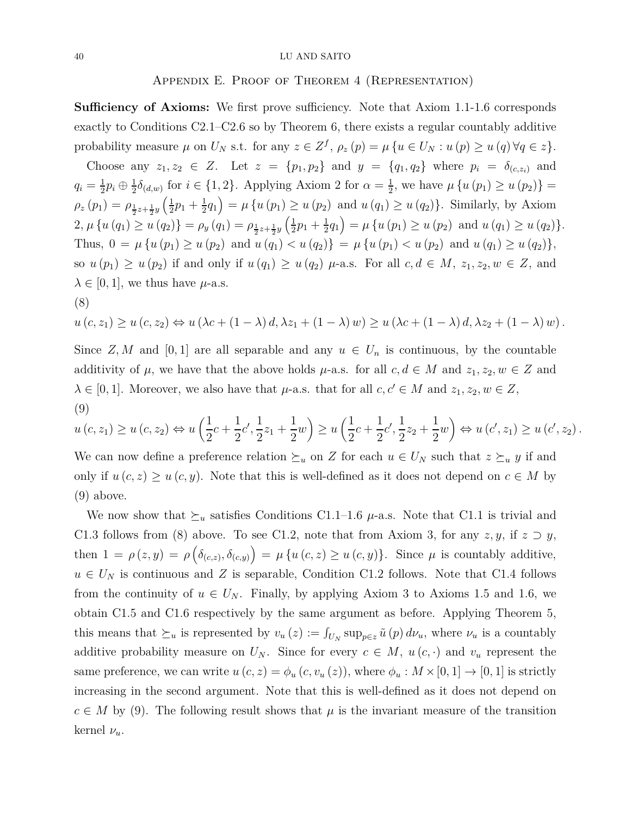## Appendix E. Proof of Theorem 4 (Representation)

**Sufficiency of Axioms:** We first prove sufficiency. Note that Axiom 1.1-1.6 corresponds exactly to Conditions C2.1–C2.6 so by Theorem 6, there exists a regular countably additive probability measure  $\mu$  on  $U_N$  s.t. for any  $z \in Z^f$ ,  $\rho_z(p) = \mu \{ u \in U_N : u(p) \ge u(q) \forall q \in z \}.$ 

Choose any  $z_1, z_2 \in Z$ . Let  $z = \{p_1, p_2\}$  and  $y = \{q_1, q_2\}$  where  $p_i = \delta_{(c, z_i)}$  and  $q_i = \frac{1}{2}$  $\frac{1}{2}p_i \oplus \frac{1}{2}$  $\frac{1}{2}\delta_{(d,w)}$  for  $i \in \{1,2\}$ . Applying Axiom 2 for  $\alpha = \frac{1}{2}$  $\frac{1}{2}$ , we have  $\mu\left\{u\left(p_{1}\right)\geq u\left(p_{2}\right)\right\}=$  $\rho_z(p_1) = \rho_{\frac{1}{2}z+\frac{1}{2}y}\left(\frac{1}{2}\right)$  $rac{1}{2}p_1 + \frac{1}{2}$  $\frac{1}{2}q_1$  =  $\mu$  {*u* (*p*<sub>1</sub>) ≥ *u* (*p*<sub>2</sub>) and *u* (*q*<sub>1</sub>) ≥ *u* (*q*<sub>2</sub>)}. Similarly, by Axiom 2,  $\mu \{ u(q_1) \ge u(q_2) \} = \rho_y(q_1) = \rho_{\frac{1}{2}z + \frac{1}{2}y} \left( \frac{1}{2} \right)$  $rac{1}{2}p_1 + \frac{1}{2}$  $\frac{1}{2}q_1$  =  $\mu$  {*u* (*p*<sub>1</sub>) ≥ *u* (*p*<sub>2</sub>) and *u* (*q*<sub>1</sub>) ≥ *u* (*q*<sub>2</sub>)}. Thus,  $0 = \mu \{u(p_1) \geq u(p_2) \text{ and } u(q_1) < u(q_2)\} = \mu \{u(p_1) < u(p_2) \text{ and } u(q_1) \geq u(q_2)\},$ so  $u(p_1) \geq u(p_2)$  if and only if  $u(q_1) \geq u(q_2)$   $\mu$ -a.s. For all  $c, d \in M$ ,  $z_1, z_2, w \in Z$ , and  $\lambda \in [0, 1]$ , we thus have  $\mu$ -a.s. (8)

$$
u(c, z_1) \ge u(c, z_2) \Leftrightarrow u(\lambda c + (1 - \lambda) d, \lambda z_1 + (1 - \lambda) w) \ge u(\lambda c + (1 - \lambda) d, \lambda z_2 + (1 - \lambda) w).
$$

Since *Z, M* and [0, 1] are all separable and any  $u \in U_n$  is continuous, by the countable additivity of  $\mu$ , we have that the above holds  $\mu$ -a.s. for all  $c, d \in M$  and  $z_1, z_2, w \in Z$  and  $\lambda \in [0, 1]$ . Moreover, we also have that  $\mu$ -a.s. that for all  $c, c' \in M$  and  $z_1, z_2, w \in Z$ , (9)

$$
u(c, z_1) \ge u(c, z_2) \Leftrightarrow u\left(\frac{1}{2}c + \frac{1}{2}c', \frac{1}{2}z_1 + \frac{1}{2}w\right) \ge u\left(\frac{1}{2}c + \frac{1}{2}c', \frac{1}{2}z_2 + \frac{1}{2}w\right) \Leftrightarrow u(c', z_1) \ge u(c', z_2).
$$

We can now define a preference relation  $\succeq_u$  on *Z* for each  $u \in U_N$  such that  $z \succeq_u y$  if and only if  $u(c, z) \geq u(c, y)$ . Note that this is well-defined as it does not depend on  $c \in M$  by (9) above.

We now show that  $\succeq_u$  satisfies Conditions C1.1–1.6  $\mu$ -a.s. Note that C1.1 is trivial and C1.3 follows from (8) above. To see C1.2, note that from Axiom 3, for any  $z, y$ , if  $z \supset y$ , then  $1 = \rho(z, y) = \rho\left(\delta_{(c,z)}, \delta_{(c,y)}\right) = \mu\left\{u\left(c, z\right) \geq u\left(c, y\right)\right\}$ . Since  $\mu$  is countably additive,  $u \in U_N$  is continuous and *Z* is separable, Condition C1.2 follows. Note that C1.4 follows from the continuity of  $u \in U_N$ . Finally, by applying Axiom 3 to Axioms 1.5 and 1.6, we obtain C1.5 and C1.6 respectively by the same argument as before. Applying Theorem 5, this means that  $\succeq_u$  is represented by  $v_u(z) := \int_{U_N} \sup_{p \in z} \tilde{u}(p) d\nu_u$ , where  $\nu_u$  is a countably additive probability measure on  $U_N$ . Since for every  $c \in M$ ,  $u(c, \cdot)$  and  $v_u$  represent the same preference, we can write  $u(c, z) = \phi_u(c, v_u(z))$ , where  $\phi_u : M \times [0, 1] \to [0, 1]$  is strictly increasing in the second argument. Note that this is well-defined as it does not depend on  $c \in M$  by (9). The following result shows that  $\mu$  is the invariant measure of the transition kernel *νu*.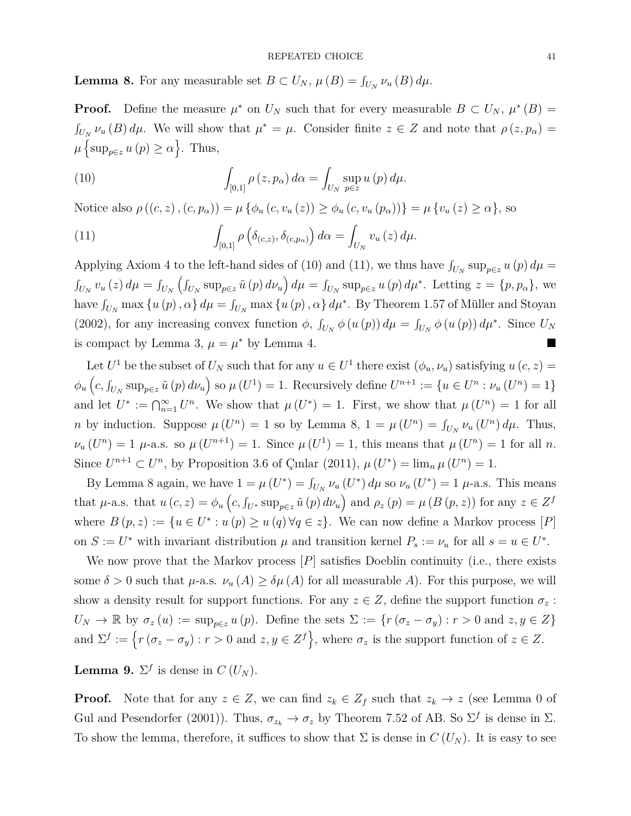#### REPEATED CHOICE 41

**Lemma 8.** For any measurable set  $B \subset U_N$ ,  $\mu(B) = \int_{U_N} \nu_u(B) d\mu$ .

**Proof.** Define the measure  $\mu^*$  on  $U_N$  such that for every measurable  $B \subset U_N$ ,  $\mu^*(B) =$  $\int_{U_N}$   $\nu_u(B) d\mu$ . We will show that  $\mu^* = \mu$ . Consider finite  $z \in Z$  and note that  $\rho(z, p_\alpha) =$  $\mu \left\{ \sup_{p \in \mathcal{Z}} u(p) \geq \alpha \right\}$ . Thus,

(10) 
$$
\int_{[0,1]} \rho(z, p_{\alpha}) d\alpha = \int_{U_N} \sup_{p \in z} u(p) d\mu.
$$

Notice also  $\rho((c, z), (c, p_{\alpha})) = \mu \{ \phi_u(c, v_u(z)) \geq \phi_u(c, v_u(p_{\alpha})) \} = \mu \{ v_u(z) > \alpha \}$ , so

(11) 
$$
\int_{[0,1]} \rho\left(\delta_{(c,z)}, \delta_{(c,p_\alpha)}\right) d\alpha = \int_{U_N} v_u(z) d\mu.
$$

Applying Axiom 4 to the left-hand sides of (10) and (11), we thus have  $\int_{U_N} \sup_{p \in z} u(p) d\mu =$  $\int_{U_N} v_u(z) d\mu = \int_{U_N} \left( \int_{U_N} \sup_{p \in z} \tilde{u}(p) d\nu_u \right) d\mu = \int_{U_N} \sup_{p \in z} u(p) d\mu^*$ . Letting  $z = \{p, p_\alpha\}$ , we have  $\int_{U_N} \max \{u(p), \alpha\} d\mu = \int_{U_N} \max \{u(p), \alpha\} d\mu^*$ . By Theorem 1.57 of Müller and Stoyan (2002), for any increasing convex function  $\phi$ ,  $\int_{U_N} \phi(u(p)) d\mu = \int_{U_N} \phi(u(p)) d\mu^*$ . Since  $U_N$ is compact by Lemma 3,  $\mu = \mu^*$  by Lemma 4.

Let  $U^1$  be the subset of  $U_N$  such that for any  $u \in U^1$  there exist  $(\phi_u, \nu_u)$  satisfying  $u(c, z) =$  $\phi_u\left(c, \int_{U_N} \sup_{p \in z} \tilde{u}(p) d\nu_u\right)$  so  $\mu(U^1) = 1$ . Recursively define  $U^{n+1} := \{u \in U^n : \nu_u(U^n) = 1\}$ and let  $U^* := \bigcap_{n=1}^{\infty} U^n$ . We show that  $\mu(U^*) = 1$ . First, we show that  $\mu(U^n) = 1$  for all *n* by induction. Suppose  $\mu(U^n) = 1$  so by Lemma 8,  $1 = \mu(U^n) = \int_{U_N} \nu_u(U^n) d\mu$ . Thus,  $\nu_u(U^n) = 1$   $\mu$ -a.s. so  $\mu(U^{n+1}) = 1$ . Since  $\mu(U^1) = 1$ , this means that  $\mu(U^n) = 1$  for all *n*. Since  $U^{n+1} \subset U^n$ , by Proposition 3.6 of Çınlar (2011),  $\mu(U^*) = \lim_{n \mu}(U^n) = 1$ .

By Lemma 8 again, we have  $1 = \mu(U^*) = \int_{U_N} \nu_u(U^*) d\mu$  so  $\nu_u(U^*) = 1$   $\mu$ -a.s. This means that  $\mu$ -a.s. that  $u(c, z) = \phi_u(c, f_{U^*} \sup_{p \in z} \tilde{u}(p) d\nu_u)$  and  $\rho_z(p) = \mu(B(p, z))$  for any  $z \in Z^f$ where  $B(p, z) := \{u \in U^* : u(p) \geq u(q) \forall q \in z\}$ . We can now define a Markov process [*P*] on  $S := U^*$  with invariant distribution  $\mu$  and transition kernel  $P_s := \nu_u$  for all  $s = u \in U^*$ .

We now prove that the Markov process [*P*] satisfies Doeblin continuity (i.e., there exists some  $\delta > 0$  such that  $\mu$ -a.s.  $\nu_u(A) \geq \delta \mu(A)$  for all measurable A). For this purpose, we will show a density result for support functions. For any  $z \in Z$ , define the support function  $\sigma_z$ :  $U_N \to \mathbb{R}$  by  $\sigma_z(u) := \sup_{p \in z} u(p)$ . Define the sets  $\Sigma := \{r(\sigma_z - \sigma_y) : r > 0 \text{ and } z, y \in Z\}$ and  $\Sigma^f := \{ r (\sigma_z - \sigma_y) : r > 0 \text{ and } z, y \in Z^f \}, \text{ where } \sigma_z \text{ is the support function of } z \in Z.$ 

**Lemma 9.**  $\Sigma^f$  is dense in  $C(U_N)$ .

**Proof.** Note that for any  $z \in Z$ , we can find  $z_k \in Z_f$  such that  $z_k \to z$  (see Lemma 0 of Gul and Pesendorfer (2001)). Thus,  $\sigma_{z_k} \to \sigma_z$  by Theorem 7.52 of AB. So  $\Sigma^f$  is dense in  $\Sigma$ . To show the lemma, therefore, it suffices to show that  $\Sigma$  is dense in  $C(U_N)$ . It is easy to see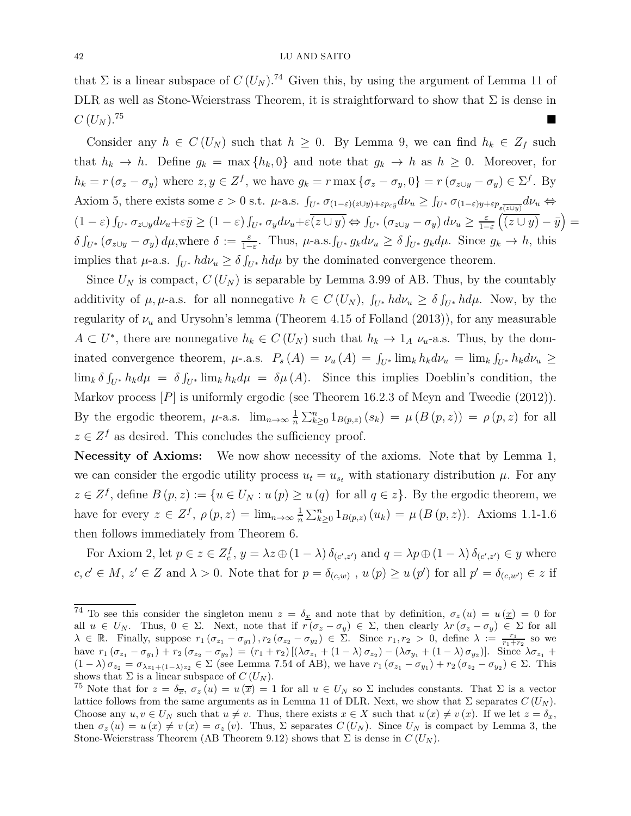that  $\Sigma$  is a linear subspace of  $C(U_N)$ .<sup>74</sup> Given this, by using the argument of Lemma 11 of DLR as well as Stone-Weierstrass Theorem, it is straightforward to show that  $\Sigma$  is dense in  $C(U_N)$ .<sup>75</sup>

Consider any  $h \in C(U_N)$  such that  $h \geq 0$ . By Lemma 9, we can find  $h_k \in Z_f$  such that  $h_k \to h$ . Define  $g_k = \max\{h_k, 0\}$  and note that  $g_k \to h$  as  $h \geq 0$ . Moreover, for  $h_k = r(\sigma_z - \sigma_y)$  where  $z, y \in Z^f$ , we have  $g_k = r \max\{\sigma_z - \sigma_y, 0\} = r(\sigma_{z \cup y} - \sigma_y) \in \Sigma^f$ . By Axiom 5, there exists some  $\varepsilon > 0$  s.t.  $\mu$ -a.s.  $\int_{U^*} \sigma_{(1-\varepsilon)(z \cup y) + \varepsilon p_{\varepsilon \bar{y}}} d\nu_u \ge \int_{U^*} \sigma_{(1-\varepsilon)y + \varepsilon p_{\varepsilon}(\overline{z \cup y})} d\nu_u \Leftrightarrow$  $(1-\varepsilon)\int_{U^*} \sigma_{z\cup y} d\nu_u + \varepsilon \bar{y} \ge (1-\varepsilon)\int_{U^*} \sigma_y d\nu_u + \varepsilon \overline{(z\cup y)} \Leftrightarrow \int_{U^*} (\sigma_{z\cup y} - \sigma_y) d\nu_u \ge \frac{\varepsilon}{1-\varepsilon}$ 1−*ε*  $\left(\overline{(z\cup y)}-\overline{y}\right)=$  $\delta \int_{U^*} (\sigma_{z\cup y} - \sigma_y) d\mu$ , where  $\delta := \frac{\varepsilon}{1-\varepsilon}$ . Thus,  $\mu$ -a.s.  $\int_{U^*} g_k d\nu_u \ge \delta \int_{U^*} g_k d\mu$ . Since  $g_k \to h$ , this implies that  $\mu$ -a.s.  $\int_{U^*} h d\nu_u \ge \delta \int_{U^*} h d\mu$  by the dominated convergence theorem.

Since  $U_N$  is compact,  $C(U_N)$  is separable by Lemma 3.99 of AB. Thus, by the countably additivity of  $\mu, \mu$ -a.s. for all nonnegative  $h \in C(U_N)$ ,  $\int_{U^*} h d\nu_u \geq \delta \int_{U^*} h d\mu$ . Now, by the regularity of  $\nu_u$  and Urysohn's lemma (Theorem 4.15 of Folland (2013)), for any measurable  $A \subset U^*$ , there are nonnegative  $h_k \in C(U_N)$  such that  $h_k \to 1_A \nu_u$ -a.s. Thus, by the dominated convergence theorem,  $\mu$ -.a.s.  $P_s(A) = \nu_u(A) = \int_{U^*} \lim_k h_k d\nu_u = \lim_k \int_{U^*} h_k d\nu_u \ge$  $\lim_{k} \delta \int_{U^*} h_k d\mu = \delta \int_{U^*} \lim_{k} h_k d\mu = \delta \mu(A)$ . Since this implies Doeblin's condition, the Markov process  $[P]$  is uniformly ergodic (see Theorem 16.2.3 of Meyn and Tweedie (2012)). By the ergodic theorem,  $\mu$ -a.s.  $\lim_{n\to\infty}\frac{1}{n}$  $\frac{1}{n} \sum_{k\geq 0}^{n} 1_{B(p,z)}(s_k) = \mu(B(p,z)) = \rho(p,z)$  for all  $z \in \mathbb{Z}^f$  as desired. This concludes the sufficiency proof.

**Necessity of Axioms:** We now show necessity of the axioms. Note that by Lemma 1, we can consider the ergodic utility process  $u_t = u_{s_t}$  with stationary distribution  $\mu$ . For any  $z \in \mathbb{Z}^f$ , define  $B(p, z) := \{u \in U_N : u(p) \geq u(q) \text{ for all } q \in z\}$ . By the ergodic theorem, we have for every  $z \in Z^f$ ,  $\rho(p, z) = \lim_{n \to \infty} \frac{1}{n}$  $\frac{1}{n}\sum_{k\geq 0}^{n}1_{B(p,z)}(u_k) = \mu(B(p,z))$ . Axioms 1.1-1.6 then follows immediately from Theorem 6.

For Axiom 2, let  $p \in z \in Z_c^f$ ,  $y = \lambda z \oplus (1 - \lambda) \delta_{(c',z')}$  and  $q = \lambda p \oplus (1 - \lambda) \delta_{(c',z')} \in y$  where  $c, c' \in M$ ,  $z' \in Z$  and  $\lambda > 0$ . Note that for  $p = \delta_{(c,w)}$ ,  $u(p) \ge u(p')$  for all  $p' = \delta_{(c,w')} \in z$  if

<sup>&</sup>lt;sup>74</sup> To see this consider the singleton menu  $z = \delta_x$  and note that by definition,  $\sigma_z(u) = u(\underline{x}) = 0$  for all  $u \in U_N$ . Thus,  $0 \in \Sigma$ . Next, note that if  $r(\sigma_z - \sigma_y) \in \Sigma$ , then clearly  $\lambda r(\sigma_z - \sigma_y) \in \Sigma$  for all  $\lambda \in \mathbb{R}$ . Finally, suppose  $r_1(\sigma_{z_1}-\sigma_{y_1}), r_2(\sigma_{z_2}-\sigma_{y_2}) \in \Sigma$ . Since  $r_1, r_2 > 0$ , define  $\lambda := \frac{r_1}{r_1+r_2}$  so we have  $r_1(\sigma_{z_1}-\sigma_{y_1})+r_2(\sigma_{z_2}-\sigma_{y_2})=(r_1+r_2)[(\lambda\sigma_{z_1}+(1-\lambda)\sigma_{z_2})-(\lambda\sigma_{y_1}+(1-\lambda)\sigma_{y_2})]$ . Since  $\lambda\sigma_{z_1}+r_2(\sigma_{z_2}-\sigma_{y_2})$  $(1-\lambda)\sigma_{z_2} = \sigma_{\lambda z_1+(1-\lambda)z_2} \in \Sigma$  (see Lemma 7.54 of AB), we have  $r_1(\sigma_{z_1}-\sigma_{y_1})+r_2(\sigma_{z_2}-\sigma_{y_2}) \in \Sigma$ . This shows that  $\Sigma$  is a linear subspace of  $C(U_N)$ .

<sup>&</sup>lt;sup>75</sup> Note that for  $z = \delta_{\overline{x}}$ ,  $\sigma_z(u) = u(\overline{x}) = 1$  for all  $u \in U_N$  so  $\Sigma$  includes constants. That  $\Sigma$  is a vector lattice follows from the same arguments as in Lemma 11 of DLR. Next, we show that  $\Sigma$  separates  $C(U_N)$ . Choose any  $u, v \in U_N$  such that  $u \neq v$ . Thus, there exists  $x \in X$  such that  $u(x) \neq v(x)$ . If we let  $z = \delta_x$ , then  $\sigma_z(u) = u(x) \neq v(x) = \sigma_z(v)$ . Thus,  $\Sigma$  separates  $C(U_N)$ . Since  $U_N$  is compact by Lemma 3, the Stone-Weierstrass Theorem (AB Theorem 9.12) shows that  $\Sigma$  is dense in  $C(U_N)$ .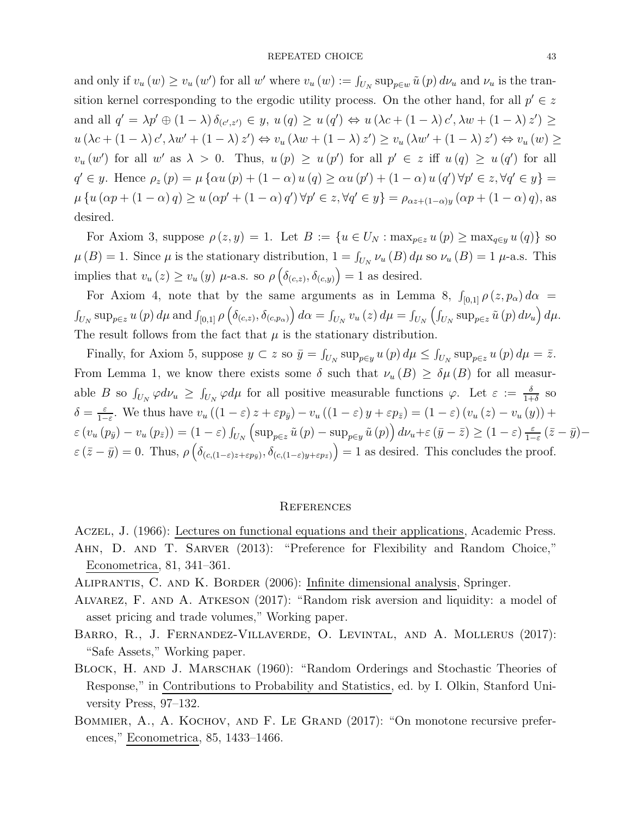and only if  $v_u(w) \ge v_u(w')$  for all w' where  $v_u(w) := \int_{U_N} \sup_{p \in w} \tilde{u}(p) d\nu_u$  and  $\nu_u$  is the transition kernel corresponding to the ergodic utility process. On the other hand, for all  $p' \in z$ and all  $q' = \lambda p' \oplus (1 - \lambda) \delta_{(c',z')} \in y$ ,  $u(q) \ge u(q') \Leftrightarrow u(\lambda c + (1 - \lambda) c', \lambda w + (1 - \lambda) z') \ge$  $u(\lambda c + (1 - \lambda)c', \lambda w' + (1 - \lambda)z') \Leftrightarrow v_u(\lambda w + (1 - \lambda)z') \ge v_u(\lambda w' + (1 - \lambda)z') \Leftrightarrow v_u(w) \ge v_u(w)$  $v_u(w')$  for all *w*' as  $\lambda > 0$ . Thus,  $u(p) \ge u(p')$  for all  $p' \in z$  iff  $u(q) \ge u(q')$  for all  $q' \in y$ . Hence  $\rho_z(p) = \mu \{ \alpha u(p) + (1 - \alpha) u(q) \ge \alpha u(p') + (1 - \alpha) u(q') \forall p' \in z, \forall q' \in y \}$  $\mu\left\{u\left(\alpha p + (1-\alpha) q\right) \geq u\left(\alpha p' + (1-\alpha) q'\right) \forall p' \in z, \forall q' \in y\right\} = \rho_{\alpha z + (1-\alpha)y}\left(\alpha p + (1-\alpha) q\right),$  as desired.

For Axiom 3, suppose  $\rho(z, y) = 1$ . Let  $B := \{u \in U_N : \max_{p \in z} u(p) \ge \max_{q \in y} u(q)\}\)$  so  $\mu(B) = 1$ . Since  $\mu$  is the stationary distribution,  $1 = \int_{U_N} \nu_u(B) d\mu$  so  $\nu_u(B) = 1$   $\mu$ -a.s. This implies that  $v_u(z) \ge v_u(y)$   $\mu$ -a.s. so  $\rho\left(\delta_{(c,z)}, \delta_{(c,y)}\right) = 1$  as desired.

For Axiom 4, note that by the same arguments as in Lemma 8,  $\int_{[0,1]} \rho(z, p_\alpha) d\alpha =$  $\int_{U_N} \sup_{p \in z} u(p) d\mu$  and  $\int_{[0,1]} \rho \left( \delta_{(c,z)}, \delta_{(c,p_\alpha)} \right) d\alpha = \int_{U_N} v_u(z) d\mu = \int_{U_N} \left( \int_{U_N} \sup_{p \in z} \tilde{u}(p) d\nu_u \right) d\mu$ . The result follows from the fact that  $\mu$  is the stationary distribution.

Finally, for Axiom 5, suppose  $y \subset z$  so  $\bar{y} = \int_{U_N} \sup_{p \in y} u(p) d\mu \le \int_{U_N} \sup_{p \in z} u(p) d\mu = \bar{z}$ . From Lemma 1, we know there exists some  $\delta$  such that  $\nu_u(B) \geq \delta \mu(B)$  for all measurable *B* so  $\int_{U_N} \varphi d\nu_u \ge \int_{U_N} \varphi d\mu$  for all positive measurable functions  $\varphi$ . Let  $\varepsilon := \frac{\delta}{1+\delta}$  so *δ* = *ε*  $\frac{\varepsilon}{1-\varepsilon}$ . We thus have  $v_u((1-\varepsilon)z+\varepsilon p_{\bar{y}})-v_u((1-\varepsilon)y+\varepsilon p_{\bar{z}})=(1-\varepsilon)(v_u(z)-v_u(y))+\varepsilon$  $\varepsilon (v_u (p_{\bar{y}}) - v_u (p_{\bar{z}})) = (1 - \varepsilon) \int_{U_N}$  $\left(\sup_{p\in\mathbb{Z}}\tilde{u}(p)-\sup_{p\in\mathbb{Y}}\tilde{u}(p)\right)d\nu_{u}+\varepsilon\left(\bar{y}-\bar{z}\right)\geq\left(1-\varepsilon\right)\frac{\varepsilon}{1-\varepsilon}$  $\frac{\varepsilon}{1-\varepsilon}$  ( $\bar{z}-\bar{y}$ )−  $\varepsilon$  ( $\bar{z} - \bar{y}$ ) = 0. Thus,  $\rho$  ( $\delta$ <sub>(*c*,(1-*ε*)*z*+*εp*<sub>*y*</sub></sub>),  $\delta$ <sub>(*c*,(1-*ε*)*y*+*εp*<sub>*z*</sub></sup>)</sub>) = 1 as desired. This concludes the proof.

## **REFERENCES**

- Aczel, J. (1966): Lectures on functional equations and their applications, Academic Press. Ahn, D. and T. Sarver (2013): "Preference for Flexibility and Random Choice," Econometrica, 81, 341–361.
- Aliprantis, C. and K. Border (2006): Infinite dimensional analysis, Springer.
- Alvarez, F. and A. Atkeson (2017): "Random risk aversion and liquidity: a model of asset pricing and trade volumes," Working paper.
- Barro, R., J. Fernandez-Villaverde, O. Levintal, and A. Mollerus (2017): "Safe Assets," Working paper.
- BLOCK, H. AND J. MARSCHAK (1960): "Random Orderings and Stochastic Theories of Response," in Contributions to Probability and Statistics, ed. by I. Olkin, Stanford University Press, 97–132.
- BOMMIER, A., A. KOCHOV, AND F. LE GRAND (2017): "On monotone recursive preferences," Econometrica, 85, 1433–1466.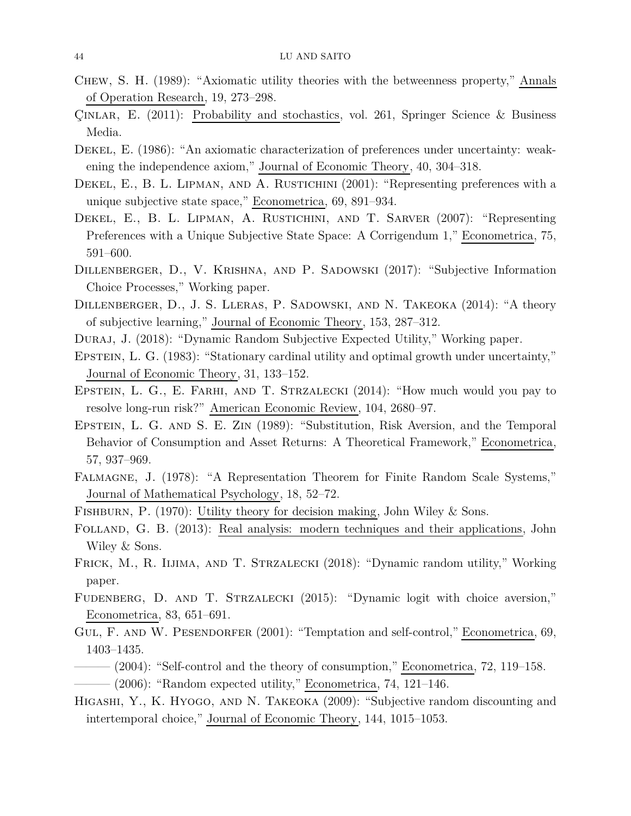- Chew, S. H. (1989): "Axiomatic utility theories with the betweenness property," Annals of Operation Research, 19, 273–298.
- Çınlar, E. (2011): Probability and stochastics, vol. 261, Springer Science & Business Media.
- Dekel, E. (1986): "An axiomatic characterization of preferences under uncertainty: weakening the independence axiom," Journal of Economic Theory, 40, 304–318.
- DEKEL, E., B. L. LIPMAN, AND A. RUSTICHINI (2001): "Representing preferences with a unique subjective state space," Econometrica, 69, 891–934.
- DEKEL, E., B. L. LIPMAN, A. RUSTICHINI, AND T. SARVER (2007): "Representing Preferences with a Unique Subjective State Space: A Corrigendum 1," Econometrica, 75, 591–600.
- Dillenberger, D., V. Krishna, and P. Sadowski (2017): "Subjective Information Choice Processes," Working paper.
- Dillenberger, D., J. S. Lleras, P. Sadowski, and N. Takeoka (2014): "A theory of subjective learning," Journal of Economic Theory, 153, 287–312.
- Duraj, J. (2018): "Dynamic Random Subjective Expected Utility," Working paper.
- EPSTEIN, L. G. (1983): "Stationary cardinal utility and optimal growth under uncertainty," Journal of Economic Theory, 31, 133–152.
- EPSTEIN, L. G., E. FARHI, AND T. STRZALECKI (2014): "How much would you pay to resolve long-run risk?" American Economic Review, 104, 2680–97.
- EPSTEIN, L. G. AND S. E. ZIN (1989): "Substitution, Risk Aversion, and the Temporal Behavior of Consumption and Asset Returns: A Theoretical Framework," Econometrica, 57, 937–969.
- Falmagne, J. (1978): "A Representation Theorem for Finite Random Scale Systems," Journal of Mathematical Psychology, 18, 52–72.
- FISHBURN, P. (1970): Utility theory for decision making, John Wiley & Sons.
- Folland, G. B. (2013): Real analysis: modern techniques and their applications, John Wiley & Sons.
- Frick, M., R. Iijima, and T. Strzalecki (2018): "Dynamic random utility," Working paper.
- Fudenberg, D. and T. Strzalecki (2015): "Dynamic logit with choice aversion," Econometrica, 83, 651–691.
- GUL, F. AND W. PESENDORFER (2001): "Temptation and self-control," Econometrica, 69, 1403–1435.
- $-$  (2004): "Self-control and the theory of consumption," Econometrica, 72, 119–158.  $-$  (2006): "Random expected utility," Econometrica, 74, 121–146.
- HIGASHI, Y., K. HYOGO, AND N. TAKEOKA (2009): "Subjective random discounting and intertemporal choice," Journal of Economic Theory, 144, 1015–1053.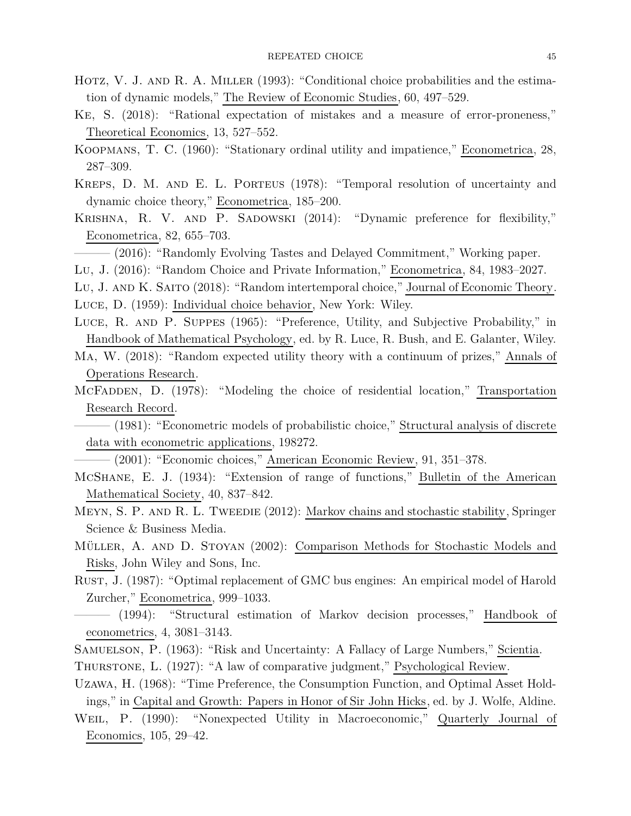- HOTZ, V. J. AND R. A. MILLER (1993): "Conditional choice probabilities and the estimation of dynamic models," The Review of Economic Studies, 60, 497–529.
- Ke, S. (2018): "Rational expectation of mistakes and a measure of error-proneness," Theoretical Economics, 13, 527–552.
- Koopmans, T. C. (1960): "Stationary ordinal utility and impatience," Econometrica, 28, 287–309.
- Kreps, D. M. and E. L. Porteus (1978): "Temporal resolution of uncertainty and dynamic choice theory," Econometrica, 185–200.
- KRISHNA, R. V. AND P. SADOWSKI (2014): "Dynamic preference for flexibility," Econometrica, 82, 655–703.
	- ——— (2016): "Randomly Evolving Tastes and Delayed Commitment," Working paper.
- Lu, J. (2016): "Random Choice and Private Information," Econometrica, 84, 1983–2027.
- Lu, J. and K. Saito (2018): "Random intertemporal choice," Journal of Economic Theory. Luce, D. (1959): Individual choice behavior, New York: Wiley.
- Luce, R. and P. Suppes (1965): "Preference, Utility, and Subjective Probability," in Handbook of Mathematical Psychology, ed. by R. Luce, R. Bush, and E. Galanter, Wiley.
- Ma, W. (2018): "Random expected utility theory with a continuum of prizes," Annals of Operations Research.
- McFadden, D. (1978): "Modeling the choice of residential location," Transportation Research Record.
	- ——— (1981): "Econometric models of probabilistic choice," Structural analysis of discrete data with econometric applications, 198272.
	- $-$  (2001): "Economic choices," American Economic Review, 91, 351–378.
- McShane, E. J. (1934): "Extension of range of functions," Bulletin of the American Mathematical Society, 40, 837–842.
- MEYN, S. P. AND R. L. TWEEDIE (2012): Markov chains and stochastic stability, Springer Science & Business Media.
- Müller, A. and D. Stoyan (2002): Comparison Methods for Stochastic Models and Risks, John Wiley and Sons, Inc.
- Rust, J. (1987): "Optimal replacement of GMC bus engines: An empirical model of Harold Zurcher," Econometrica, 999–1033.
- ——— (1994): "Structural estimation of Markov decision processes," Handbook of econometrics, 4, 3081–3143.
- Samuelson, P. (1963): "Risk and Uncertainty: A Fallacy of Large Numbers," Scientia.
- Thurstone, L. (1927): "A law of comparative judgment," Psychological Review.
- Uzawa, H. (1968): "Time Preference, the Consumption Function, and Optimal Asset Holdings," in Capital and Growth: Papers in Honor of Sir John Hicks, ed. by J. Wolfe, Aldine.
- Weil, P. (1990): "Nonexpected Utility in Macroeconomic," Quarterly Journal of Economics, 105, 29–42.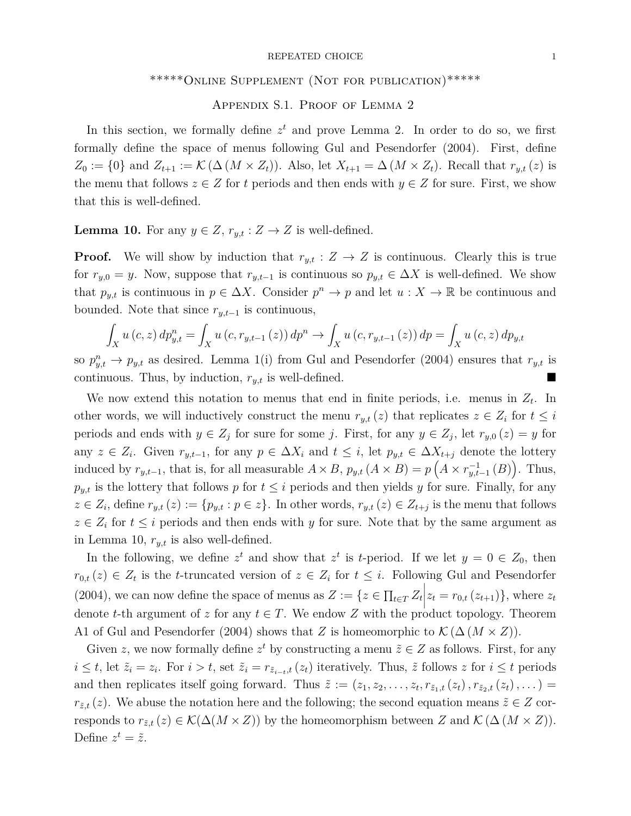#### REPEATED CHOICE 1

# \*\*\*\*\*Online Supplement (Not for publication)\*\*\*\*\*

# Appendix S.1. Proof of Lemma 2

In this section, we formally define  $z<sup>t</sup>$  and prove Lemma 2. In order to do so, we first formally define the space of menus following Gul and Pesendorfer (2004). First, define  $Z_0 := \{0\}$  and  $Z_{t+1} := \mathcal{K}(\Delta(M \times Z_t))$ . Also, let  $X_{t+1} = \Delta(M \times Z_t)$ . Recall that  $r_{y,t}(z)$  is the menu that follows  $z \in Z$  for *t* periods and then ends with  $y \in Z$  for sure. First, we show that this is well-defined.

**Lemma 10.** For any  $y \in Z$ ,  $r_{y,t}: Z \to Z$  is well-defined.

**Proof.** We will show by induction that  $r_{y,t}: Z \to Z$  is continuous. Clearly this is true for  $r_{y,0} = y$ . Now, suppose that  $r_{y,t-1}$  is continuous so  $p_{y,t} \in \Delta X$  is well-defined. We show that  $p_{y,t}$  is continuous in  $p \in \Delta X$ . Consider  $p^n \to p$  and let  $u: X \to \mathbb{R}$  be continuous and bounded. Note that since  $r_{y,t-1}$  is continuous,

$$
\int_{X} u(c, z) dp_{y,t}^{n} = \int_{X} u(c, r_{y,t-1}(z)) dp^{n} \to \int_{X} u(c, r_{y,t-1}(z)) dp = \int_{X} u(c, z) dp_{y,t}
$$

so  $p_{y,t}^n \to p_{y,t}$  as desired. Lemma 1(i) from Gul and Pesendorfer (2004) ensures that  $r_{y,t}$  is continuous. Thus, by induction, *ry,t* is well-defined.

We now extend this notation to menus that end in finite periods, i.e. menus in *Z<sup>t</sup>* . In other words, we will inductively construct the menu  $r_{y,t}(z)$  that replicates  $z \in Z_i$  for  $t \leq i$ periods and ends with  $y \in Z_j$  for sure for some *j*. First, for any  $y \in Z_j$ , let  $r_{y,0}(z) = y$  for any  $z \in Z_i$ . Given  $r_{y,t-1}$ , for any  $p \in \Delta X_i$  and  $t \leq i$ , let  $p_{y,t} \in \Delta X_{t+j}$  denote the lottery induced by  $r_{y,t-1}$ , that is, for all measurable  $A \times B$ ,  $p_{y,t}$   $(A \times B) = p(A \times r_{y,t-1}^{-1}(B))$ . Thus,  $p_{y,t}$  is the lottery that follows *p* for  $t \leq i$  periods and then yields *y* for sure. Finally, for any  $z \in Z_i$ , define  $r_{y,t}(z) := \{p_{y,t} : p \in z\}$ . In other words,  $r_{y,t}(z) \in Z_{t+j}$  is the menu that follows  $z \in Z_i$  for  $t \leq i$  periods and then ends with *y* for sure. Note that by the same argument as in Lemma 10, *ry,t* is also well-defined.

In the following, we define  $z^t$  and show that  $z^t$  is *t*-period. If we let  $y = 0 \in Z_0$ , then  $r_{0,t}(z) \in Z_t$  is the *t*-truncated version of  $z \in Z_i$  for  $t \leq i$ . Following Gul and Pesendorfer  $(2004)$ , we can now define the space of menus as  $Z := \{ z \in \prod_{t \in T} Z_t | z_t = r_{0,t} (z_{t+1}) \}$ , where  $z_t$ denote *t*-th argument of *z* for any  $t \in T$ . We endow *Z* with the product topology. Theorem A1 of Gul and Pesendorfer (2004) shows that *Z* is homeomorphic to  $\mathcal{K}(\Delta (M \times Z)).$ 

Given *z*, we now formally define  $z^t$  by constructing a menu  $\tilde{z} \in Z$  as follows. First, for any  $i \leq t$ , let  $\tilde{z}_i = z_i$ . For  $i > t$ , set  $\tilde{z}_i = r_{\tilde{z}_{i-t},t}(z_t)$  iteratively. Thus,  $\tilde{z}$  follows z for  $i \leq t$  periods and then replicates itself going forward. Thus  $\tilde{z} := (z_1, z_2, \ldots, z_t, r_{\tilde{z}_1,t}(z_t), r_{\tilde{z}_2,t}(z_t), \ldots)$ *r*<sub> $\tilde{z}$ ,*t*</sub> (*z*). We abuse the notation here and the following; the second equation means  $\tilde{z} \in Z$  corresponds to  $r_{\tilde{z},t}(z) \in \mathcal{K}(\Delta(M \times Z))$  by the homeomorphism between *Z* and  $\mathcal{K}(\Delta(M \times Z))$ . Define  $z^t = \tilde{z}$ .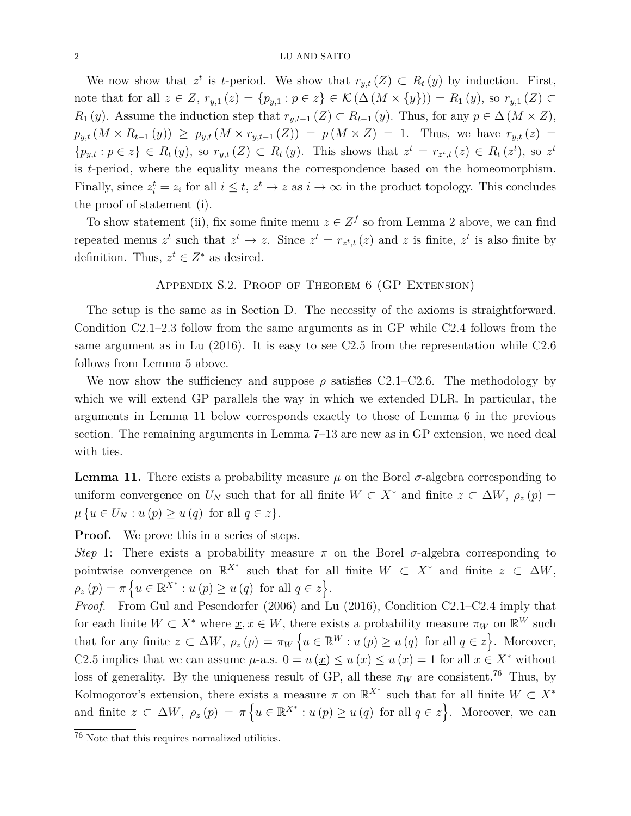We now show that  $z^t$  is *t*-period. We show that  $r_{y,t}(Z) \subset R_t(y)$  by induction. First, note that for all  $z \in Z$ ,  $r_{y,1}(z) = \{p_{y,1} : p \in z\}$  ∈ K ( $\Delta$  ( $M \times \{y\}) = R_1(y)$ , so  $r_{y,1}(Z)$  ⊂ *R*<sub>1</sub> (*y*). Assume the induction step that  $r_{y,t-1}$  (*Z*) ⊂ *R*<sub>*t*−1</sub> (*y*). Thus, for any  $p \in \Delta$  (*M* × *Z*),  $p_{y,t}(M \times R_{t-1}(y)) \geq p_{y,t}(M \times r_{y,t-1}(Z)) = p(M \times Z) = 1$ . Thus, we have  $r_{y,t}(z) =$  $\{p_{y,t}: p \in z\} \in R_t(y)$ , so  $r_{y,t}(Z) \subset R_t(y)$ . This shows that  $z^t = r_{z^t,t}(z) \in R_t(z^t)$ , so  $z^t$ is *t*-period, where the equality means the correspondence based on the homeomorphism. Finally, since  $z_i^t = z_i$  for all  $i \leq t$ ,  $z^t \to z$  as  $i \to \infty$  in the product topology. This concludes the proof of statement (i).

To show statement (ii), fix some finite menu  $z \in Z^f$  so from Lemma 2 above, we can find repeated menus  $z^t$  such that  $z^t \to z$ . Since  $z^t = r_{z^t,t}(z)$  and  $z$  is finite,  $z^t$  is also finite by definition. Thus,  $z^t \in Z^*$  as desired.

## Appendix S.2. Proof of Theorem 6 (GP Extension)

The setup is the same as in Section D. The necessity of the axioms is straightforward. Condition C2.1–2.3 follow from the same arguments as in GP while C2.4 follows from the same argument as in Lu (2016). It is easy to see C2.5 from the representation while C2.6 follows from Lemma 5 above.

We now show the sufficiency and suppose  $\rho$  satisfies C2.1–C2.6. The methodology by which we will extend GP parallels the way in which we extended DLR. In particular, the arguments in Lemma 11 below corresponds exactly to those of Lemma 6 in the previous section. The remaining arguments in Lemma 7–13 are new as in GP extension, we need deal with ties.

**Lemma 11.** There exists a probability measure  $\mu$  on the Borel  $\sigma$ -algebra corresponding to uniform convergence on  $U_N$  such that for all finite  $W \subset X^*$  and finite  $z \subset \Delta W$ ,  $\rho_z(p) =$  $\mu \{ u \in U_N : u(p) \geq u(q) \text{ for all } q \in z \}.$ 

**Proof.** We prove this in a series of steps.

*Step* 1: There exists a probability measure  $\pi$  on the Borel  $\sigma$ -algebra corresponding to pointwise convergence on  $\mathbb{R}^{X^*}$  such that for all finite  $W \subset X^*$  and finite  $z \subset \Delta W$ ,  $\rho_z(p) = \pi \left\{ u \in \mathbb{R}^{X^*} : u(p) \ge u(q) \text{ for all } q \in z \right\}.$ 

*Proof.* From Gul and Pesendorfer (2006) and Lu (2016), Condition C2.1–C2.4 imply that for each finite  $W \subset X^*$  where  $\underline{x}, \overline{x} \in W$ , there exists a probability measure  $\pi_W$  on  $\mathbb{R}^W$  such that for any finite  $z \subset \Delta W$ ,  $\rho_z(p) = \pi_W \{ u \in \mathbb{R}^W : u(p) \ge u(q) \text{ for all } q \in z \}.$  Moreover, C2.5 implies that we can assume  $\mu$ -a.s.  $0 = u(\underline{x}) \le u(\overline{x}) \le u(\overline{x}) = 1$  for all  $x \in X^*$  without loss of generality. By the uniqueness result of GP, all these  $\pi_W$  are consistent.<sup>76</sup> Thus, by Kolmogorov's extension, there exists a measure  $\pi$  on  $\mathbb{R}^{X^*}$  such that for all finite  $W \subset X^*$ and finite  $z \subset \Delta W$ ,  $\rho_z(p) = \pi \{ u \in \mathbb{R}^{X^*} : u(p) \ge u(q) \text{ for all } q \in z \}.$  Moreover, we can

 $\overline{\text{76}}$  Note that this requires normalized utilities.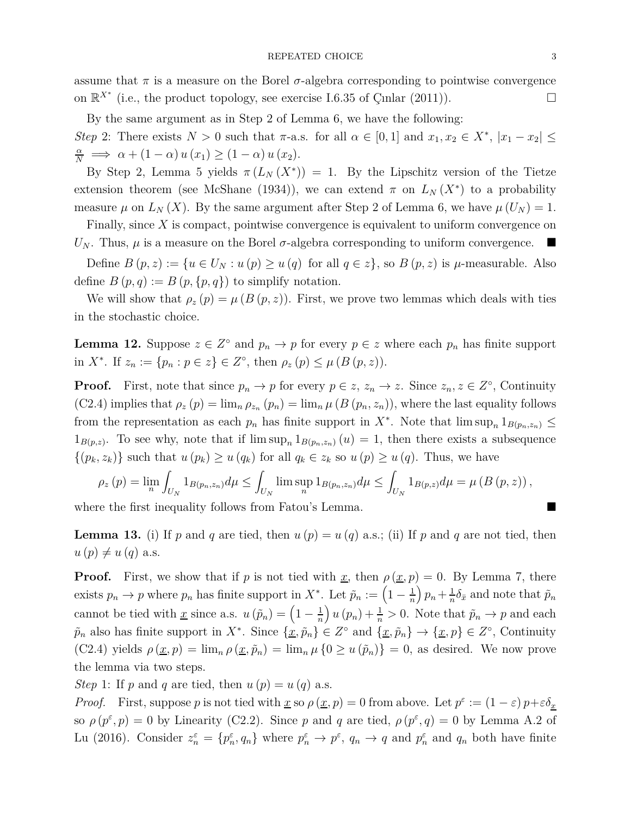assume that  $\pi$  is a measure on the Borel  $\sigma$ -algebra corresponding to pointwise convergence on  $\mathbb{R}^{X^*}$  (i.e., the product topology, see exercise I.6.35 of Çinlar (2011)).

By the same argument as in Step 2 of Lemma 6, we have the following:

*Step* 2: There exists  $N > 0$  such that  $\pi$ -a.s. for all  $\alpha \in [0,1]$  and  $x_1, x_2 \in X^*$ ,  $|x_1 - x_2| \leq$  $\frac{\alpha}{N} \implies \alpha + (1 - \alpha) u(x_1) \ge (1 - \alpha) u(x_2).$ 

By Step 2, Lemma 5 yields  $\pi(L_N(X^*)) = 1$ . By the Lipschitz version of the Tietze extension theorem (see McShane (1934)), we can extend  $\pi$  on  $L_N(X^*)$  to a probability measure  $\mu$  on  $L_N(X)$ . By the same argument after Step 2 of Lemma 6, we have  $\mu(U_N) = 1$ .

Finally, since *X* is compact, pointwise convergence is equivalent to uniform convergence on *U<sub>N</sub>*. Thus,  $\mu$  is a measure on the Borel  $\sigma$ -algebra corresponding to uniform convergence.

Define  $B(p, z) := \{u \in U_N : u(p) \ge u(q) \text{ for all } q \in z\}$ , so  $B(p, z)$  is  $\mu$ -measurable. Also define  $B(p,q) := B(p,\{p,q\})$  to simplify notation.

We will show that  $\rho_z(p) = \mu(B(p, z))$ . First, we prove two lemmas which deals with ties in the stochastic choice.

**Lemma 12.** Suppose  $z \in Z^{\circ}$  and  $p_n \to p$  for every  $p \in z$  where each  $p_n$  has finite support in *X*<sup>\*</sup>. If  $z_n := \{p_n : p \in z\} \in Z^{\circ}$ , then  $\rho_z(p) \leq \mu(B(p, z))$ .

**Proof.** First, note that since  $p_n \to p$  for every  $p \in z$ ,  $z_n \to z$ . Since  $z_n, z \in Z^\circ$ , Continuity  $(C2.4)$  implies that  $\rho_z(p) = \lim_n \rho_{z_n}(p_n) = \lim_n \mu(B(p_n, z_n))$ , where the last equality follows from the representation as each  $p_n$  has finite support in  $X^*$ . Note that  $\limsup_n 1_{B(p_n,z_n)} \leq$  $1_{B(p,z)}$ . To see why, note that if  $\limsup_n 1_{B(p_n,z_n)}(u) = 1$ , then there exists a subsequence  $\{(p_k, z_k)\}\$  such that  $u(p_k) \geq u(q_k)$  for all  $q_k \in z_k$  so  $u(p) \geq u(q)$ . Thus, we have

$$
\rho_z(p) = \lim_n \int_{U_N} 1_{B(p_n, z_n)} d\mu \le \int_{U_N} \limsup_n 1_{B(p_n, z_n)} d\mu \le \int_{U_N} 1_{B(p, z)} d\mu = \mu (B(p, z)),
$$

where the first inequality follows from Fatou's Lemma.

**Lemma 13.** (i) If *p* and *q* are tied, then  $u(p) = u(q)$  a.s.; (ii) If *p* and *q* are not tied, then  $u(p) \neq u(q)$  a.s.

**Proof.** First, we show that if *p* is not tied with <u>*x*</u>, then  $\rho(\underline{x}, p) = 0$ . By Lemma 7, there exists  $p_n \to p$  where  $p_n$  has finite support in  $X^*$ . Let  $\tilde{p}_n := \left(1 - \frac{1}{n}\right)$ *n*  $\left(p_n + \frac{1}{n}\right)$  $\frac{1}{n} \delta_{\bar{x}}$  and note that  $\tilde{p}_n$ cannot be tied with <u>x</u> since a.s.  $u(\tilde{p}_n) = \left(1 - \frac{1}{n}\right)$ *n*  $\left(u\left(p_n\right) + \frac{1}{n} > 0$ . Note that  $\tilde{p}_n \to p$  and each  $\tilde{p}_n$  also has finite support in  $X^*$ . Since  $\{\underline{x}, \tilde{p}_n\} \in Z^\circ$  and  $\{\underline{x}, \tilde{p}_n\} \to \{\underline{x}, p\} \in Z^\circ$ , Continuity (C2.4) yields  $\rho(\underline{x}, p) = \lim_{n \to \infty} \rho(\underline{x}, \tilde{p}_n) = \lim_{n \to \infty} \mu\{0 \ge u(\tilde{p}_n)\} = 0$ , as desired. We now prove the lemma via two steps.

*Step* 1: If *p* and *q* are tied, then  $u(p) = u(q)$  a.s.

*Proof.* First, suppose *p* is not tied with <u>*x*</u> so  $\rho(x, p) = 0$  from above. Let  $p^{\varepsilon} := (1 - \varepsilon) p + \varepsilon \delta_x$ so  $\rho(p^{\varepsilon}, p) = 0$  by Linearity (C2.2). Since *p* and *q* are tied,  $\rho(p^{\varepsilon}, q) = 0$  by Lemma A.2 of Lu (2016). Consider  $z_n^{\varepsilon} = \{p_n^{\varepsilon}, q_n\}$  where  $p_n^{\varepsilon} \to p^{\varepsilon}$ ,  $q_n \to q$  and  $p_n^{\varepsilon}$  and  $q_n$  both have finite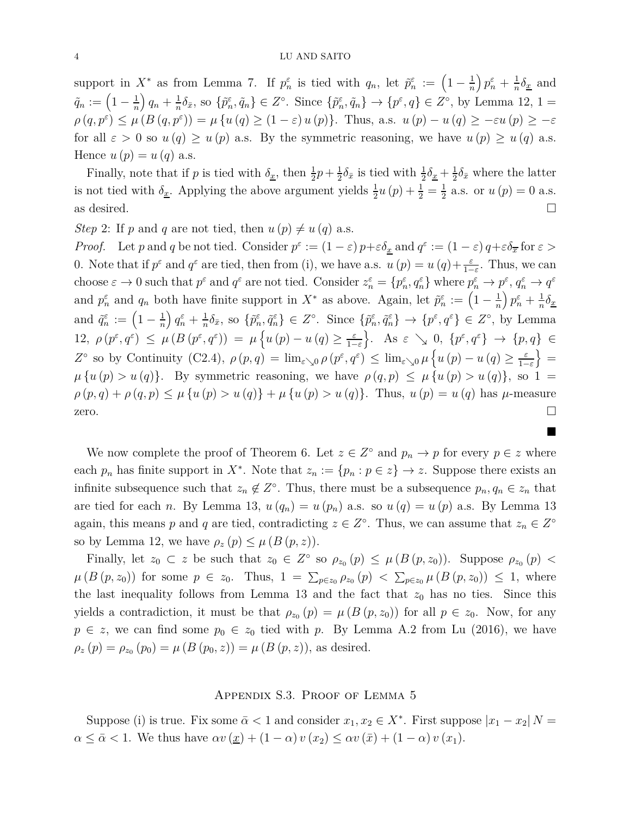support in  $X^*$  as from Lemma 7. If  $p_n^{\varepsilon}$  is tied with  $q_n$ , let  $\tilde{p}_n^{\varepsilon} := \left(1 - \frac{1}{n}\right)$ *n*  $\left(p_n^{\varepsilon}+\frac{1}{n}\right)$  $\frac{1}{n}\delta_x$  and  $\tilde{q}_n := \left(1 - \frac{1}{n}\right)$ *n*  $\left(q_n + \frac{1}{n}\right)$  $\frac{1}{n}\delta_{\bar{x}}$ , so  $\{\tilde{p}_n^{\varepsilon}, \tilde{q}_n\} \in Z^{\circ}$ . Since  $\{\tilde{p}_n^{\varepsilon}, \tilde{q}_n\} \to \{p^{\varepsilon}, q\} \in Z^{\circ}$ , by Lemma 12, 1 =  $\rho(q, p^{\varepsilon}) \leq \mu(B(q, p^{\varepsilon})) = \mu\{u(q) \geq (1-\varepsilon)u(p)\}.$  Thus, a.s.  $u(p) - u(q) \geq -\varepsilon u(p) \geq -\varepsilon$ for all  $\varepsilon > 0$  so  $u(q) \geq u(p)$  a.s. By the symmetric reasoning, we have  $u(p) \geq u(q)$  a.s. Hence  $u(p) = u(q)$  a.s.

Finally, note that if *p* is tied with  $\delta_{\underline{x}}$ , then  $\frac{1}{2}p + \frac{1}{2}$  $\frac{1}{2}\delta_{\bar{x}}$  is tied with  $\frac{1}{2}\delta_{\underline{x}} + \frac{1}{2}$  $\frac{1}{2}\delta_{\bar{x}}$  where the latter is not tied with  $\delta_{\underline{x}}$ . Applying the above argument yields  $\frac{1}{2}u(p) + \frac{1}{2} = \frac{1}{2}$  $\frac{1}{2}$  a.s. or  $u(p) = 0$  a.s. as desired.  $\Box$ 

*Step* 2: If *p* and *q* are not tied, then  $u(p) \neq u(q)$  a.s.

*Proof.* Let *p* and *q* be not tied. Consider  $p^{\varepsilon} := (1 - \varepsilon) p + \varepsilon \delta_x$  and  $q^{\varepsilon} := (1 - \varepsilon) q + \varepsilon \delta_x$  for  $\varepsilon >$ 0. Note that if  $p^{\varepsilon}$  and  $q^{\varepsilon}$  are tied, then from (i), we have a.s.  $u(p) = u(q) + \frac{\varepsilon}{1-\varepsilon}$ . Thus, we can choose  $\varepsilon \to 0$  such that  $p^{\varepsilon}$  and  $q^{\varepsilon}$  are not tied. Consider  $z_n^{\varepsilon} = \{p_n^{\varepsilon}, q_n^{\varepsilon}\}\$  where  $p_n^{\varepsilon} \to p^{\varepsilon}$ ,  $q_n^{\varepsilon} \to q^{\varepsilon}$ and  $p_n^{\varepsilon}$  and  $q_n$  both have finite support in  $X^*$  as above. Again, let  $\tilde{p}_n^{\varepsilon} := \left(1 - \frac{1}{n}\right)$ *n*  $\left(p_n^{\varepsilon}+\frac{1}{n}\right)$  $rac{1}{n}\delta_x$ and  $\tilde{q}_n^{\varepsilon} := \left(1 - \frac{1}{n}\right)$ *n*  $\int q_n^{\varepsilon} + \frac{1}{n}$  $\frac{1}{n}\delta_{\bar{x}},$  so  $\{\tilde{p}_n^{\varepsilon}, \tilde{q}_n^{\varepsilon}\}\in Z^{\circ}$ . Since  $\{\tilde{p}_n^{\varepsilon}, \tilde{q}_n^{\varepsilon}\}\to \{p^{\varepsilon}, q^{\varepsilon}\}\in Z^{\circ}$ , by Lemma 12,  $\rho(p^{\varepsilon}, q^{\varepsilon}) \leq \mu(B(p^{\varepsilon}, q^{\varepsilon})) = \mu\left\{u(p) - u(q) \geq \frac{\varepsilon}{1 - \varepsilon}\right\}$ 1−*ε*  $\Big\}$ . As  $\varepsilon \searrow 0$ ,  $\{p^{\varepsilon}, q^{\varepsilon}\} \rightarrow \{p, q\} \in$ *Z*<sup>°</sup> so by Continuity (C2.4),  $\rho(p,q) = \lim_{\varepsilon \searrow 0} \rho(p^{\varepsilon}, q^{\varepsilon}) \leq \lim_{\varepsilon \searrow 0} \mu\left\{u(p) - u(q) \geq \frac{\varepsilon}{1-\varepsilon} \right\}$ 1−*ε*  $\} =$  $\mu\{u(p) > u(q)\}.$  By symmetric reasoning, we have  $\rho(q, p) \leq \mu\{u(p) > u(q)\}\,$ , so 1 =  $\rho(p,q) + \rho(q,p) \leq \mu \{u(p) > u(q)\} + \mu \{u(p) > u(q)\}.$  Thus,  $u(p) = u(q)$  has  $\mu$ -measure zero.  $\Box$ 

We now complete the proof of Theorem 6. Let  $z \in Z^{\circ}$  and  $p_n \to p$  for every  $p \in z$  where each  $p_n$  has finite support in  $X^*$ . Note that  $z_n := \{p_n : p \in z\} \to z$ . Suppose there exists an infinite subsequence such that  $z_n \notin Z^{\circ}$ . Thus, there must be a subsequence  $p_n, q_n \in z_n$  that are tied for each *n*. By Lemma 13,  $u(q_n) = u(p_n)$  a.s. so  $u(q) = u(p)$  a.s. By Lemma 13 again, this means *p* and *q* are tied, contradicting  $z \in Z^{\circ}$ . Thus, we can assume that  $z_n \in Z^{\circ}$ so by Lemma 12, we have  $\rho_z(p) \leq \mu(B(p, z))$ .

 $\blacksquare$ 

Finally, let  $z_0 \text{ }\subset z$  be such that  $z_0 \in Z^{\circ}$  so  $\rho_{z_0}(p) \leq \mu (B(p, z_0))$ . Suppose  $\rho_{z_0}(p)$  $\mu(B(p, z_0))$  for some  $p \in z_0$ . Thus,  $1 = \sum_{p \in z_0} \rho_{z_0}(p) < \sum_{p \in z_0} \mu(B(p, z_0)) \le 1$ , where the last inequality follows from Lemma 13 and the fact that  $z_0$  has no ties. Since this yields a contradiction, it must be that  $\rho_{z_0}(p) = \mu(B(p, z_0))$  for all  $p \in z_0$ . Now, for any  $p \in z$ , we can find some  $p_0 \in z_0$  tied with *p*. By Lemma A.2 from Lu (2016), we have  $\rho_z(p) = \rho_{z_0}(p_0) = \mu(B(p_0, z)) = \mu(B(p, z))$ , as desired.

## Appendix S.3. Proof of Lemma 5

Suppose (i) is true. Fix some  $\bar{\alpha} < 1$  and consider  $x_1, x_2 \in X^*$ . First suppose  $|x_1 - x_2|$   $N =$  $\alpha \leq \bar{\alpha} < 1$ . We thus have  $\alpha v(\underline{x}) + (1 - \alpha) v(x_2) \leq \alpha v(\bar{x}) + (1 - \alpha) v(x_1)$ .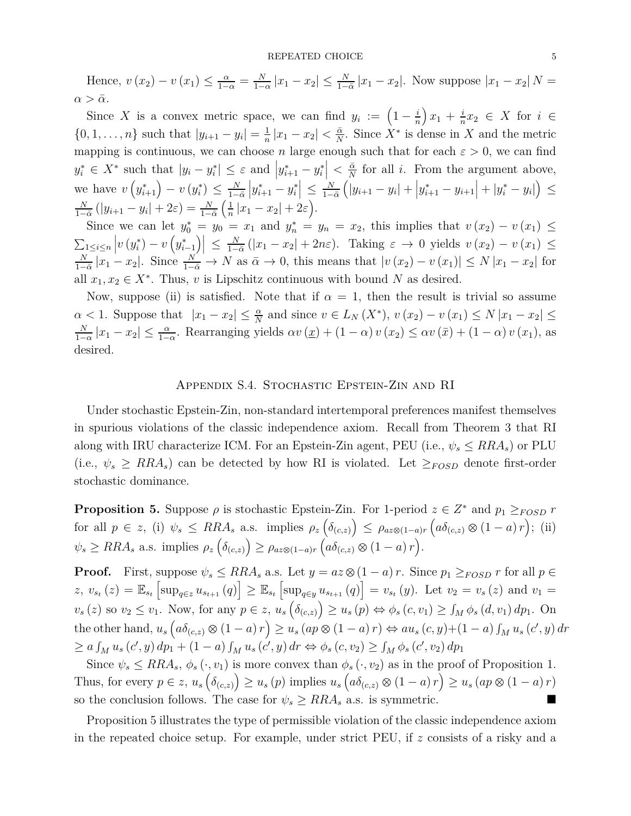#### ${\bf \texttt{REPEATED CHOICE}} \hspace{5cm} 5$

Hence,  $v(x_2) - v(x_1) \le \frac{\alpha}{1-\alpha} = \frac{N}{1-\alpha}$  $\frac{N}{1-\alpha}|x_1-x_2| \le \frac{N}{1-\bar{\alpha}}|x_1-x_2|$ . Now suppose  $|x_1-x_2|$  *N* =  $\alpha > \bar{\alpha}$ .

Since *X* is a convex metric space, we can find  $y_i := \left(1 - \frac{i}{n}\right)$ *n*  $\int x_1 + \frac{i}{n}$  $\frac{i}{n}$ *x*<sub>2</sub> ∈ *X* for *i* ∈  $\{0, 1, \ldots, n\}$  such that  $|y_{i+1} - y_i| = \frac{1}{n}$  $\frac{1}{n}|x_1 - x_2| < \frac{\bar{\alpha}}{N}$  $\frac{\bar{\alpha}}{N}$ . Since  $X^*$  is dense in *X* and the metric mapping is continuous, we can choose *n* large enough such that for each  $\varepsilon > 0$ , we can find  $y_i^* \in X^*$  such that  $|y_i - y_i^*| \leq \varepsilon$  and  $|y_{i+1}^* - y_i^*| < \frac{\bar{\alpha}}{N}$  $\frac{\alpha}{N}$  for all *i*. From the argument above, we have  $v(y_{i+1}^*) - v(y_i^*) \leq \frac{N}{1 - k}$ 1−*α*¯  $|y^*_{i+1} - y^*_i| \leq \frac{N}{1 - i}$ 1−*α*¯  $(|y_{i+1}-y_i| + |y_{i+1}^* - y_{i+1}| + |y_i^* - y_i|) \leq$ *N*  $\frac{N}{1-\bar{\alpha}}$  (| $y_{i+1} - y_i$ | + 2 $\varepsilon$ ) =  $\frac{N}{1-\bar{\alpha}}$  $\sqrt{1}$  $\frac{1}{n}|x_1 - x_2| + 2\varepsilon$ .

Since we can let  $y_0^* = y_0 = x_1$  and  $y_n^* = y_n = x_2$ , this implies that  $v(x_2) - v(x_1) \le$  $\sum_{i \leq i \leq n} \left| v\left( y^*_i \right) - v\left( y^*_{i-1} \right) \right| \leq \frac{N}{1-N}$  $\frac{N}{1-\bar{\alpha}}(|x_1-x_2|+2n\varepsilon)$ . Taking  $\varepsilon \to 0$  yields  $v(x_2)-v(x_1) \leq$ *N*  $\frac{N}{1-\bar{\alpha}}|x_1-x_2|$ . Since  $\frac{N}{1-\bar{\alpha}} \to N$  as  $\bar{\alpha} \to 0$ , this means that  $|v(x_2)-v(x_1)| \le N |x_1-x_2|$  for all  $x_1, x_2 \in X^*$ . Thus, *v* is Lipschitz continuous with bound *N* as desired.

Now, suppose (ii) is satisfied. Note that if  $\alpha = 1$ , then the result is trivial so assume  $\alpha$  < 1. Suppose that  $|x_1 - x_2| \leq \frac{\alpha}{N}$  and since  $v \in L_N(X^*)$ ,  $v(x_2) - v(x_1) \leq N |x_1 - x_2| \leq$ *N*  $\frac{N}{1-\alpha}|x_1-x_2| \leq \frac{\alpha}{1-\alpha}$ . Rearranging yields  $\alpha v(x_1) + (1-\alpha)v(x_2) \leq \alpha v(x_1) + (1-\alpha)v(x_1)$ , as desired.

# Appendix S.4. Stochastic Epstein-Zin and RI

Under stochastic Epstein-Zin, non-standard intertemporal preferences manifest themselves in spurious violations of the classic independence axiom. Recall from Theorem 3 that RI along with IRU characterize ICM. For an Epstein-Zin agent, PEU (i.e.,  $\psi_s \leq RRA_s$ ) or PLU (i.e.,  $\psi_s \geq RRA_s$ ) can be detected by how RI is violated. Let  $\geq_{FOSD}$  denote first-order stochastic dominance.

**Proposition 5.** Suppose  $\rho$  is stochastic Epstein-Zin. For 1-period  $z \in Z^*$  and  $p_1 \geq_{FOSD} r$  $\int$  for all  $p \in z$ , (i)  $\psi_s \leq RRA_s$  a.s. implies  $\rho_z\left(\delta_{(c,z)}\right) \leq \rho_{az\otimes(1-a)r}\left(a\delta_{(c,z)}\otimes(1-a)r\right);$  (ii)  $\psi_s \geq RRA_s$  a.s. implies  $\rho_z\left(\delta_{(c,z)}\right) \geq \rho_{az\otimes(1-a)r}\left(a\delta_{(c,z)}\otimes(1-a)r\right).$ 

**Proof.** First, suppose  $\psi_s \leq RRA_s$  a.s. Let  $y = az \otimes (1 - a)r$ . Since  $p_1 \geq_{FOSD} r$  for all  $p \in$  $z, v_{s_t}(z) = \mathbb{E}_{s_t} \left[ \sup_{q \in z} u_{s_{t+1}}(q) \right] \geq \mathbb{E}_{s_t} \left[ \sup_{q \in y} u_{s_{t+1}}(q) \right] = v_{s_t}(y)$ . Let  $v_2 = v_s(z)$  and  $v_1 = v_s(z)$  $v_s(z)$  so  $v_2 \le v_1$ . Now, for any  $p \in z$ ,  $u_s(\delta_{(c,z)}) \ge u_s(p) \Leftrightarrow \phi_s(c,v_1) \ge \int_M \phi_s(d,v_1) dp_1$ . On the other hand,  $u_s ig( a \delta_{(c,z)} \otimes (1-a) r ig) \ge u_s (ap \otimes (1-a) r) \Leftrightarrow au_s (c, y) + (1-a) \int_M u_s (c', y) dr$  $\geq a \int_M u_s(c', y) dp_1 + (1 - a) \int_M u_s(c', y) dr \Leftrightarrow \phi_s(c, v_2) \geq \int_M \phi_s(c', v_2) dp_1$ 

Since  $\psi_s \leq RRA_s$ ,  $\phi_s(\cdot, v_1)$  is more convex than  $\phi_s(\cdot, v_2)$  as in the proof of Proposition 1. Thus, for every  $p \in z$ ,  $u_s(\delta_{(c,z)}) \ge u_s(p)$  implies  $u_s(a\delta_{(c,z)} \otimes (1-a)r) \ge u_s(ap \otimes (1-a)r)$ so the conclusion follows. The case for  $\psi_s \geq RRA_s$  a.s. is symmetric.

Proposition 5 illustrates the type of permissible violation of the classic independence axiom in the repeated choice setup. For example, under strict PEU, if *z* consists of a risky and a